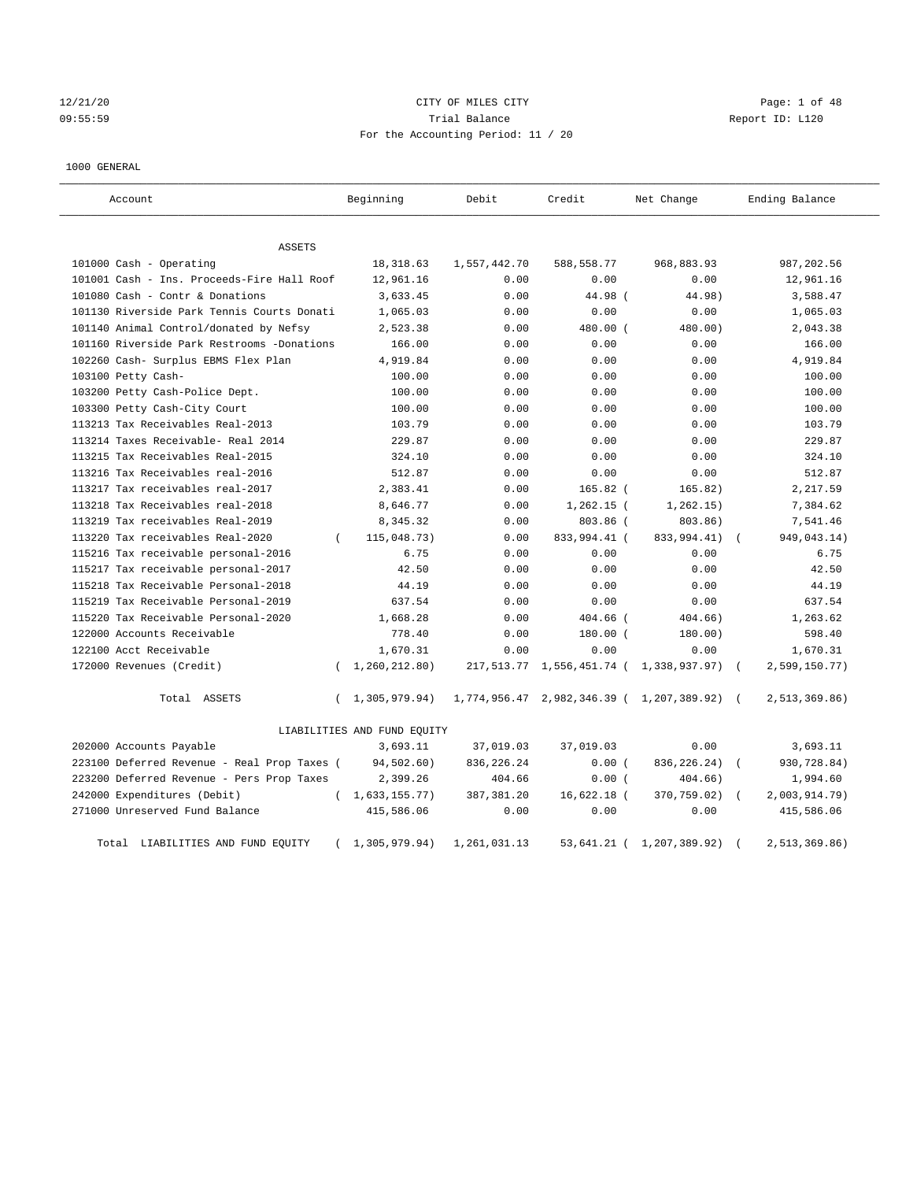## 12/21/20 CITY OF MILES CITY Page: 1 of 48 09:55:59 Trial Balance Report ID: L120 For the Accounting Period: 11 / 20

#### 1000 GENERAL

| Account                                     | Beginning                   | Debit        | Credit                                       | Net Change                                  | Ending Balance              |
|---------------------------------------------|-----------------------------|--------------|----------------------------------------------|---------------------------------------------|-----------------------------|
| ASSETS                                      |                             |              |                                              |                                             |                             |
| 101000 Cash - Operating                     | 18,318.63                   | 1,557,442.70 | 588,558.77                                   | 968,883.93                                  | 987,202.56                  |
| 101001 Cash - Ins. Proceeds-Fire Hall Roof  | 12,961.16                   | 0.00         | 0.00                                         | 0.00                                        | 12,961.16                   |
| 101080 Cash - Contr & Donations             | 3,633.45                    | 0.00         | 44.98 (                                      | 44.98)                                      | 3,588.47                    |
| 101130 Riverside Park Tennis Courts Donati  | 1,065.03                    | 0.00         | 0.00                                         | 0.00                                        | 1,065.03                    |
| 101140 Animal Control/donated by Nefsy      | 2,523.38                    | 0.00         | 480.00 (                                     | 480.00)                                     | 2,043.38                    |
| 101160 Riverside Park Restrooms -Donations  | 166.00                      | 0.00         | 0.00                                         | 0.00                                        | 166.00                      |
| 102260 Cash- Surplus EBMS Flex Plan         | 4,919.84                    | 0.00         | 0.00                                         | 0.00                                        | 4,919.84                    |
| 103100 Petty Cash-                          | 100.00                      | 0.00         | 0.00                                         | 0.00                                        | 100.00                      |
| 103200 Petty Cash-Police Dept.              | 100.00                      | 0.00         | 0.00                                         | 0.00                                        | 100.00                      |
| 103300 Petty Cash-City Court                | 100.00                      | 0.00         | 0.00                                         | 0.00                                        | 100.00                      |
| 113213 Tax Receivables Real-2013            | 103.79                      | 0.00         | 0.00                                         | 0.00                                        | 103.79                      |
| 113214 Taxes Receivable- Real 2014          | 229.87                      | 0.00         | 0.00                                         | 0.00                                        | 229.87                      |
| 113215 Tax Receivables Real-2015            | 324.10                      | 0.00         | 0.00                                         | 0.00                                        | 324.10                      |
| 113216 Tax Receivables real-2016            | 512.87                      | 0.00         | 0.00                                         | 0.00                                        | 512.87                      |
| 113217 Tax receivables real-2017            | 2,383.41                    | 0.00         | $165.82$ (                                   | 165.82)                                     | 2,217.59                    |
| 113218 Tax Receivables real-2018            | 8,646.77                    | 0.00         | $1,262.15$ (                                 | 1, 262.15)                                  | 7,384.62                    |
| 113219 Tax receivables Real-2019            | 8,345.32                    | 0.00         | 803.86 (                                     | 803.86)                                     | 7,541.46                    |
| 113220 Tax receivables Real-2020            | 115,048.73)<br>$\left($     | 0.00         | 833,994.41 (                                 | 833,994.41)                                 | 949,043.14)                 |
| 115216 Tax receivable personal-2016         | 6.75                        | 0.00         | 0.00                                         | 0.00                                        | 6.75                        |
| 115217 Tax receivable personal-2017         | 42.50                       | 0.00         | 0.00                                         | 0.00                                        | 42.50                       |
| 115218 Tax Receivable Personal-2018         | 44.19                       | 0.00         | 0.00                                         | 0.00                                        | 44.19                       |
| 115219 Tax Receivable Personal-2019         | 637.54                      | 0.00         | 0.00                                         | 0.00                                        | 637.54                      |
| 115220 Tax Receivable Personal-2020         | 1,668.28                    | 0.00         | 404.66 (                                     | 404.66)                                     | 1,263.62                    |
| 122000 Accounts Receivable                  | 778.40                      | 0.00         | $180.00$ (                                   | 180.00)                                     | 598.40                      |
| 122100 Acct Receivable                      | 1,670.31                    | 0.00         | 0.00                                         | 0.00                                        | 1,670.31                    |
| 172000 Revenues (Credit)                    | 1,260,212.80)<br>$\left($   |              | 217, 513.77 1, 556, 451.74 ( 1, 338, 937.97) |                                             | 2,599,150.77)<br>$\sqrt{ }$ |
| Total ASSETS                                | 1,305,979.94)<br>$\left($   |              |                                              | 1,774,956.47 2,982,346.39 ( 1,207,389.92) ( | 2,513,369.86                |
|                                             | LIABILITIES AND FUND EQUITY |              |                                              |                                             |                             |
| 202000 Accounts Payable                     | 3,693.11                    | 37,019.03    | 37,019.03                                    | 0.00                                        | 3,693.11                    |
| 223100 Deferred Revenue - Real Prop Taxes ( | 94,502.60)                  | 836, 226. 24 | 0.00(                                        | 836, 226. 24)                               | 930,728.84)                 |
| 223200 Deferred Revenue - Pers Prop Taxes   | 2,399.26                    | 404.66       | 0.00(                                        | 404.66)                                     | 1,994.60                    |
| 242000 Expenditures (Debit)                 | (1, 633, 155, 77)           | 387, 381.20  | $16,622.18$ (                                | 370,759.02)                                 | $2,003,914.79$ )            |
| 271000 Unreserved Fund Balance              | 415,586.06                  | 0.00         | 0.00                                         | 0.00                                        | 415,586.06                  |
| Total LIABILITIES AND FUND EQUITY           | 1,305,979.94)               | 1,261,031.13 | 53,641.21 (                                  | 1,207,389.92)                               | 2,513,369.86                |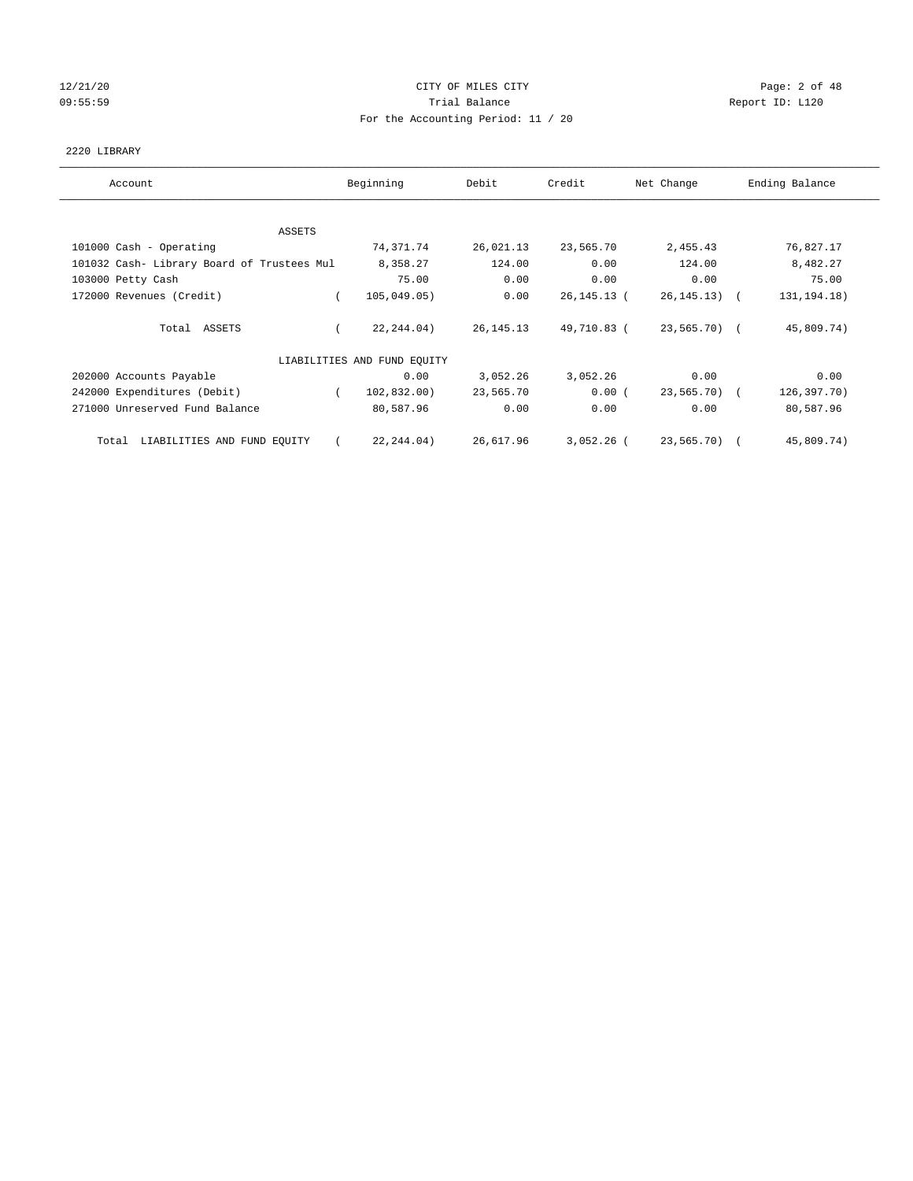## 12/21/20 CITY OF MILES CITY Page: 2 of 48 09:55:59 Report ID: L120 For the Accounting Period: 11 / 20

### 2220 LIBRARY

| Account                                    | Beginning                   | Debit       | Credit      | Net Change      | Ending Balance |
|--------------------------------------------|-----------------------------|-------------|-------------|-----------------|----------------|
| ASSETS                                     |                             |             |             |                 |                |
| 101000 Cash - Operating                    | 74,371.74                   | 26,021.13   | 23,565.70   | 2,455.43        | 76,827.17      |
| 101032 Cash- Library Board of Trustees Mul | 8,358.27                    | 124.00      | 0.00        | 124.00          | 8,482.27       |
| 103000 Petty Cash                          | 75.00                       | 0.00        | 0.00        | 0.00            | 75.00          |
| 172000 Revenues (Credit)                   | 105,049.05)                 | 0.00        | 26,145.13 ( | $26, 145, 13$ ( | 131, 194. 18)  |
| Total ASSETS                               | 22, 244.04)                 | 26, 145. 13 | 49,710.83 ( | 23,565.70) (    | 45,809.74)     |
|                                            | LIABILITIES AND FUND EQUITY |             |             |                 |                |
| 202000 Accounts Payable                    | 0.00                        | 3,052.26    | 3,052.26    | 0.00            | 0.00           |
| 242000 Expenditures (Debit)                | 102,832.00)<br>$\left($     | 23,565.70   | $0.00$ (    | 23,565.70) (    | 126,397.70)    |
| 271000 Unreserved Fund Balance             | 80,587.96                   | 0.00        | 0.00        | 0.00            | 80,587.96      |
| LIABILITIES AND FUND EQUITY<br>Total       | 22, 244, 04)                | 26,617.96   | 3,052.26 (  | 23,565.70) (    | 45,809.74)     |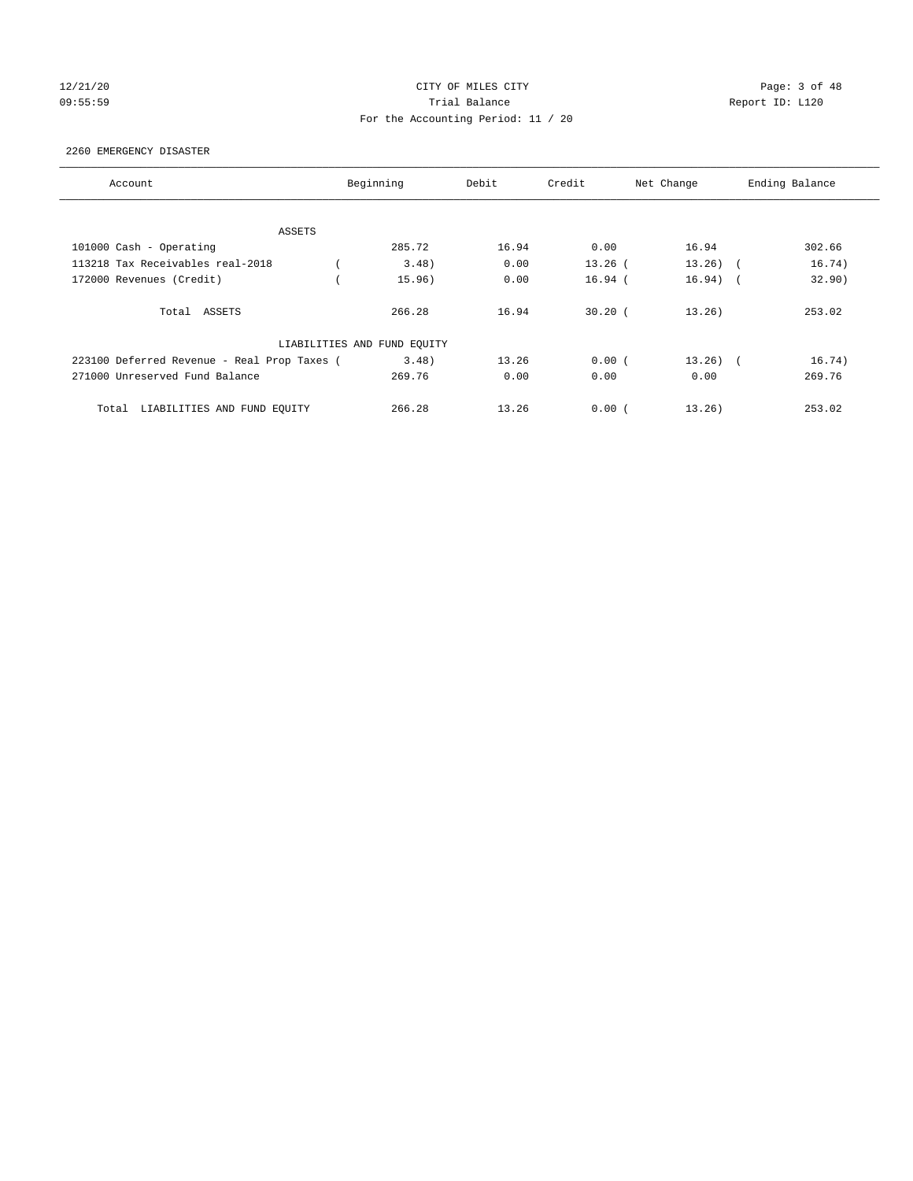## 12/21/20 CITY OF MILES CITY Page: 3 of 48 09:55:59 Trial Balance Report ID: L120 For the Accounting Period: 11 / 20

#### 2260 EMERGENCY DISASTER

| Account                                     | Beginning                   | Debit | Credit    | Net Change | Ending Balance |  |
|---------------------------------------------|-----------------------------|-------|-----------|------------|----------------|--|
|                                             |                             |       |           |            |                |  |
| ASSETS                                      |                             |       |           |            |                |  |
| 101000 Cash - Operating                     | 285.72                      | 16.94 | 0.00      | 16.94      | 302.66         |  |
| 113218 Tax Receivables real-2018            | 3.48                        | 0.00  | $13.26$ ( | $13.26$ (  | 16.74)         |  |
| 172000 Revenues (Credit)                    | 15.96)                      | 0.00  | $16.94$ ( | $16.94)$ ( | 32.90)         |  |
| Total ASSETS                                | 266.28                      | 16.94 | $30.20$ ( | 13.26)     | 253.02         |  |
|                                             | LIABILITIES AND FUND EQUITY |       |           |            |                |  |
| 223100 Deferred Revenue - Real Prop Taxes ( | 3.48)                       | 13.26 | 0.00(     | $13.26$ (  | 16.74)         |  |
| 271000 Unreserved Fund Balance              | 269.76                      | 0.00  | 0.00      | 0.00       | 269.76         |  |
| LIABILITIES AND FUND EQUITY<br>Total        | 266.28                      | 13.26 | 0.00(     | 13.26)     | 253.02         |  |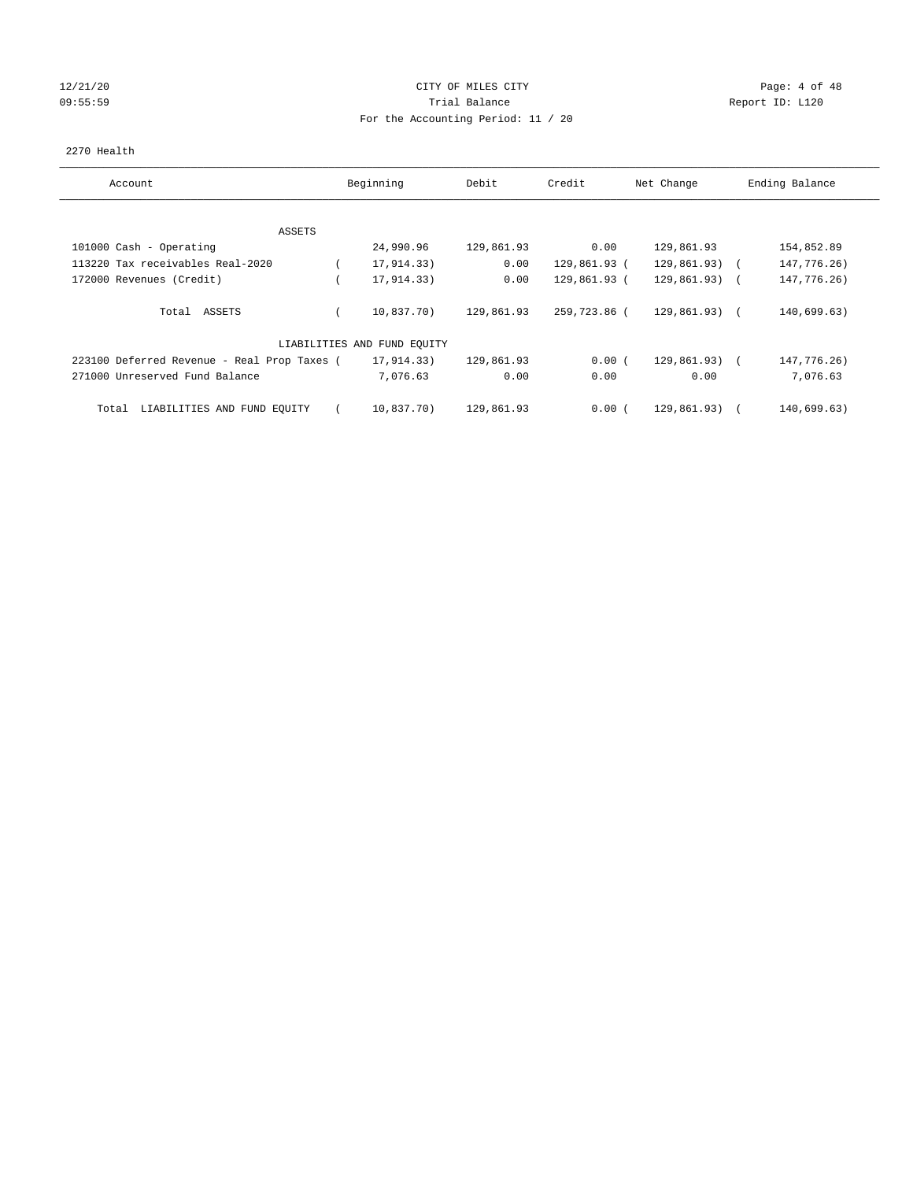## 12/21/20 CITY OF MILES CITY Page: 4 of 48 09:55:59 Report ID: L120 For the Accounting Period: 11 / 20

### 2270 Health

| Account                                     | Beginning                   | Debit      | Credit       | Net Change      | Ending Balance |
|---------------------------------------------|-----------------------------|------------|--------------|-----------------|----------------|
|                                             |                             |            |              |                 |                |
| ASSETS                                      |                             |            |              |                 |                |
| 101000 Cash - Operating                     | 24,990.96                   | 129,861.93 | 0.00         | 129,861.93      | 154,852.89     |
| 113220 Tax receivables Real-2020            | 17,914.33)                  | 0.00       | 129,861.93 ( | 129,861.93)     | 147,776.26)    |
| 172000 Revenues (Credit)                    | 17,914.33)                  | 0.00       | 129,861.93 ( | $129,861.93)$ ( | 147,776.26)    |
| Total ASSETS                                | 10,837.70)                  | 129,861.93 | 259,723.86 ( | $129.861.93$ (  | 140,699.63)    |
|                                             | LIABILITIES AND FUND EQUITY |            |              |                 |                |
| 223100 Deferred Revenue - Real Prop Taxes ( | 17,914.33)                  | 129,861.93 | 0.00(        | $129,861.93)$ ( | 147,776.26)    |
| 271000 Unreserved Fund Balance              | 7,076.63                    | 0.00       | 0.00         | 0.00            | 7,076.63       |
| LIABILITIES AND FUND EQUITY<br>Total        | 10,837.70)                  | 129,861.93 | 0.00(        | 129,861.93)     | 140,699.63)    |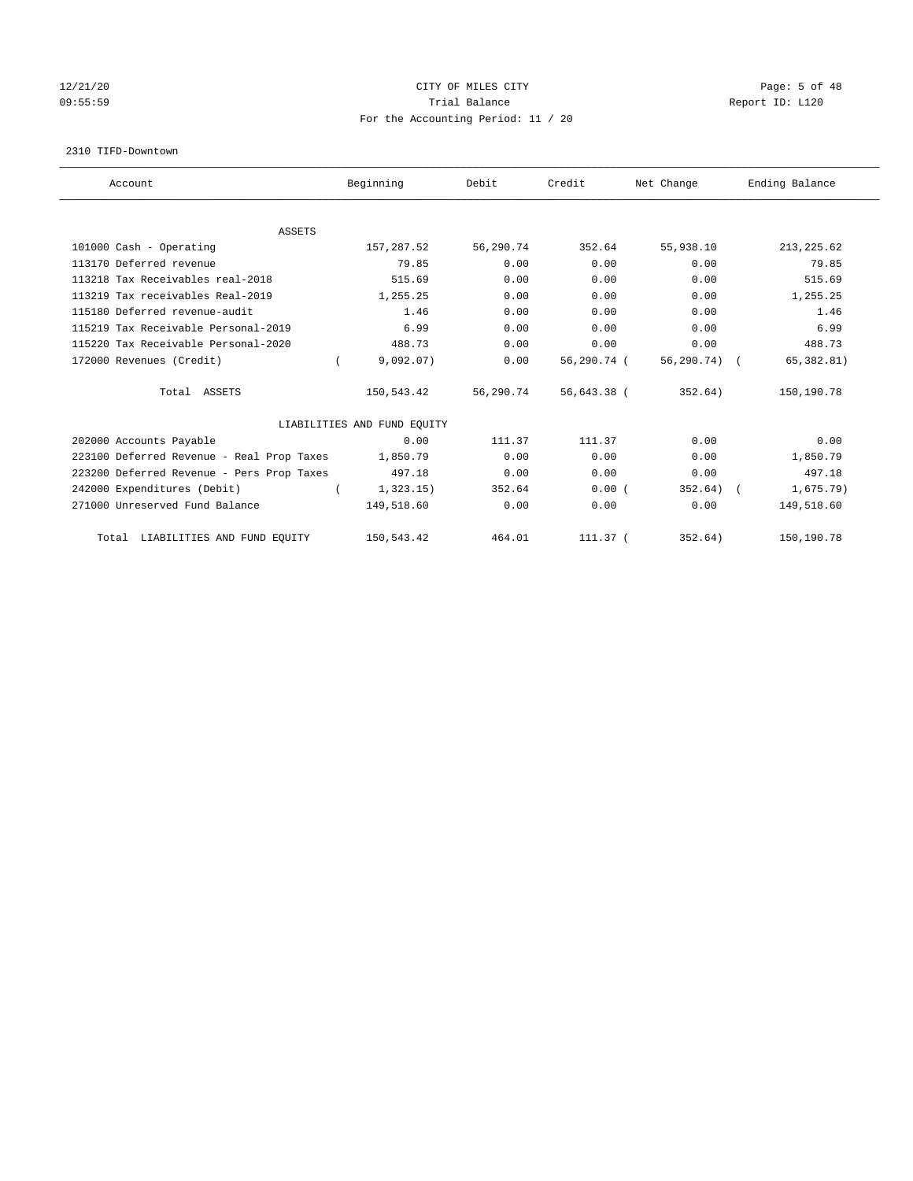## 12/21/20 CITY OF MILES CITY Page: 5 of 48 09:55:59 Report ID: L120 For the Accounting Period: 11 / 20

#### 2310 TIFD-Downtown

| Account                                   | Beginning                   | Debit     | Credit      | Net Change | Ending Balance |
|-------------------------------------------|-----------------------------|-----------|-------------|------------|----------------|
|                                           |                             |           |             |            |                |
| <b>ASSETS</b><br>101000 Cash - Operating  | 157,287.52                  | 56,290.74 | 352.64      | 55,938.10  | 213, 225.62    |
|                                           |                             |           |             |            |                |
| 113170 Deferred revenue                   | 79.85                       | 0.00      | 0.00        | 0.00       | 79.85          |
| 113218 Tax Receivables real-2018          | 515.69                      | 0.00      | 0.00        | 0.00       | 515.69         |
| 113219 Tax receivables Real-2019          | 1,255.25                    | 0.00      | 0.00        | 0.00       | 1,255.25       |
| 115180 Deferred revenue-audit             | 1.46                        | 0.00      | 0.00        | 0.00       | 1.46           |
| 115219 Tax Receivable Personal-2019       | 6.99                        | 0.00      | 0.00        | 0.00       | 6.99           |
| 115220 Tax Receivable Personal-2020       | 488.73                      | 0.00      | 0.00        | 0.00       | 488.73         |
| 172000 Revenues (Credit)                  | 9,092.07)                   | 0.00      | 56,290.74 ( | 56,290.74) | 65, 382.81)    |
| Total ASSETS                              | 150,543.42                  | 56,290.74 | 56,643.38 ( | 352.64)    | 150,190.78     |
|                                           | LIABILITIES AND FUND EQUITY |           |             |            |                |
| 202000 Accounts Payable                   | 0.00                        | 111.37    | 111.37      | 0.00       | 0.00           |
| 223100 Deferred Revenue - Real Prop Taxes | 1,850.79                    | 0.00      | 0.00        | 0.00       | 1,850.79       |
| 223200 Deferred Revenue - Pers Prop Taxes | 497.18                      | 0.00      | 0.00        | 0.00       | 497.18         |
| 242000 Expenditures (Debit)               | 1,323.15)                   | 352.64    | 0.00(       | 352.64)    | 1,675.79)      |
| 271000 Unreserved Fund Balance            | 149,518.60                  | 0.00      | 0.00        | 0.00       | 149,518.60     |
| Total LIABILITIES AND FUND EQUITY         | 150,543.42                  | 464.01    | 111.37 (    | 352.64)    | 150,190.78     |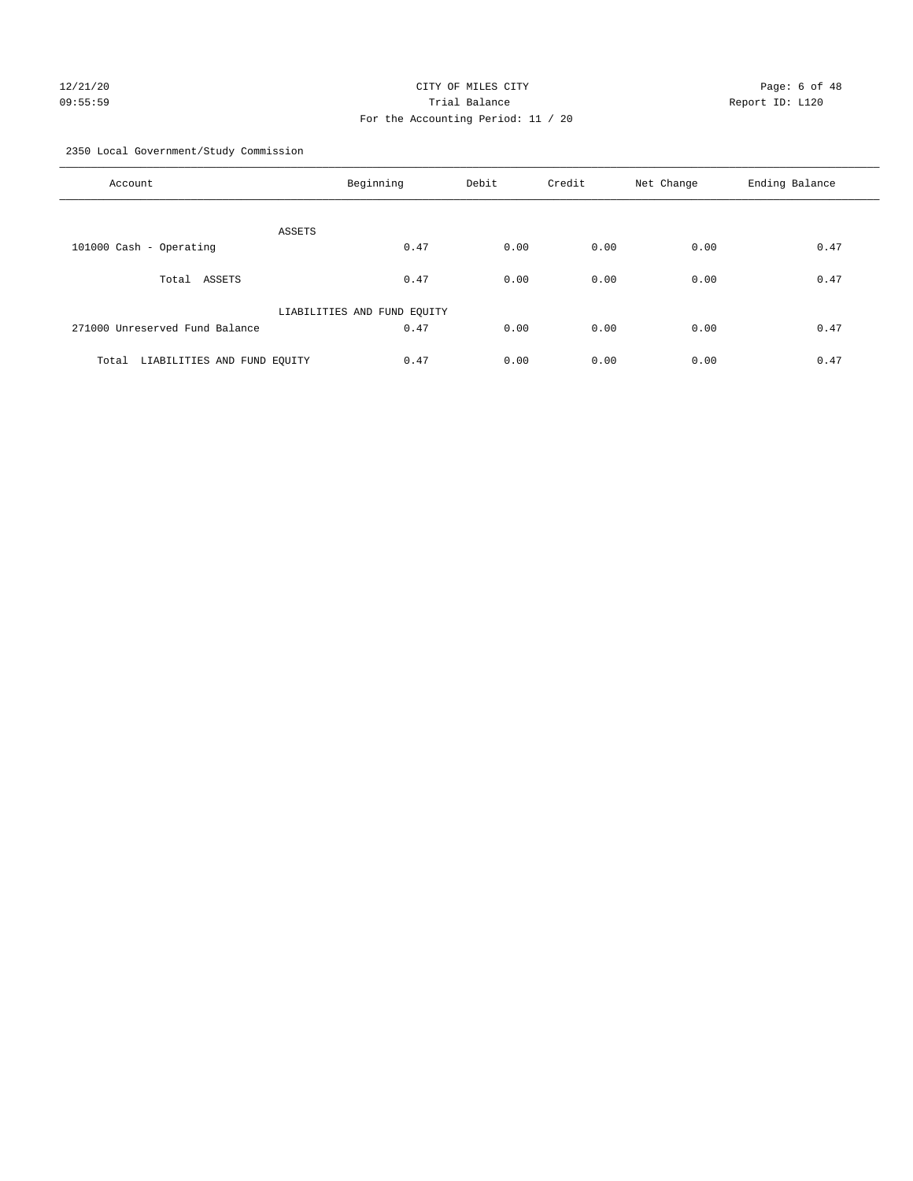## 12/21/20 CITY OF MILES CITY Page: 6 of 48 09:55:59 Trial Balance Report ID: L120 For the Accounting Period: 11 / 20

2350 Local Government/Study Commission

| Account                              | Beginning                   | Debit | Credit | Net Change | Ending Balance |
|--------------------------------------|-----------------------------|-------|--------|------------|----------------|
| ASSETS                               |                             |       |        |            |                |
| 101000 Cash - Operating              | 0.47                        | 0.00  | 0.00   | 0.00       | 0.47           |
| ASSETS<br>Total                      | 0.47                        | 0.00  | 0.00   | 0.00       | 0.47           |
|                                      | LIABILITIES AND FUND EQUITY |       |        |            |                |
| 271000 Unreserved Fund Balance       | 0.47                        | 0.00  | 0.00   | 0.00       | 0.47           |
| LIABILITIES AND FUND EQUITY<br>Total | 0.47                        | 0.00  | 0.00   | 0.00       | 0.47           |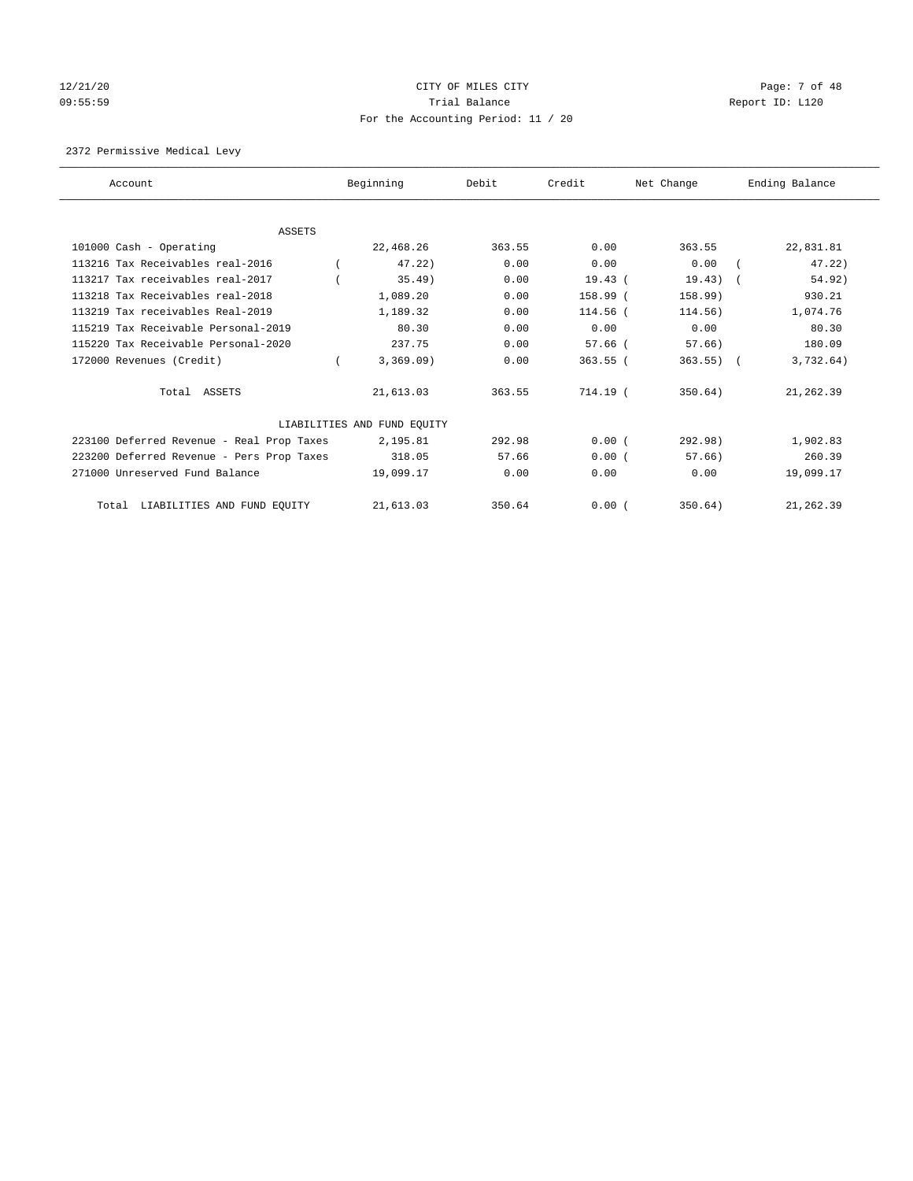## 12/21/20 CITY OF MILES CITY CHARGES CITY CONTROL Page: 7 of 48 09:55:59 Trial Balance Report ID: L120 For the Accounting Period: 11 / 20

## 2372 Permissive Medical Levy

| Account                                   | Beginning                   | Debit  | Credit     | Net Change   | Ending Balance |
|-------------------------------------------|-----------------------------|--------|------------|--------------|----------------|
|                                           |                             |        |            |              |                |
| <b>ASSETS</b>                             |                             |        |            |              |                |
| 101000 Cash - Operating                   | 22,468.26                   | 363.55 | 0.00       | 363.55       | 22,831.81      |
| 113216 Tax Receivables real-2016          | 47.22                       | 0.00   | 0.00       | 0.00         | 47.22)         |
| 113217 Tax receivables real-2017          | 35.49)                      | 0.00   | 19.43(     | 19.43)       | 54.92)         |
| 113218 Tax Receivables real-2018          | 1,089.20                    | 0.00   | 158.99 (   | 158.99)      | 930.21         |
| 113219 Tax receivables Real-2019          | 1,189.32                    | 0.00   | $114.56$ ( | 114.56)      | 1,074.76       |
| 115219 Tax Receivable Personal-2019       | 80.30                       | 0.00   | 0.00       | 0.00         | 80.30          |
| 115220 Tax Receivable Personal-2020       | 237.75                      | 0.00   | $57.66$ (  | 57.66)       | 180.09         |
| 172000 Revenues (Credit)                  | 3,369.09)                   | 0.00   | $363.55$ ( | $363.55$ ) ( | 3,732.64)      |
| Total ASSETS                              | 21,613.03                   | 363.55 | 714.19 (   | 350.64)      | 21,262.39      |
|                                           | LIABILITIES AND FUND EQUITY |        |            |              |                |
| 223100 Deferred Revenue - Real Prop Taxes | 2,195.81                    | 292.98 | 0.00(      | 292.98)      | 1,902.83       |
| 223200 Deferred Revenue - Pers Prop Taxes | 318.05                      | 57.66  | 0.00(      | 57.66        | 260.39         |
| 271000 Unreserved Fund Balance            | 19,099.17                   | 0.00   | 0.00       | 0.00         | 19,099.17      |
| LIABILITIES AND FUND EQUITY<br>Total      | 21,613.03                   | 350.64 | 0.00(      | 350.64)      | 21,262.39      |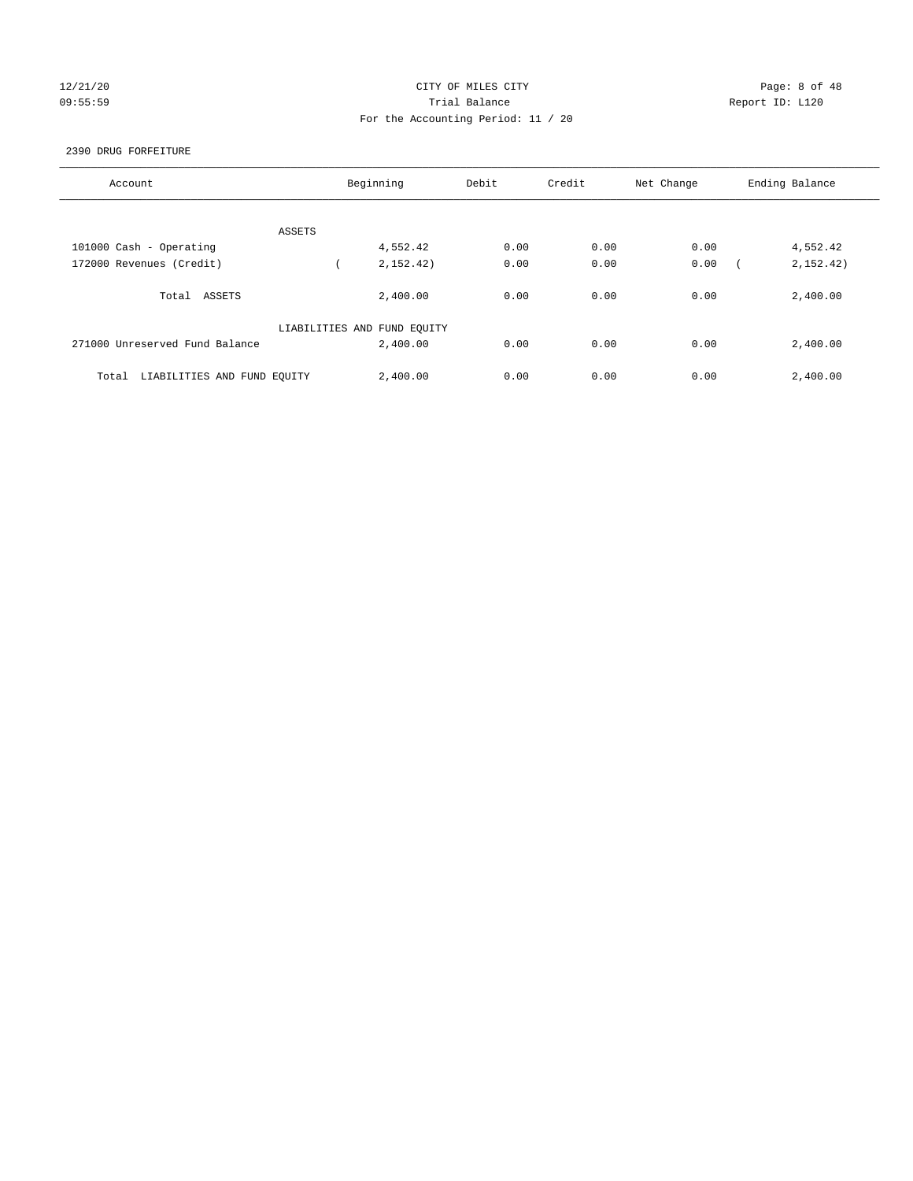## 12/21/20 **CITY OF MILES CITY CITY CITY CITY Page: 8 of 48** 09:55:59 Trial Balance Report ID: L120 For the Accounting Period: 11 / 20

#### 2390 DRUG FORFEITURE

| Account                              | Beginning                   | Debit | Credit | Net Change | Ending Balance |
|--------------------------------------|-----------------------------|-------|--------|------------|----------------|
|                                      |                             |       |        |            |                |
|                                      |                             |       |        |            |                |
| ASSETS                               |                             |       |        |            |                |
| 101000 Cash - Operating              | 4,552.42                    | 0.00  | 0.00   | 0.00       | 4,552.42       |
| 172000 Revenues (Credit)             | 2,152.42)                   | 0.00  | 0.00   | 0.00       | 2, 152, 42)    |
|                                      |                             |       |        |            |                |
| Total ASSETS                         | 2,400.00                    | 0.00  | 0.00   | 0.00       | 2,400.00       |
|                                      |                             |       |        |            |                |
|                                      | LIABILITIES AND FUND EQUITY |       |        |            |                |
| 271000 Unreserved Fund Balance       | 2,400.00                    | 0.00  | 0.00   | 0.00       | 2,400.00       |
|                                      |                             |       |        |            |                |
| LIABILITIES AND FUND EQUITY<br>Total | 2,400.00                    | 0.00  | 0.00   | 0.00       | 2,400.00       |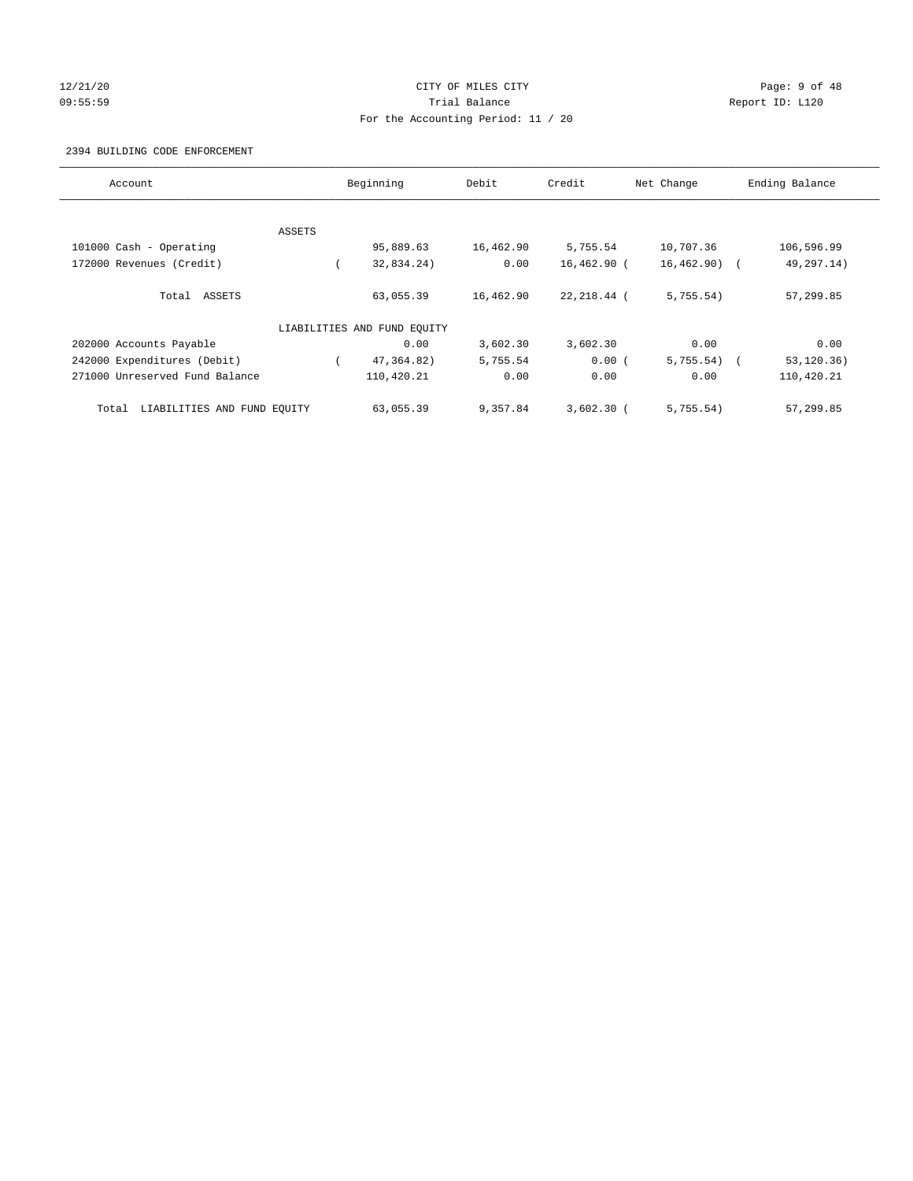## 12/21/20 CITY OF MILES CITY Page: 9 of 48 09:55:59 Trial Balance Report ID: L120 For the Accounting Period: 11 / 20

#### 2394 BUILDING CODE ENFORCEMENT

| Account                              | Beginning |                             | Debit     | Credit       | Net Change     | Ending Balance |
|--------------------------------------|-----------|-----------------------------|-----------|--------------|----------------|----------------|
|                                      |           |                             |           |              |                |                |
|                                      | ASSETS    |                             |           |              |                |                |
| 101000 Cash - Operating              |           | 95,889.63                   | 16,462.90 | 5,755.54     | 10,707.36      | 106,596.99     |
| 172000 Revenues (Credit)             |           | 32,834.24)                  | 0.00      | 16,462.90 (  | $16, 462.90$ ( | 49,297.14)     |
| Total ASSETS                         |           | 63,055.39                   | 16,462.90 | 22,218.44 (  | 5,755.54)      | 57,299.85      |
|                                      |           | LIABILITIES AND FUND EQUITY |           |              |                |                |
| 202000 Accounts Payable              |           | 0.00                        | 3,602.30  | 3,602.30     | 0.00           | 0.00           |
| 242000 Expenditures (Debit)          |           | 47,364.82)                  | 5,755.54  | 0.00(        | 5,755.54)      | 53, 120.36)    |
| 271000 Unreserved Fund Balance       |           | 110,420.21                  | 0.00      | 0.00         | 0.00           | 110,420.21     |
| LIABILITIES AND FUND EQUITY<br>Total |           | 63,055.39                   | 9,357.84  | $3,602.30$ ( | 5,755.54)      | 57,299.85      |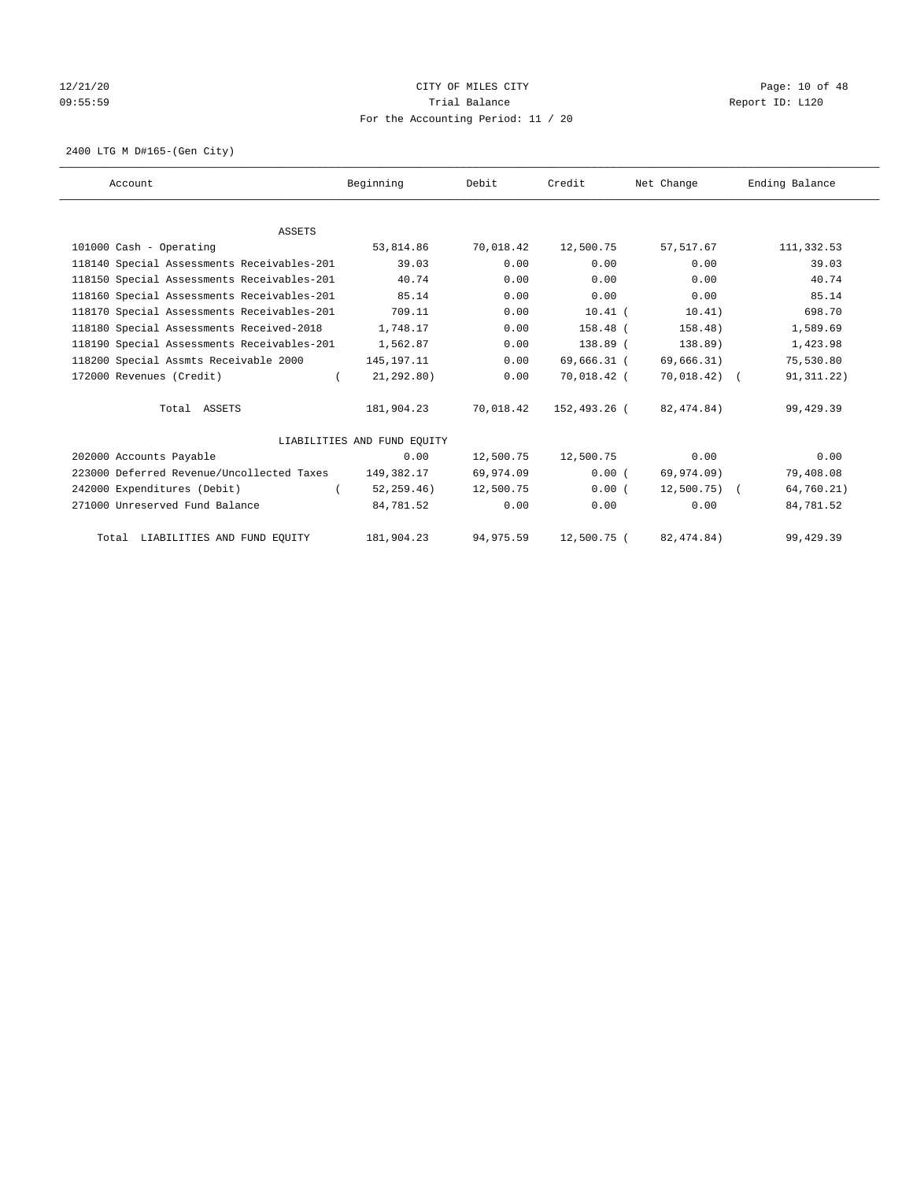## 12/21/20 **CITY OF MILES CITY CITY CITY Page: 10 of 48** 09:55:59 Report ID: L120 For the Accounting Period: 11 / 20

2400 LTG M D#165-(Gen City)

| Account                                    | Beginning                   | Debit      | Credit       | Net Change    | Ending Balance |
|--------------------------------------------|-----------------------------|------------|--------------|---------------|----------------|
|                                            |                             |            |              |               |                |
| <b>ASSETS</b>                              |                             |            |              |               |                |
| 101000 Cash - Operating                    | 53,814.86                   | 70,018.42  | 12,500.75    | 57,517.67     | 111,332.53     |
| 118140 Special Assessments Receivables-201 | 39.03                       | 0.00       | 0.00         | 0.00          | 39.03          |
| 118150 Special Assessments Receivables-201 | 40.74                       | 0.00       | 0.00         | 0.00          | 40.74          |
| 118160 Special Assessments Receivables-201 | 85.14                       | 0.00       | 0.00         | 0.00          | 85.14          |
| 118170 Special Assessments Receivables-201 | 709.11                      | 0.00       | $10.41$ (    | 10.41)        | 698.70         |
| 118180 Special Assessments Received-2018   | 1,748.17                    | 0.00       | 158.48 (     | 158.48)       | 1,589.69       |
| 118190 Special Assessments Receivables-201 | 1,562.87                    | 0.00       | 138.89 (     | 138.89)       | 1,423.98       |
| 118200 Special Assmts Receivable 2000      | 145, 197. 11                | 0.00       | 69,666.31 (  | 69,666.31)    | 75,530.80      |
| 172000 Revenues (Credit)                   | 21, 292, 80)<br>$\left($    | 0.00       | 70,018.42 (  | 70,018.42) (  | 91, 311. 22)   |
| Total ASSETS                               | 181,904.23                  | 70,018.42  | 152,493.26 ( | 82,474.84)    | 99,429.39      |
|                                            | LIABILITIES AND FUND EQUITY |            |              |               |                |
| 202000 Accounts Payable                    | 0.00                        | 12,500.75  | 12,500.75    | 0.00          | 0.00           |
| 223000 Deferred Revenue/Uncollected Taxes  | 149,382.17                  | 69,974.09  | 0.00(        | 69,974.09)    | 79,408.08      |
| 242000 Expenditures (Debit)                | 52, 259, 46)                | 12,500.75  | 0.00(        | $12,500.75$ ( | 64,760.21)     |
| 271000 Unreserved Fund Balance             | 84,781.52                   | 0.00       | 0.00         | 0.00          | 84,781.52      |
| Total LIABILITIES AND FUND EQUITY          | 181,904.23                  | 94, 975.59 | 12,500.75 (  | 82, 474.84)   | 99, 429.39     |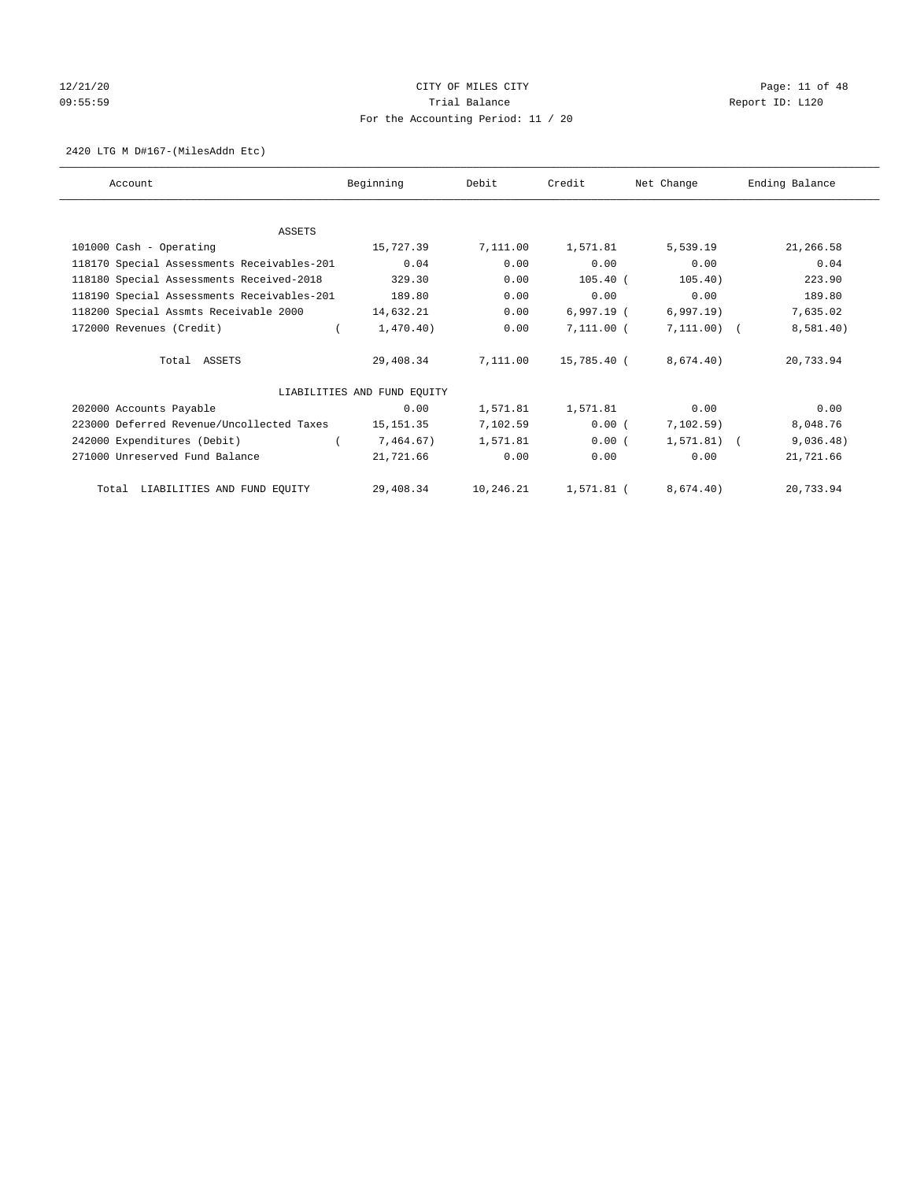## 12/21/20 **CITY OF MILES CITY CITY CITY Page: 11 of 48** 09:55:59 Report ID: L120 For the Accounting Period: 11 / 20

#### 2420 LTG M D#167-(MilesAddn Etc)

| Account                                    | Beginning                   | Debit     | Credit       | Net Change    | Ending Balance |
|--------------------------------------------|-----------------------------|-----------|--------------|---------------|----------------|
|                                            |                             |           |              |               |                |
| <b>ASSETS</b>                              |                             |           |              |               |                |
| 101000 Cash - Operating                    | 15,727.39                   | 7,111.00  | 1,571.81     | 5,539.19      | 21,266.58      |
| 118170 Special Assessments Receivables-201 | 0.04                        | 0.00      | 0.00         | 0.00          | 0.04           |
| 118180 Special Assessments Received-2018   | 329.30                      | 0.00      | $105.40$ (   | 105.40)       | 223.90         |
| 118190 Special Assessments Receivables-201 | 189.80                      | 0.00      | 0.00         | 0.00          | 189.80         |
| 118200 Special Assmts Receivable 2000      | 14,632.21                   | 0.00      | $6,997.19$ ( | 6,997.19)     | 7,635.02       |
| 172000 Revenues (Credit)                   | 1,470.40)                   | 0.00      | $7,111.00$ ( | $7,111.00)$ ( | 8,581.40)      |
| Total ASSETS                               | 29,408.34                   | 7,111.00  | 15,785.40 (  | 8,674.40)     | 20,733.94      |
|                                            | LIABILITIES AND FUND EQUITY |           |              |               |                |
| 202000 Accounts Payable                    | 0.00                        | 1,571.81  | 1,571.81     | 0.00          | 0.00           |
| 223000 Deferred Revenue/Uncollected Taxes  | 15, 151.35                  | 7,102.59  | 0.00(        | 7,102.59)     | 8,048.76       |
| 242000 Expenditures (Debit)                | 7,464.67)                   | 1,571.81  | 0.00(        | $1.571.81$ (  | 9,036.48)      |
| 271000 Unreserved Fund Balance             | 21,721.66                   | 0.00      | 0.00         | 0.00          | 21,721.66      |
| Total LIABILITIES AND FUND EQUITY          | 29,408.34                   | 10,246.21 | $1,571.81$ ( | 8,674.40)     | 20,733.94      |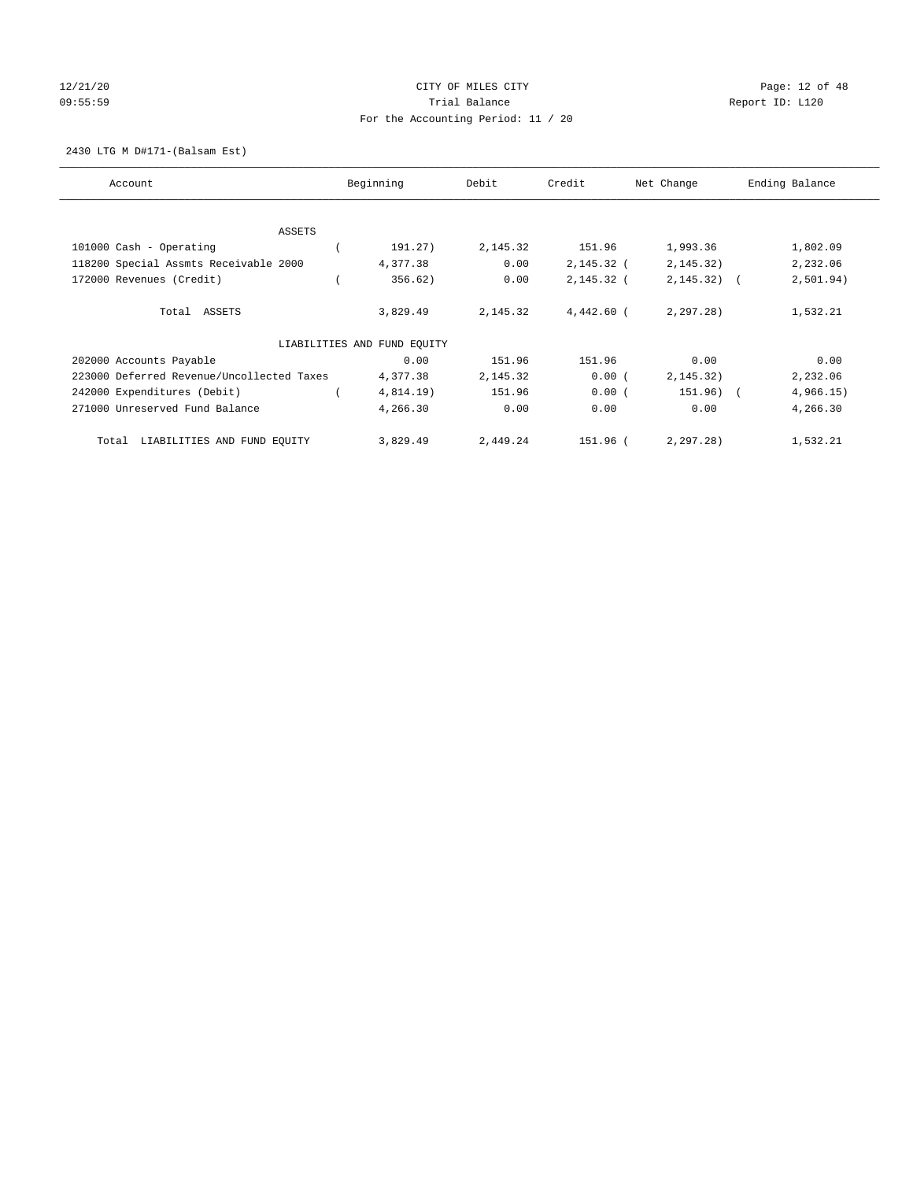## 12/21/20 **CITY OF MILES CITY CITY CITY Page: 12 of 48** 09:55:59 Report ID: L120 For the Accounting Period: 11 / 20

2430 LTG M D#171-(Balsam Est)

| Account                                   |  | Beginning                   | Debit    | Credit       | Net Change   | Ending Balance |  |
|-------------------------------------------|--|-----------------------------|----------|--------------|--------------|----------------|--|
|                                           |  |                             |          |              |              |                |  |
| <b>ASSETS</b>                             |  |                             |          |              |              |                |  |
| 101000 Cash - Operating                   |  | 191.27)                     | 2,145.32 | 151.96       | 1,993.36     | 1,802.09       |  |
| 118200 Special Assmts Receivable 2000     |  | 4,377.38                    | 0.00     | $2,145.32$ ( | 2, 145.32)   | 2,232.06       |  |
| 172000 Revenues (Credit)                  |  | 356.62)                     | 0.00     | $2,145.32$ ( | $2,145.32$ ( | 2,501.94)      |  |
| Total ASSETS                              |  | 3,829.49                    | 2,145.32 | 4,442.60 (   | 2, 297.28    | 1,532.21       |  |
|                                           |  | LIABILITIES AND FUND EQUITY |          |              |              |                |  |
| 202000 Accounts Payable                   |  | 0.00                        | 151.96   | 151.96       | 0.00         | 0.00           |  |
| 223000 Deferred Revenue/Uncollected Taxes |  | 4,377.38                    | 2,145.32 | 0.00(        | 2, 145.32)   | 2,232.06       |  |
| 242000 Expenditures (Debit)               |  | 4,814.19)                   | 151.96   | 0.00(        | 151.96) (    | 4,966.15)      |  |
| 271000 Unreserved Fund Balance            |  | 4,266.30                    | 0.00     | 0.00         | 0.00         | 4,266.30       |  |
| LIABILITIES AND FUND EQUITY<br>Total      |  | 3,829.49                    | 2,449.24 | 151.96 (     | 2, 297.28    | 1,532.21       |  |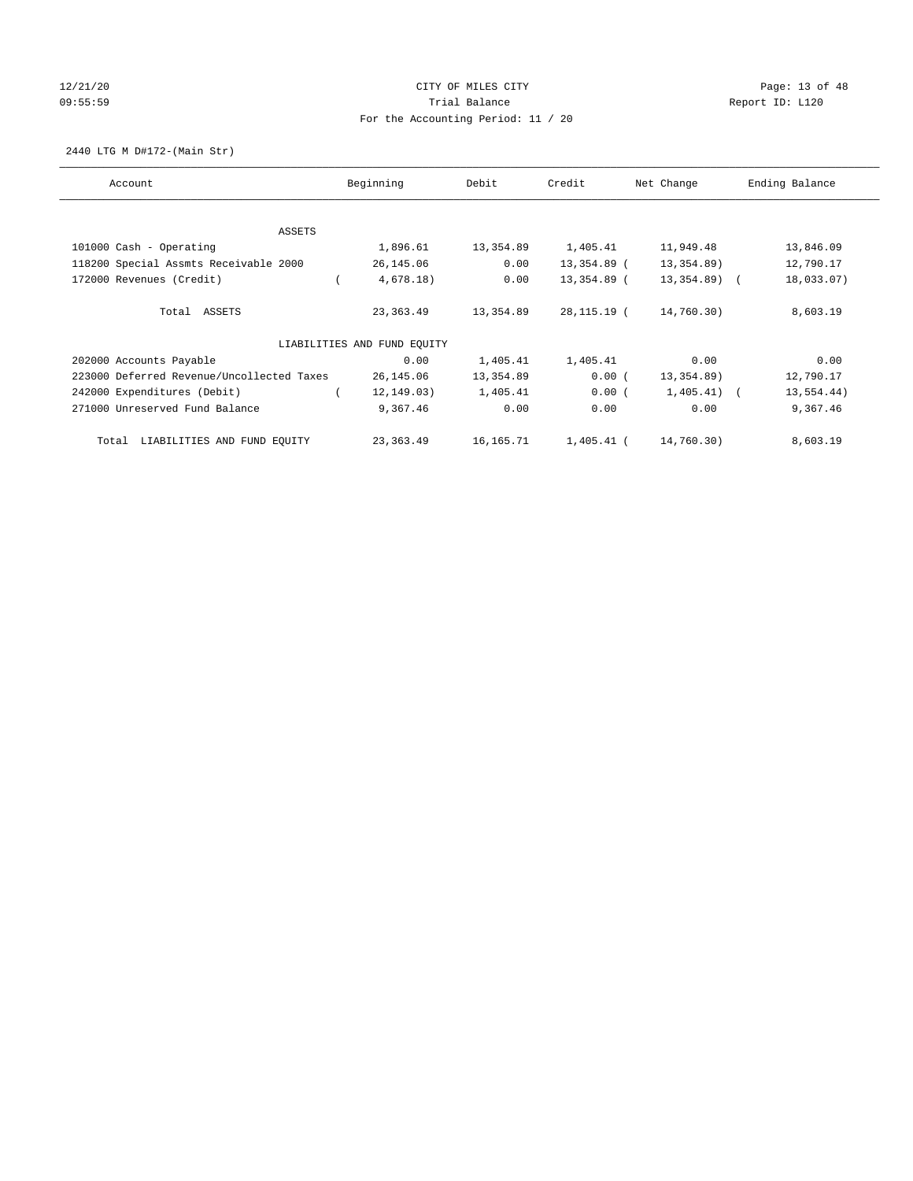## 12/21/20 **CITY OF MILES CITY CITY CITY Page: 13 of 48** 09:55:59 Report ID: L120 For the Accounting Period: 11 / 20

2440 LTG M D#172-(Main Str)

| Account                                   | Beginning                   | Debit     | Credit      | Net Change    | Ending Balance |
|-------------------------------------------|-----------------------------|-----------|-------------|---------------|----------------|
| <b>ASSETS</b>                             |                             |           |             |               |                |
| 101000 Cash - Operating                   | 1,896.61                    | 13,354.89 | 1,405.41    | 11,949.48     | 13,846.09      |
|                                           |                             |           |             |               |                |
| 118200 Special Assmts Receivable 2000     | 26,145.06                   | 0.00      | 13,354.89 ( | 13,354.89)    | 12,790.17      |
| 172000 Revenues (Credit)                  | 4,678.18)                   | 0.00      | 13,354.89 ( | $13,354.89$ ( | 18,033.07)     |
| Total ASSETS                              | 23,363.49                   | 13,354.89 | 28,115.19 ( | 14,760.30)    | 8,603.19       |
|                                           | LIABILITIES AND FUND EQUITY |           |             |               |                |
| 202000 Accounts Payable                   | 0.00                        | 1,405.41  | 1,405.41    | 0.00          | 0.00           |
| 223000 Deferred Revenue/Uncollected Taxes | 26,145.06                   | 13,354.89 | 0.00(       | 13,354.89)    | 12,790.17      |
| 242000 Expenditures (Debit)               | 12, 149.03)                 | 1,405.41  | 0.00(       | $1,405.41$ (  | 13,554.44)     |
| 271000 Unreserved Fund Balance            | 9,367.46                    | 0.00      | 0.00        | 0.00          | 9,367.46       |
| LIABILITIES AND FUND EQUITY<br>Total      | 23,363.49                   | 16,165.71 | 1,405.41 (  | 14,760.30)    | 8,603.19       |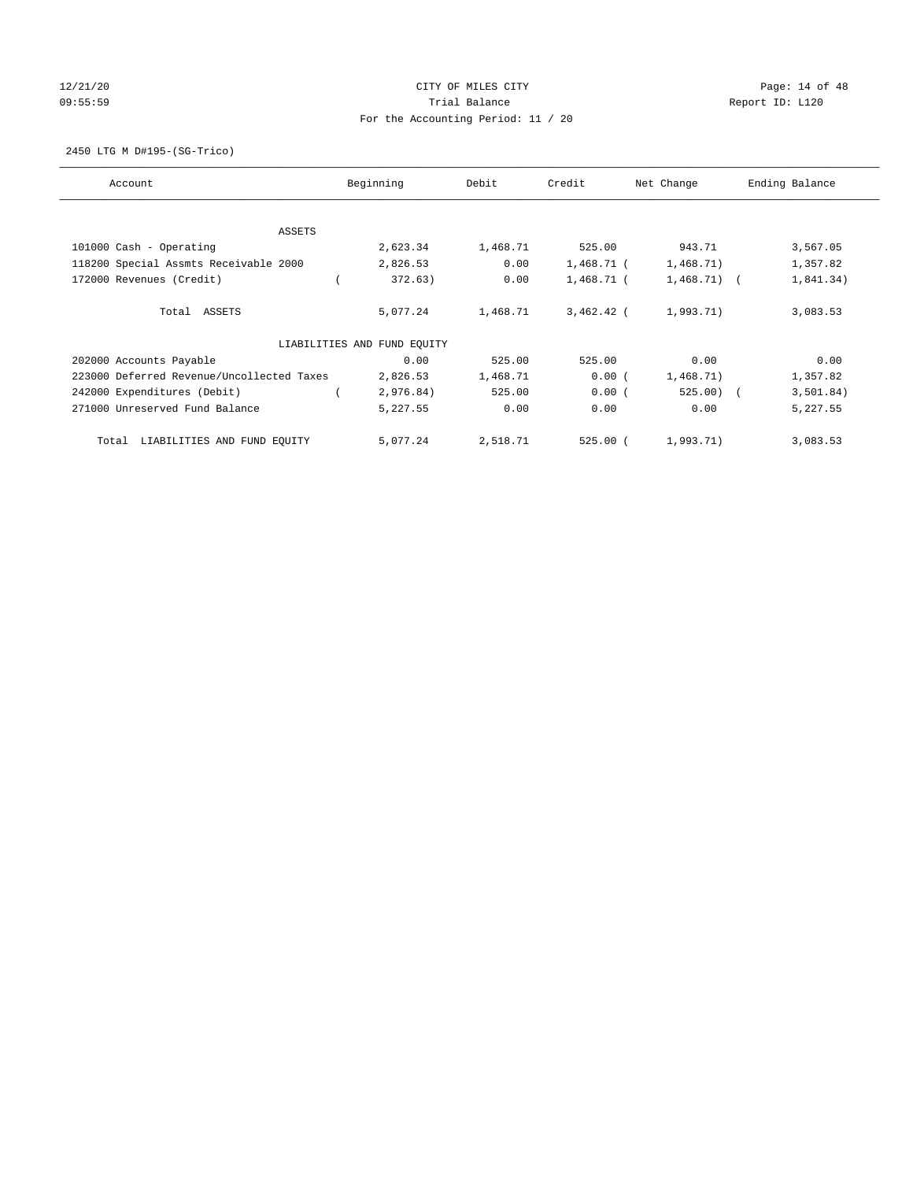## 12/21/20 **CITY OF MILES CITY CITY CITY Page: 14 of 48** 09:55:59 Report ID: L120 For the Accounting Period: 11 / 20

2450 LTG M D#195-(SG-Trico)

| Account                                   | Beginning                   | Debit    | Credit       | Net Change   | Ending Balance |
|-------------------------------------------|-----------------------------|----------|--------------|--------------|----------------|
| <b>ASSETS</b>                             |                             |          |              |              |                |
| 101000 Cash - Operating                   | 2,623.34                    | 1,468.71 | 525.00       | 943.71       | 3,567.05       |
| 118200 Special Assmts Receivable 2000     | 2,826.53                    | 0.00     | 1,468.71 (   | 1,468.71)    | 1,357.82       |
| 172000 Revenues (Credit)                  | 372.63)                     | 0.00     | $1,468.71$ ( | $1,468.71$ ( | 1,841.34)      |
| Total ASSETS                              | 5,077.24                    | 1,468.71 | $3,462.42$ ( | 1,993.71)    | 3,083.53       |
|                                           | LIABILITIES AND FUND EQUITY |          |              |              |                |
| 202000 Accounts Payable                   | 0.00                        | 525.00   | 525.00       | 0.00         | 0.00           |
| 223000 Deferred Revenue/Uncollected Taxes | 2,826.53                    | 1,468.71 | 0.00(        | 1,468.71)    | 1,357.82       |
| 242000 Expenditures (Debit)               | 2,976.84)                   | 525.00   | 0.00(        | $525.00$ (   | 3,501.84)      |
| 271000 Unreserved Fund Balance            | 5,227.55                    | 0.00     | 0.00         | 0.00         | 5,227.55       |
| LIABILITIES AND FUND EQUITY<br>Total      | 5,077.24                    | 2,518.71 | $525.00$ (   | 1,993.71)    | 3,083.53       |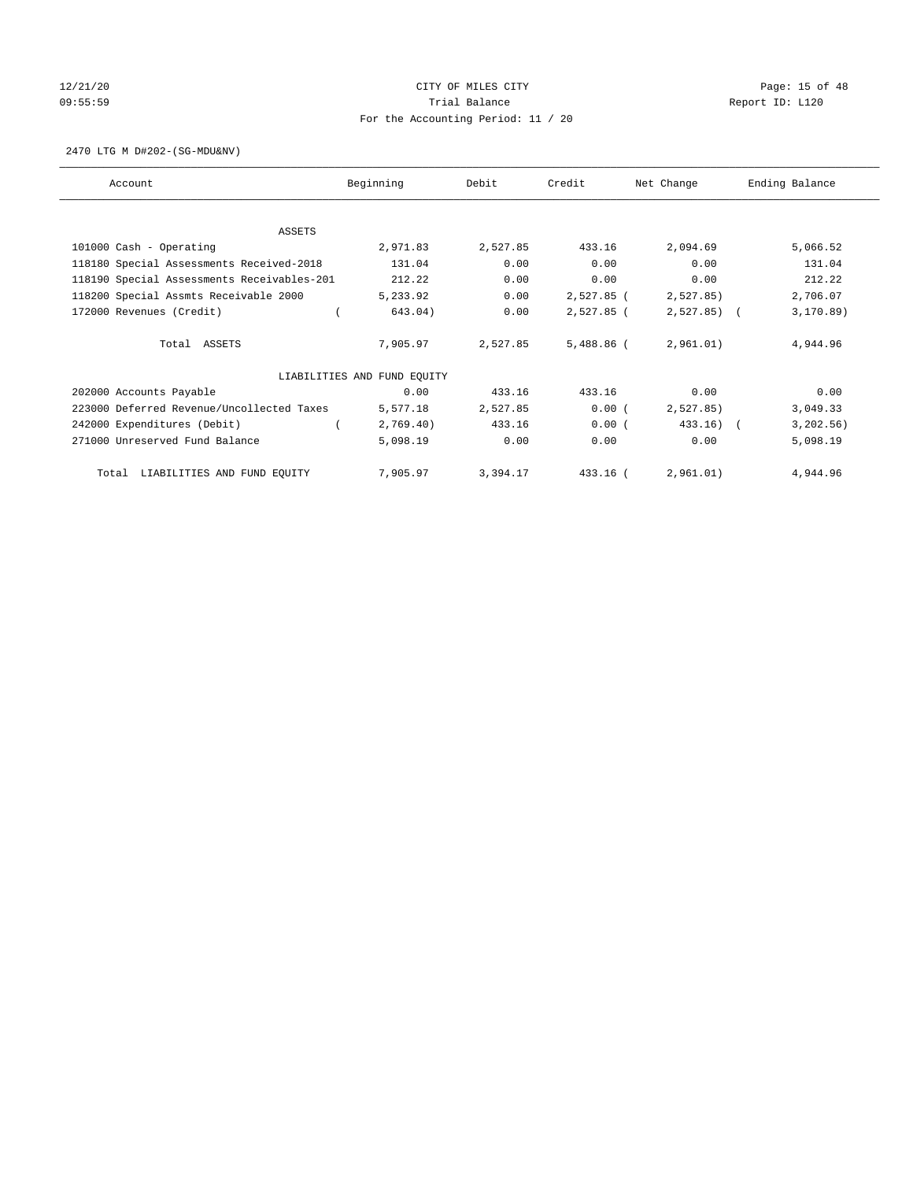## 12/21/20 **CITY OF MILES CITY CITY CITY Page: 15 of 48** 09:55:59 Report ID: L120 For the Accounting Period: 11 / 20

2470 LTG M D#202-(SG-MDU&NV)

| Account                                    | Beginning                   | Debit    | Credit       | Net Change   | Ending Balance |
|--------------------------------------------|-----------------------------|----------|--------------|--------------|----------------|
| <b>ASSETS</b>                              |                             |          |              |              |                |
| 101000 Cash - Operating                    | 2,971.83                    | 2,527.85 | 433.16       | 2,094.69     | 5,066.52       |
| 118180 Special Assessments Received-2018   | 131.04                      | 0.00     | 0.00         | 0.00         | 131.04         |
| 118190 Special Assessments Receivables-201 | 212.22                      | 0.00     | 0.00         | 0.00         | 212.22         |
| 118200 Special Assmts Receivable 2000      | 5,233.92                    | 0.00     | 2,527.85 (   | 2,527.85)    | 2,706.07       |
| 172000 Revenues (Credit)                   | 643.04)                     | 0.00     | 2,527.85 (   | $2,527.85$ ( | 3, 170.89)     |
| Total ASSETS                               | 7,905.97                    | 2,527.85 | $5,488.86$ ( | 2,961.01)    | 4,944.96       |
|                                            | LIABILITIES AND FUND EQUITY |          |              |              |                |
| 202000 Accounts Payable                    | 0.00                        | 433.16   | 433.16       | 0.00         | 0.00           |
| 223000 Deferred Revenue/Uncollected Taxes  | 5,577.18                    | 2,527.85 | 0.00(        | 2,527.85     | 3,049.33       |
| 242000 Expenditures (Debit)                | 2,769.40)                   | 433.16   | 0.00(        | $433.16$ ) ( | 3, 202.56)     |
| 271000 Unreserved Fund Balance             | 5,098.19                    | 0.00     | 0.00         | 0.00         | 5,098.19       |
| LIABILITIES AND FUND EQUITY<br>Total       | 7,905.97                    | 3,394.17 | 433.16 (     | 2,961.01)    | 4,944.96       |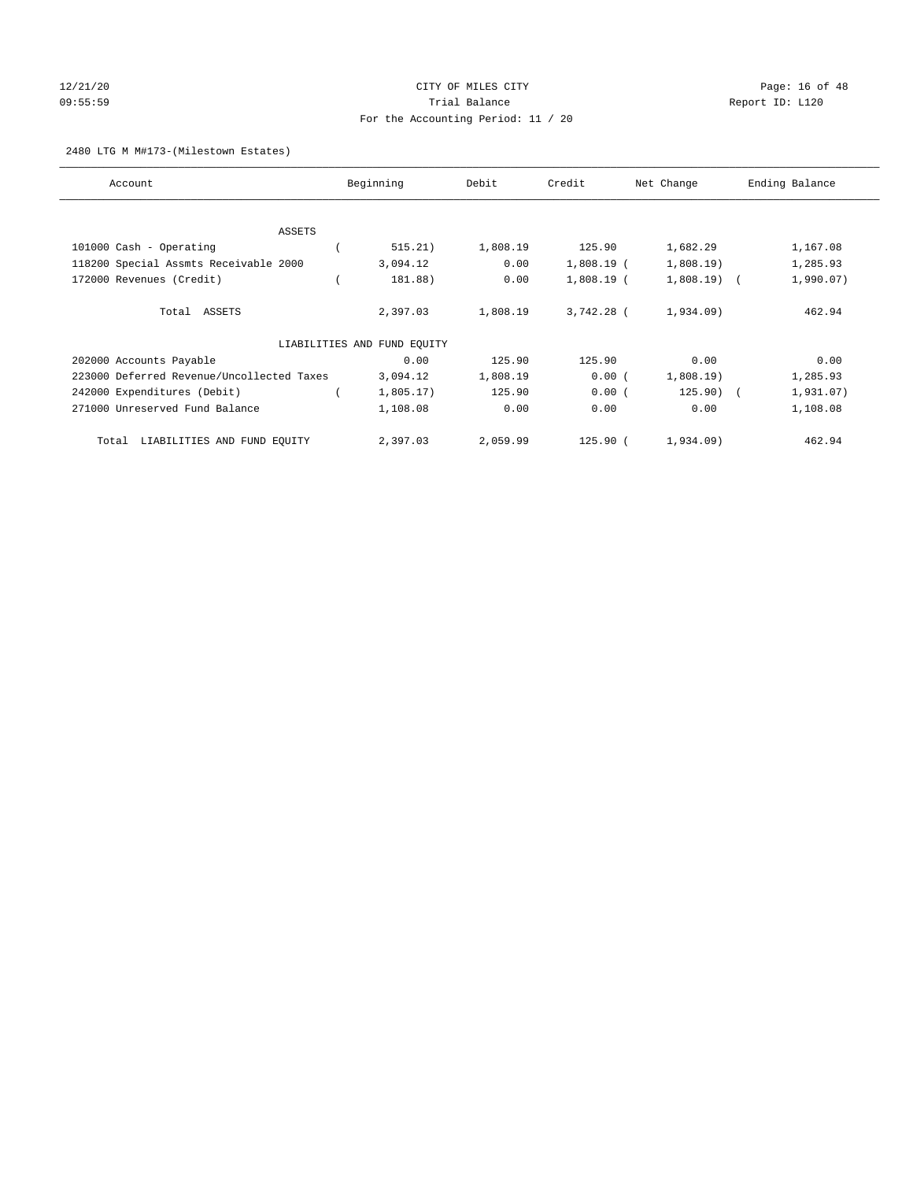## 12/21/20 **CITY OF MILES CITY CITY CITY Page: 16 of 48** 09:55:59 Trial Balance Report ID: L120 For the Accounting Period: 11 / 20

#### 2480 LTG M M#173-(Milestown Estates)

| Account                                   | Beginning                   | Debit    | Credit       | Net Change   | Ending Balance |
|-------------------------------------------|-----------------------------|----------|--------------|--------------|----------------|
| <b>ASSETS</b>                             |                             |          |              |              |                |
| 101000 Cash - Operating                   | 515.21)                     | 1,808.19 | 125.90       | 1,682.29     | 1,167.08       |
| 118200 Special Assmts Receivable 2000     | 3,094.12                    | 0.00     | $1,808.19$ ( | 1,808.19)    | 1,285.93       |
|                                           |                             |          |              |              |                |
| 172000 Revenues (Credit)                  | 181.88)                     | 0.00     | $1,808.19$ ( | $1,808.19$ ( | 1,990.07)      |
| Total ASSETS                              | 2,397.03                    | 1,808.19 | 3,742.28 (   | 1,934.09     | 462.94         |
|                                           | LIABILITIES AND FUND EQUITY |          |              |              |                |
| 202000 Accounts Payable                   | 0.00                        | 125.90   | 125.90       | 0.00         | 0.00           |
| 223000 Deferred Revenue/Uncollected Taxes | 3,094.12                    | 1,808.19 | 0.00(        | 1,808.19     | 1,285.93       |
| 242000 Expenditures (Debit)               | 1,805.17)                   | 125.90   | 0.00(        | 125.90) (    | 1,931.07)      |
| 271000 Unreserved Fund Balance            | 1,108.08                    | 0.00     | 0.00         | 0.00         | 1,108.08       |
| LIABILITIES AND FUND EQUITY<br>Total      | 2,397.03                    | 2,059.99 | $125.90$ (   | 1,934.09)    | 462.94         |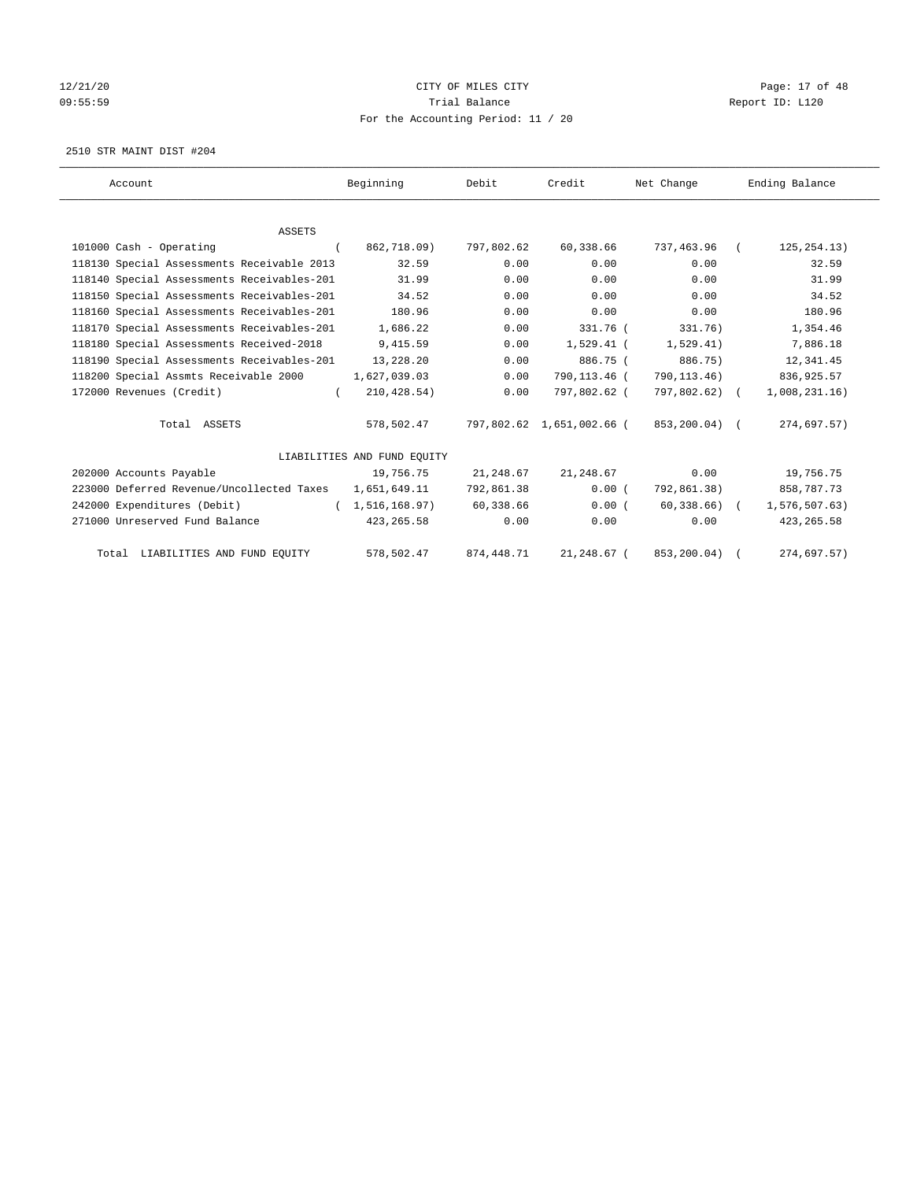## 12/21/20 Page: 17 of 48 09:55:59 Trial Balance Report ID: L120 For the Accounting Period: 11 / 20

2510 STR MAINT DIST #204

| Account                                    | Beginning                   | Debit        | Credit                    | Net Change      | Ending Balance |
|--------------------------------------------|-----------------------------|--------------|---------------------------|-----------------|----------------|
|                                            |                             |              |                           |                 |                |
| <b>ASSETS</b>                              |                             |              |                           |                 |                |
| 101000 Cash - Operating                    | 862,718.09)<br>$\left($     | 797,802.62   | 60,338.66                 | 737,463.96      | 125, 254.13)   |
| 118130 Special Assessments Receivable 2013 | 32.59                       | 0.00         | 0.00                      | 0.00            | 32.59          |
| 118140 Special Assessments Receivables-201 | 31.99                       | 0.00         | 0.00                      | 0.00            | 31.99          |
| 118150 Special Assessments Receivables-201 | 34.52                       | 0.00         | 0.00                      | 0.00            | 34.52          |
| 118160 Special Assessments Receivables-201 | 180.96                      | 0.00         | 0.00                      | 0.00            | 180.96         |
| 118170 Special Assessments Receivables-201 | 1,686.22                    | 0.00         | 331.76 (                  | 331.76)         | 1,354.46       |
| 118180 Special Assessments Received-2018   | 9,415.59                    | 0.00         | $1,529.41$ (              | 1,529.41)       | 7,886.18       |
| 118190 Special Assessments Receivables-201 | 13,228.20                   | 0.00         | 886.75 (                  | 886.75)         | 12,341.45      |
| 118200 Special Assmts Receivable 2000      | 1,627,039.03                | 0.00         | 790,113.46 (              | 790, 113.46)    | 836, 925.57    |
| 172000 Revenues (Credit)                   | 210, 428.54)<br>$\left($    | 0.00         | 797,802.62 (              | $797,802.62)$ ( | 1,008,231.16)  |
| Total ASSETS                               | 578,502.47                  |              | 797,802.62 1,651,002.66 ( | 853,200.04) (   | 274,697.57)    |
|                                            | LIABILITIES AND FUND EQUITY |              |                           |                 |                |
| 202000 Accounts Payable                    | 19,756.75                   | 21,248.67    | 21,248.67                 | 0.00            | 19,756.75      |
| 223000 Deferred Revenue/Uncollected Taxes  | 1,651,649.11                | 792,861.38   | 0.00(                     | 792,861.38)     | 858,787.73     |
| 242000 Expenditures (Debit)                | (1, 516, 168.97)            | 60,338.66    | 0.00(                     | $60,338.66$ (   | 1,576,507.63)  |
| 271000 Unreserved Fund Balance             | 423, 265.58                 | 0.00         | 0.00                      | 0.00            | 423, 265.58    |
| Total LIABILITIES AND FUND EQUITY          | 578,502.47                  | 874, 448. 71 | 21,248.67 (               | 853,200.04)     | 274,697.57)    |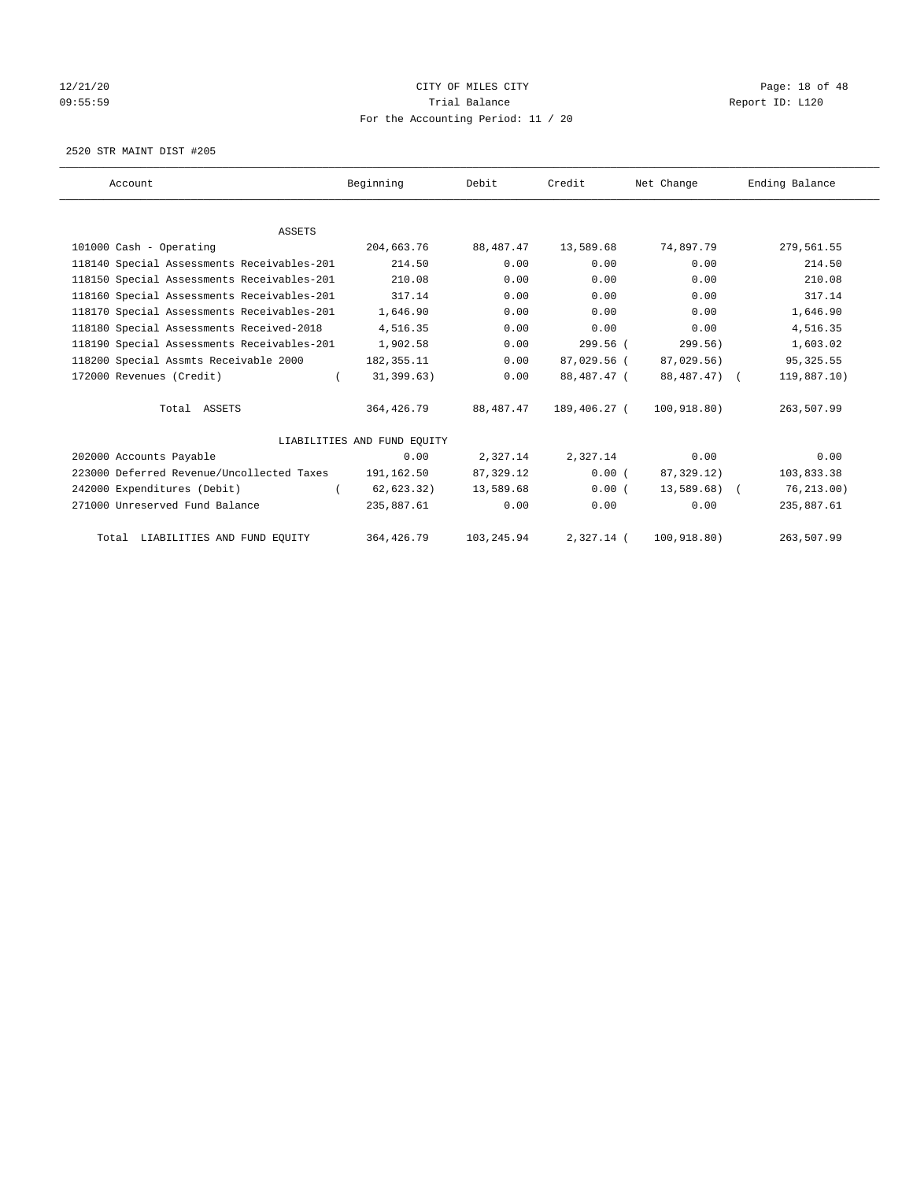## 12/21/20 **CITY OF MILES CITY CITY CITY Page: 18 of 48** 09:55:59 Report ID: L120 For the Accounting Period: 11 / 20

2520 STR MAINT DIST #205

| Account                                    | Beginning                   | Debit       | Credit       | Net Change    | Ending Balance |
|--------------------------------------------|-----------------------------|-------------|--------------|---------------|----------------|
|                                            |                             |             |              |               |                |
| <b>ASSETS</b>                              |                             |             |              |               |                |
| 101000 Cash - Operating                    | 204,663.76                  | 88, 487. 47 | 13,589.68    | 74,897.79     | 279,561.55     |
| 118140 Special Assessments Receivables-201 | 214.50                      | 0.00        | 0.00         | 0.00          | 214.50         |
| 118150 Special Assessments Receivables-201 | 210.08                      | 0.00        | 0.00         | 0.00          | 210.08         |
| 118160 Special Assessments Receivables-201 | 317.14                      | 0.00        | 0.00         | 0.00          | 317.14         |
| 118170 Special Assessments Receivables-201 | 1,646.90                    | 0.00        | 0.00         | 0.00          | 1,646.90       |
| 118180 Special Assessments Received-2018   | 4,516.35                    | 0.00        | 0.00         | 0.00          | 4,516.35       |
| 118190 Special Assessments Receivables-201 | 1,902.58                    | 0.00        | 299.56 (     | 299.56)       | 1,603.02       |
| 118200 Special Assmts Receivable 2000      | 182, 355. 11                | 0.00        | 87,029.56 (  | 87,029.56)    | 95, 325.55     |
| 172000 Revenues (Credit)                   | 31, 399.63)<br>$\left($     | 0.00        | 88,487.47 (  | 88,487.47) (  | 119,887.10)    |
| Total ASSETS                               | 364,426.79                  | 88,487.47   | 189,406.27 ( | 100,918.80)   | 263,507.99     |
|                                            | LIABILITIES AND FUND EQUITY |             |              |               |                |
| 202000 Accounts Payable                    | 0.00                        | 2,327.14    | 2,327.14     | 0.00          | 0.00           |
| 223000 Deferred Revenue/Uncollected Taxes  | 191,162.50                  | 87,329.12   | 0.00(        | 87,329.12)    | 103,833.38     |
| 242000 Expenditures (Debit)                | 62,623.32)                  | 13,589.68   | 0.00(        | $13,589.68$ ( | 76, 213, 00)   |
| 271000 Unreserved Fund Balance             | 235,887.61                  | 0.00        | 0.00         | 0.00          | 235,887.61     |
| Total LIABILITIES AND FUND EQUITY          | 364, 426.79                 | 103,245.94  | $2.327.14$ ( | 100, 918.80)  | 263,507.99     |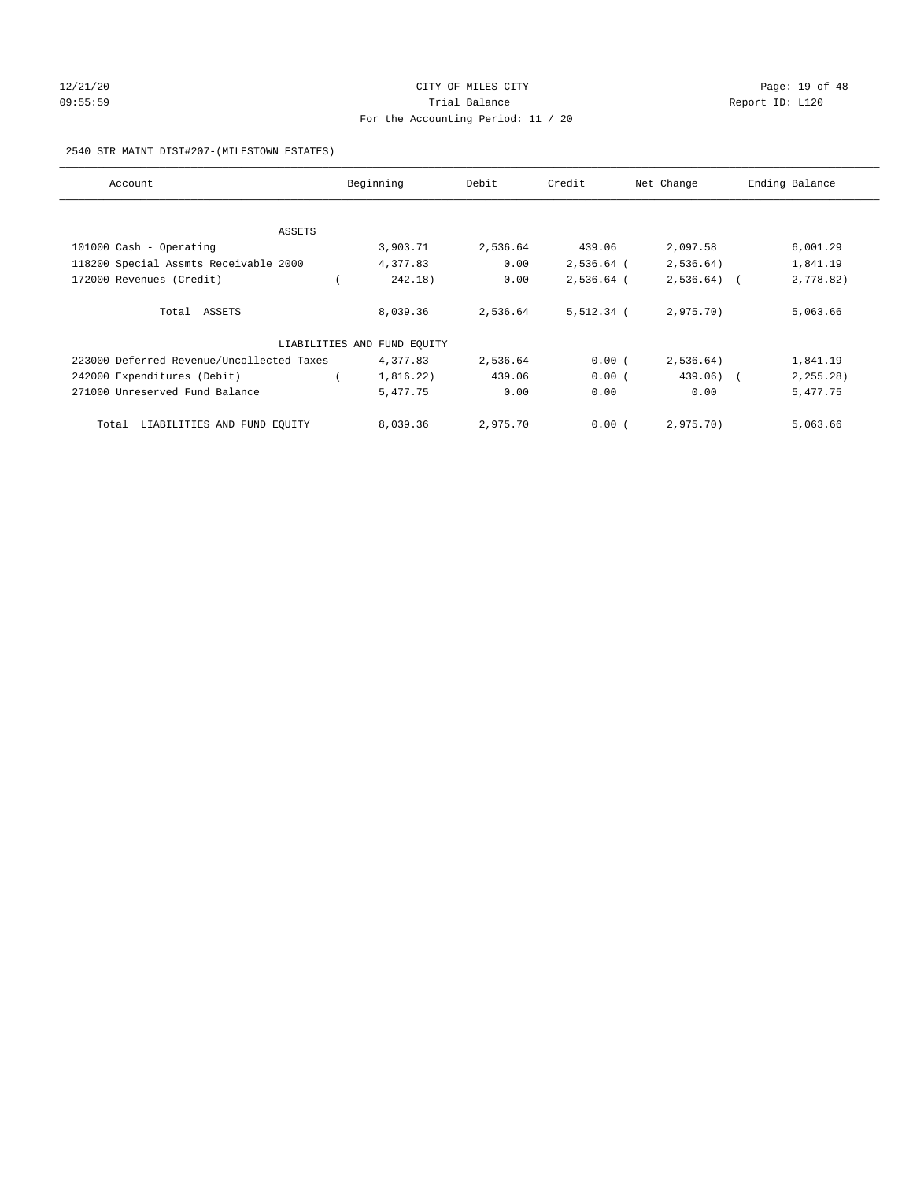## 12/21/20 **CITY OF MILES CITY CITY CITY Page: 19 of 48** 09:55:59 Report ID: L120 For the Accounting Period: 11 / 20

#### 2540 STR MAINT DIST#207-(MILESTOWN ESTATES)

| Account                                   | Beginning                   | Debit    | Credit       | Net Change   | Ending Balance |
|-------------------------------------------|-----------------------------|----------|--------------|--------------|----------------|
|                                           |                             |          |              |              |                |
| ASSETS                                    |                             |          |              |              |                |
| 101000 Cash - Operating                   | 3,903.71                    | 2,536.64 | 439.06       | 2,097.58     | 6,001.29       |
| 118200 Special Assmts Receivable 2000     | 4,377.83                    | 0.00     | 2,536.64 (   | 2,536.64)    | 1,841.19       |
| 172000 Revenues (Credit)                  | 242.18)                     | 0.00     | 2,536.64 (   | $2,536.64$ ( | 2,778.82)      |
| Total ASSETS                              | 8,039.36                    | 2,536.64 | $5,512.34$ ( | 2,975.70)    | 5,063.66       |
|                                           | LIABILITIES AND FUND EQUITY |          |              |              |                |
| 223000 Deferred Revenue/Uncollected Taxes | 4,377.83                    | 2,536.64 | 0.00(        | 2,536.64)    | 1,841.19       |
| 242000 Expenditures (Debit)               | 1,816.22)                   | 439.06   | 0.00(        | $439.06$ ) ( | 2, 255.28)     |
| 271000 Unreserved Fund Balance            | 5,477.75                    | 0.00     | 0.00         | 0.00         | 5,477.75       |
| LIABILITIES AND FUND EQUITY<br>Total      | 8,039.36                    | 2,975.70 | 0.00(        | 2,975.70)    | 5,063.66       |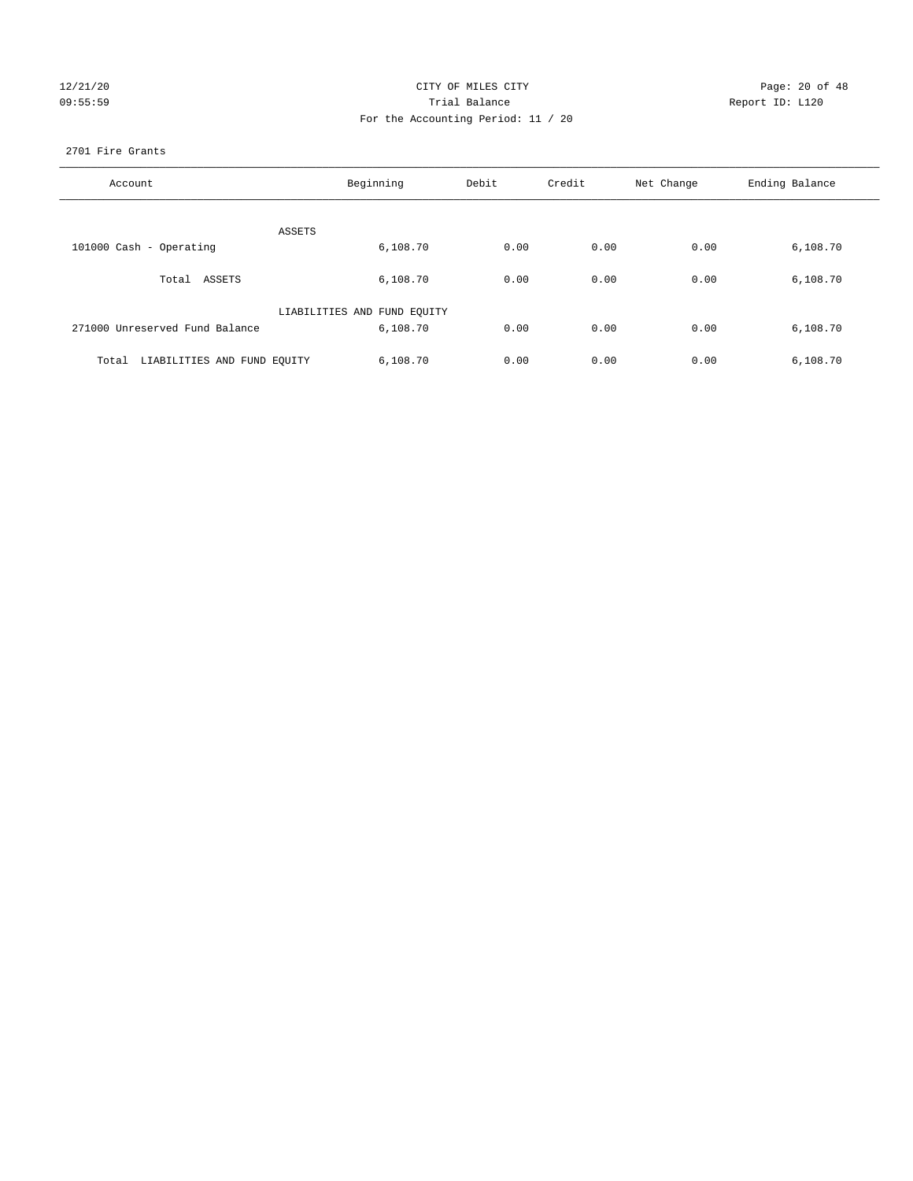|        | 12/21/20 |
|--------|----------|
| 09:55: |          |

## CITY OF MILES CITY CONTROL CONTROL CONTROL CITY CONTROL Page: 20 of 48 09:55:59 **Trial Balance Constanting Construction Report ID:** L120 For the Accounting Period: 11 / 20

#### 2701 Fire Grants

| Account                              | Beginning                   | Debit | Credit | Net Change | Ending Balance |
|--------------------------------------|-----------------------------|-------|--------|------------|----------------|
| ASSETS                               |                             |       |        |            |                |
| 101000 Cash - Operating              | 6,108.70                    | 0.00  | 0.00   | 0.00       | 6,108.70       |
| Total ASSETS                         | 6,108.70                    | 0.00  | 0.00   | 0.00       | 6,108.70       |
|                                      | LIABILITIES AND FUND EQUITY |       |        |            |                |
| 271000 Unreserved Fund Balance       | 6,108.70                    | 0.00  | 0.00   | 0.00       | 6,108.70       |
| LIABILITIES AND FUND EQUITY<br>Total | 6,108.70                    | 0.00  | 0.00   | 0.00       | 6,108.70       |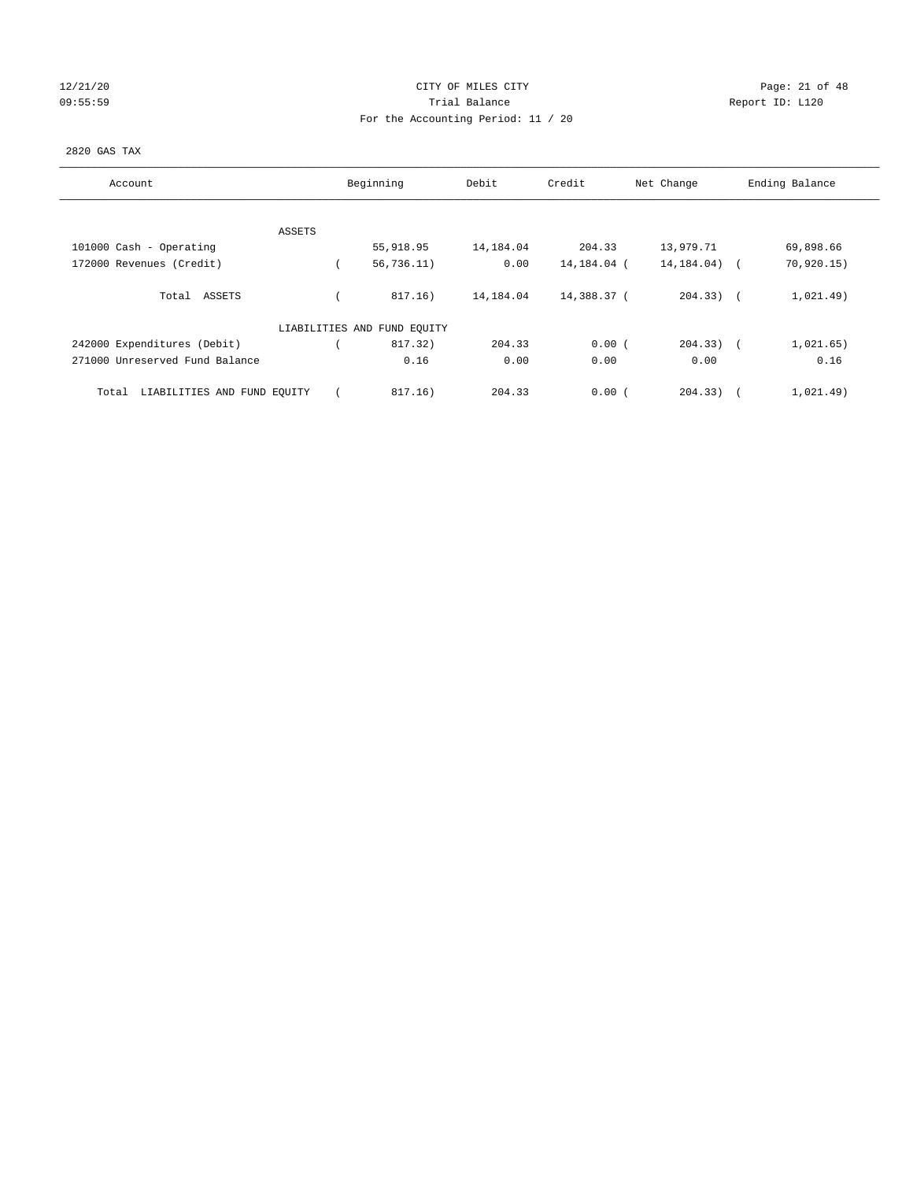## 12/21/20 **CITY OF MILES CITY CITY CITY Page: 21 of 48** 09:55:59 Report ID: L120 For the Accounting Period: 11 / 20

### 2820 GAS TAX

| Account                              | Beginning                   | Debit     | Credit      | Net Change     | Ending Balance      |
|--------------------------------------|-----------------------------|-----------|-------------|----------------|---------------------|
| ASSETS                               |                             |           |             |                |                     |
| 101000 Cash - Operating              | 55,918.95                   | 14,184.04 | 204.33      | 13,979.71      | 69,898.66           |
| 172000 Revenues (Credit)             | 56, 736.11)                 | 0.00      | 14,184.04 ( | 14, 184.04)    | 70,920.15)          |
| Total ASSETS                         | 817.16)                     | 14,184.04 | 14,388.37 ( | $204.33$ ) $($ | 1,021.49)           |
|                                      | LIABILITIES AND FUND EQUITY |           |             |                |                     |
| 242000 Expenditures (Debit)          | 817.32)                     | 204.33    | 0.00(       | $204.33)$ (    | 1,021.65)           |
| 271000 Unreserved Fund Balance       | 0.16                        | 0.00      | 0.00        | 0.00           | 0.16                |
| LIABILITIES AND FUND EQUITY<br>Total | 817.16)                     | 204.33    | 0.00(       | 204.33)        | 1,021.49)<br>$\sim$ |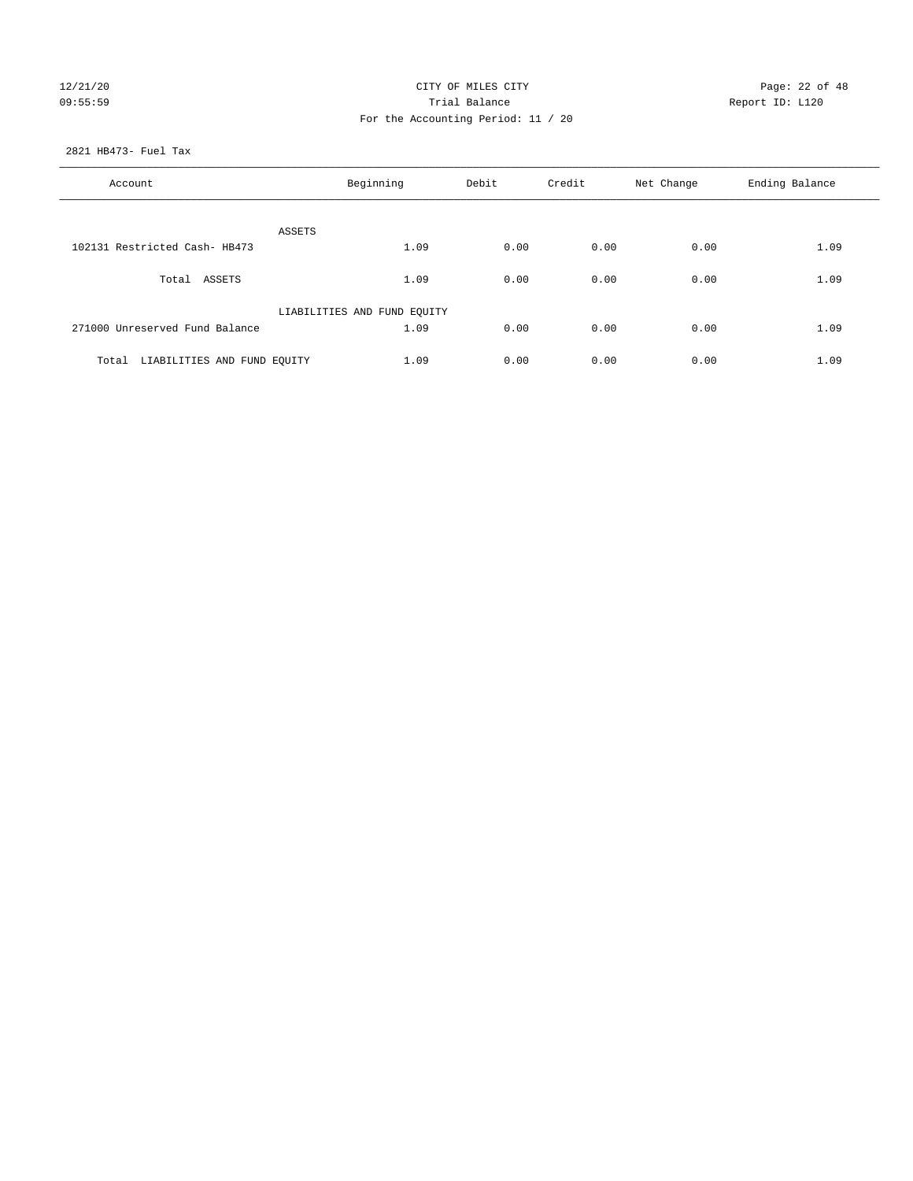## 12/21/20 **CITY OF MILES CITY CITY CITY Page: 22 of 48** 09:55:59 Report ID: L120 For the Accounting Period: 11 / 20

2821 HB473- Fuel Tax

| Account                           | Beginning                   |      | Credit | Net Change | Ending Balance |
|-----------------------------------|-----------------------------|------|--------|------------|----------------|
| ASSETS                            |                             |      |        |            |                |
| 102131 Restricted Cash- HB473     | 1.09                        | 0.00 | 0.00   | 0.00       | 1.09           |
| Total ASSETS                      | 1.09                        | 0.00 | 0.00   | 0.00       | 1.09           |
|                                   | LIABILITIES AND FUND EQUITY |      |        |            |                |
| 271000 Unreserved Fund Balance    | 1.09                        | 0.00 | 0.00   | 0.00       | 1.09           |
| Total LIABILITIES AND FUND EOUITY | 1.09                        | 0.00 | 0.00   | 0.00       | 1.09           |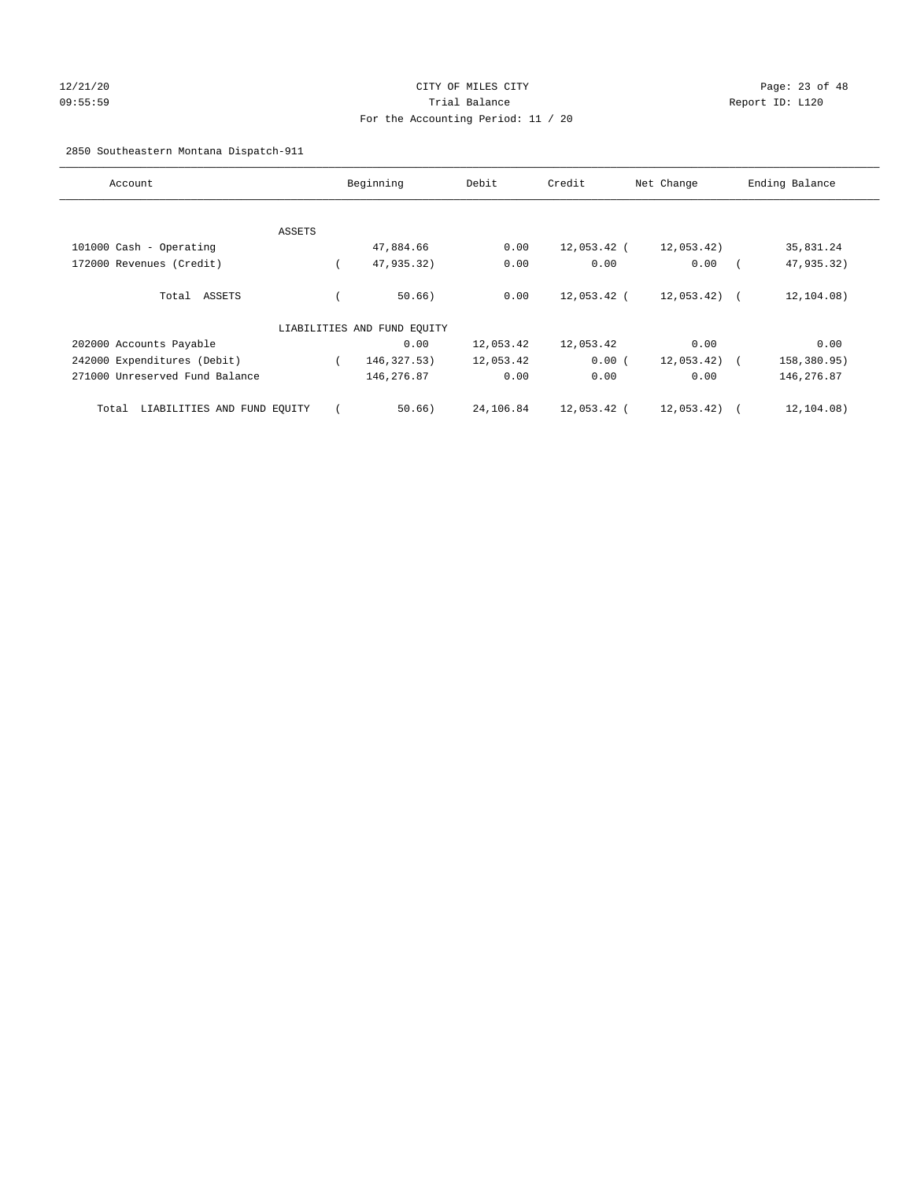## 12/21/20 Page: 23 of 48 09:55:59 Trial Balance Report ID: L120 For the Accounting Period: 11 / 20

## 2850 Southeastern Montana Dispatch-911

| Account                              | Beginning |                             | Debit     | Credit        | Net Change    | Ending Balance |
|--------------------------------------|-----------|-----------------------------|-----------|---------------|---------------|----------------|
|                                      |           |                             |           |               |               |                |
|                                      | ASSETS    |                             |           |               |               |                |
| 101000 Cash - Operating              |           | 47,884.66                   | 0.00      | $12,053.42$ ( | 12,053.42)    | 35,831.24      |
| 172000 Revenues (Credit)             |           | 47,935.32)                  | 0.00      | 0.00          | 0.00          | 47,935.32)     |
| ASSETS<br>Total                      |           | $50.66$ )                   | 0.00      | 12,053.42 (   | $12,053.42$ ( | 12,104.08)     |
|                                      |           | LIABILITIES AND FUND EQUITY |           |               |               |                |
| 202000 Accounts Payable              |           | 0.00                        | 12,053.42 | 12,053.42     | 0.00          | 0.00           |
| 242000 Expenditures (Debit)          |           | 146, 327.53)                | 12,053.42 | 0.00(         | 12,053.42)    | 158,380.95)    |
| 271000 Unreserved Fund Balance       |           | 146,276.87                  | 0.00      | 0.00          | 0.00          | 146,276.87     |
| LIABILITIES AND FUND EQUITY<br>Total |           | 50.66)                      | 24,106.84 | 12,053.42 (   | 12,053.42)    | 12,104.08)     |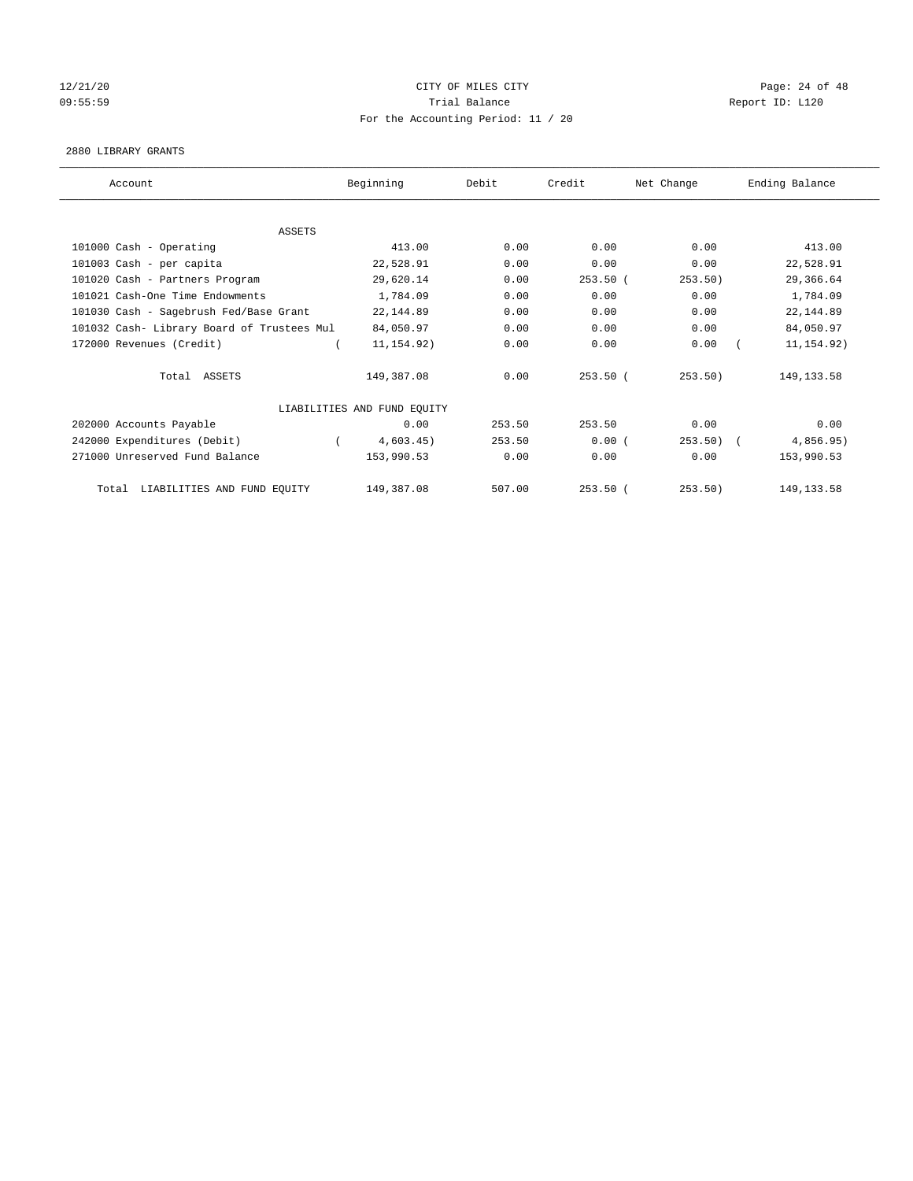## 12/21/20 **CITY OF MILES CITY CITY CITY Page: 24 of 48** 09:55:59 Report ID: L120 For the Accounting Period: 11 / 20

#### 2880 LIBRARY GRANTS

| Account                                    | Beginning                   | Debit  | Credit     | Net Change | Ending Balance |
|--------------------------------------------|-----------------------------|--------|------------|------------|----------------|
|                                            |                             |        |            |            |                |
| <b>ASSETS</b>                              |                             |        |            |            |                |
| 101000 Cash - Operating                    | 413.00                      | 0.00   | 0.00       | 0.00       | 413.00         |
| 101003 Cash - per capita                   | 22,528.91                   | 0.00   | 0.00       | 0.00       | 22,528.91      |
| 101020 Cash - Partners Program             | 29,620.14                   | 0.00   | $253.50$ ( | 253.50)    | 29,366.64      |
| 101021 Cash-One Time Endowments            | 1,784.09                    | 0.00   | 0.00       | 0.00       | 1,784.09       |
| 101030 Cash - Sagebrush Fed/Base Grant     | 22, 144.89                  | 0.00   | 0.00       | 0.00       | 22, 144.89     |
| 101032 Cash- Library Board of Trustees Mul | 84,050.97                   | 0.00   | 0.00       | 0.00       | 84,050.97      |
| 172000 Revenues (Credit)                   | 11, 154.92)                 | 0.00   | 0.00       | 0.00       | 11, 154.92)    |
| Total ASSETS                               | 149,387.08                  | 0.00   | $253.50$ ( | 253.50)    | 149, 133.58    |
|                                            | LIABILITIES AND FUND EQUITY |        |            |            |                |
| 202000 Accounts Payable                    | 0.00                        | 253.50 | 253.50     | 0.00       | 0.00           |
| 242000 Expenditures (Debit)                | 4,603.45)                   | 253.50 | 0.00(      | 253.50     | 4,856.95)      |
| 271000 Unreserved Fund Balance             | 153,990.53                  | 0.00   | 0.00       | 0.00       | 153,990.53     |
| LIABILITIES AND FUND EQUITY<br>Total       | 149,387.08                  | 507.00 | $253.50$ ( | 253.50)    | 149, 133.58    |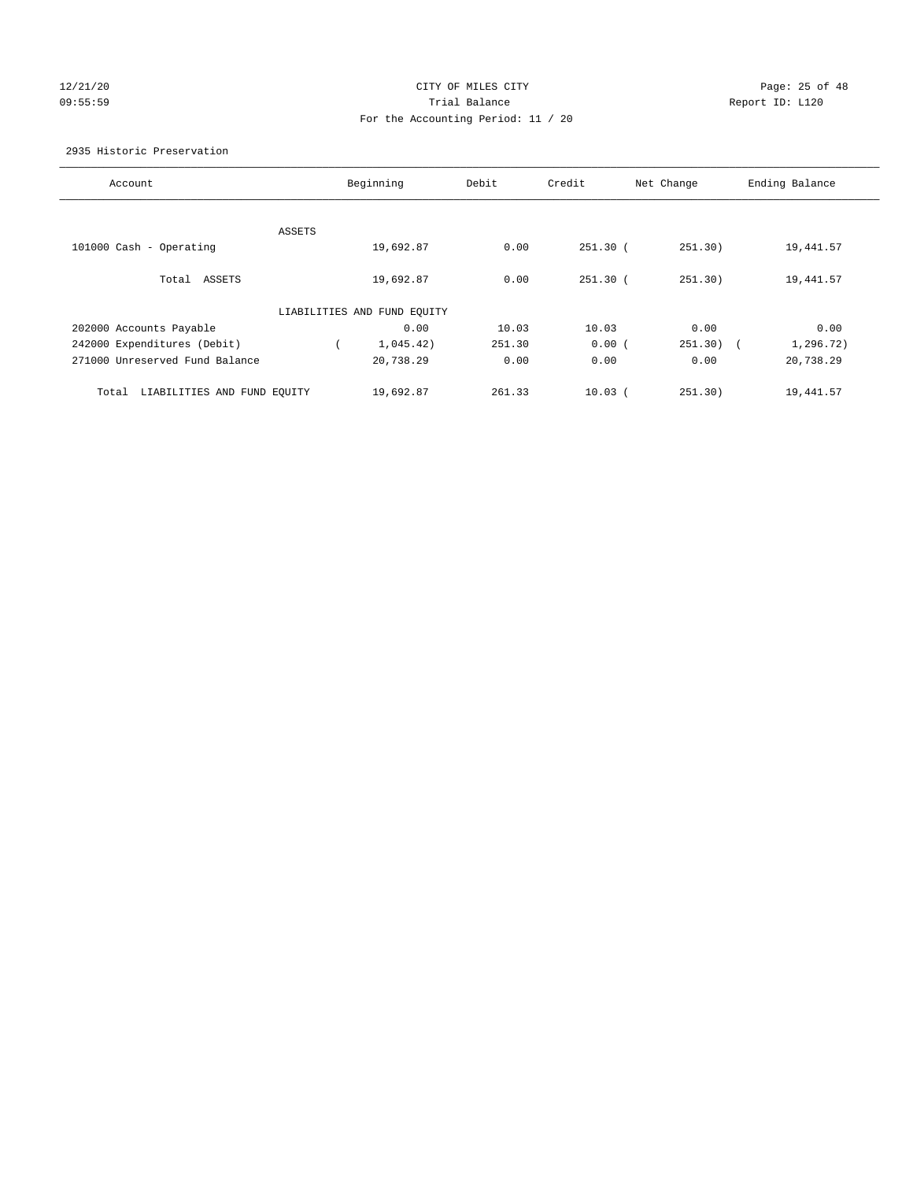## 12/21/20 **CITY OF MILES CITY CITY CITY Page: 25 of 48** 09:55:59 Report ID: L120 For the Accounting Period: 11 / 20

#### 2935 Historic Preservation

| Account                              |        | Beginning                   | Debit  | Credit      | Net Change | Ending Balance |
|--------------------------------------|--------|-----------------------------|--------|-------------|------------|----------------|
|                                      |        |                             |        |             |            |                |
|                                      | ASSETS |                             |        |             |            |                |
| 101000 Cash - Operating              |        | 19,692.87                   | 0.00   | $251.30$ (  | 251.30)    | 19,441.57      |
|                                      |        |                             |        |             |            |                |
| Total<br>ASSETS                      |        | 19,692.87                   | 0.00   | $251.30$ (  | 251.30)    | 19,441.57      |
|                                      |        |                             |        |             |            |                |
|                                      |        | LIABILITIES AND FUND EQUITY |        |             |            |                |
| 202000 Accounts Payable              |        | 0.00                        | 10.03  | 10.03       | 0.00       | 0.00           |
| 242000 Expenditures (Debit)          |        | 1,045.42)                   | 251.30 | 0.00(       | $251.30$ ( | 1,296.72)      |
| 271000 Unreserved Fund Balance       |        | 20,738.29                   | 0.00   | 0.00        | 0.00       | 20,738.29      |
|                                      |        |                             |        |             |            |                |
|                                      |        |                             |        |             |            |                |
| LIABILITIES AND FUND EQUITY<br>Total |        | 19,692.87                   | 261.33 | $10.03$ $($ | 251.30)    | 19,441.57      |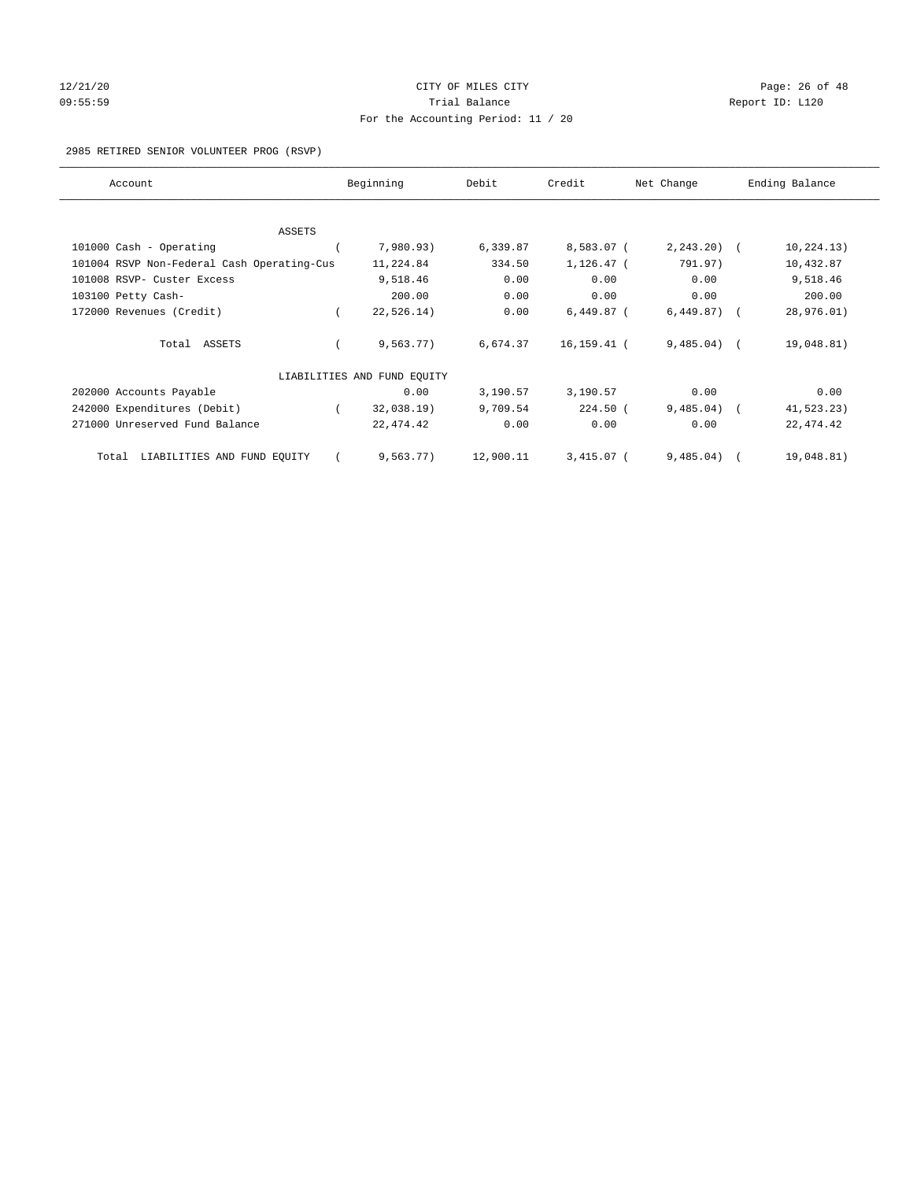## 12/21/20 Page: 26 of 48 09:55:59 Report ID: L120 For the Accounting Period: 11 / 20

#### 2985 RETIRED SENIOR VOLUNTEER PROG (RSVP)

| Account                                    | Beginning                   | Debit     | Credit       | Net Change     | Ending Balance |
|--------------------------------------------|-----------------------------|-----------|--------------|----------------|----------------|
|                                            |                             |           |              |                |                |
| ASSETS                                     |                             |           |              |                |                |
| 101000 Cash - Operating                    | 7,980.93)                   | 6,339.87  | 8,583.07 (   | $2, 243.20$ (  | 10, 224.13)    |
| 101004 RSVP Non-Federal Cash Operating-Cus | 11,224.84                   | 334.50    | $1,126.47$ ( | 791.97)        | 10,432.87      |
| 101008 RSVP- Custer Excess                 | 9,518.46                    | 0.00      | 0.00         | 0.00           | 9,518.46       |
| 103100 Petty Cash-                         | 200.00                      | 0.00      | 0.00         | 0.00           | 200.00         |
| 172000 Revenues (Credit)                   | 22, 526.14)                 | 0.00      | $6,449.87$ ( | $6,449.87$ ) ( | 28,976.01)     |
| Total ASSETS                               | 9,563.77)                   | 6,674.37  | 16,159.41 (  | $9,485.04$ (   | 19,048.81)     |
|                                            | LIABILITIES AND FUND EQUITY |           |              |                |                |
| 202000 Accounts Payable                    | 0.00                        | 3,190.57  | 3,190.57     | 0.00           | 0.00           |
| 242000 Expenditures (Debit)                | 32,038.19)                  | 9,709.54  | $224.50$ (   | $9,485.04$ (   | 41,523.23)     |
| 271000 Unreserved Fund Balance             | 22, 474.42                  | 0.00      | 0.00         | 0.00           | 22, 474.42     |
| LIABILITIES AND FUND EQUITY<br>Total       | 9,563.77)                   | 12,900.11 | $3,415.07$ ( | 9,485.04)      | 19,048.81)     |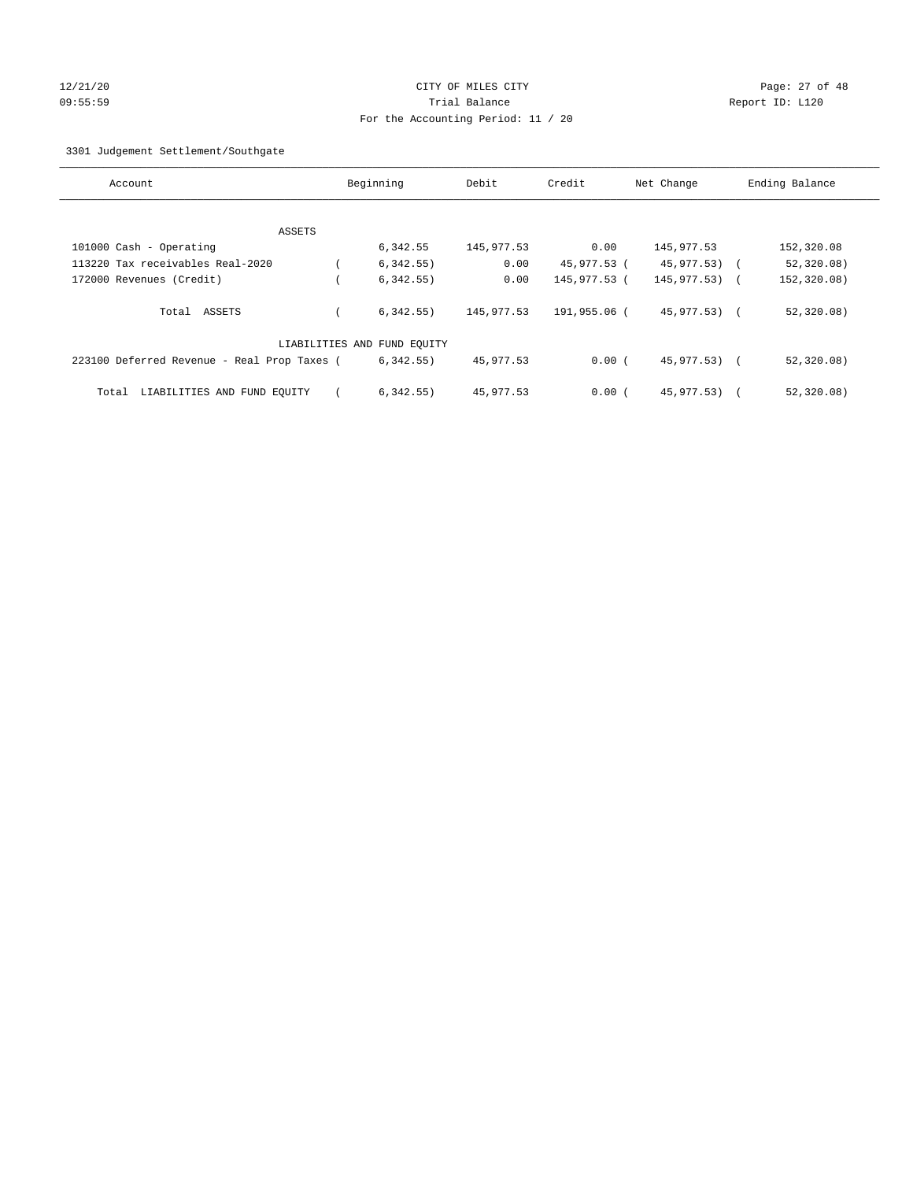## 12/21/20 Page: 27 of 48 09:55:59 Trial Balance Report ID: L120 For the Accounting Period: 11 / 20

3301 Judgement Settlement/Southgate

| Account                                     | Beginning                   | Debit      | Credit       | Net Change       |            | Ending Balance |
|---------------------------------------------|-----------------------------|------------|--------------|------------------|------------|----------------|
|                                             |                             |            |              |                  |            |                |
| ASSETS                                      |                             |            |              |                  |            |                |
| 101000 Cash - Operating                     | 6,342.55                    | 145,977.53 | 0.00         | 145, 977.53      |            | 152,320.08     |
| 113220 Tax receivables Real-2020            | 6,342.55)                   | 0.00       | 45,977.53 (  | $45,977.53$ (    |            | 52,320.08)     |
| 172000 Revenues (Credit)                    | 6,342.55)                   | 0.00       | 145,977.53 ( | $145, 977, 53$ ( |            | 152,320.08)    |
| Total ASSETS                                | 6,342.55)                   | 145,977.53 | 191,955.06 ( | 45,977.53) (     |            | 52, 320.08)    |
|                                             | LIABILITIES AND FUND EQUITY |            |              |                  |            |                |
| 223100 Deferred Revenue - Real Prop Taxes ( | 6,342.55)                   | 45,977.53  | 0.00(        | 45,977.53) (     |            | 52, 320.08)    |
| LIABILITIES AND FUND EQUITY<br>Total        | 6,342.55)                   | 45,977.53  | 0.00(        | 45,977,53)       | $\sqrt{2}$ | 52,320.08)     |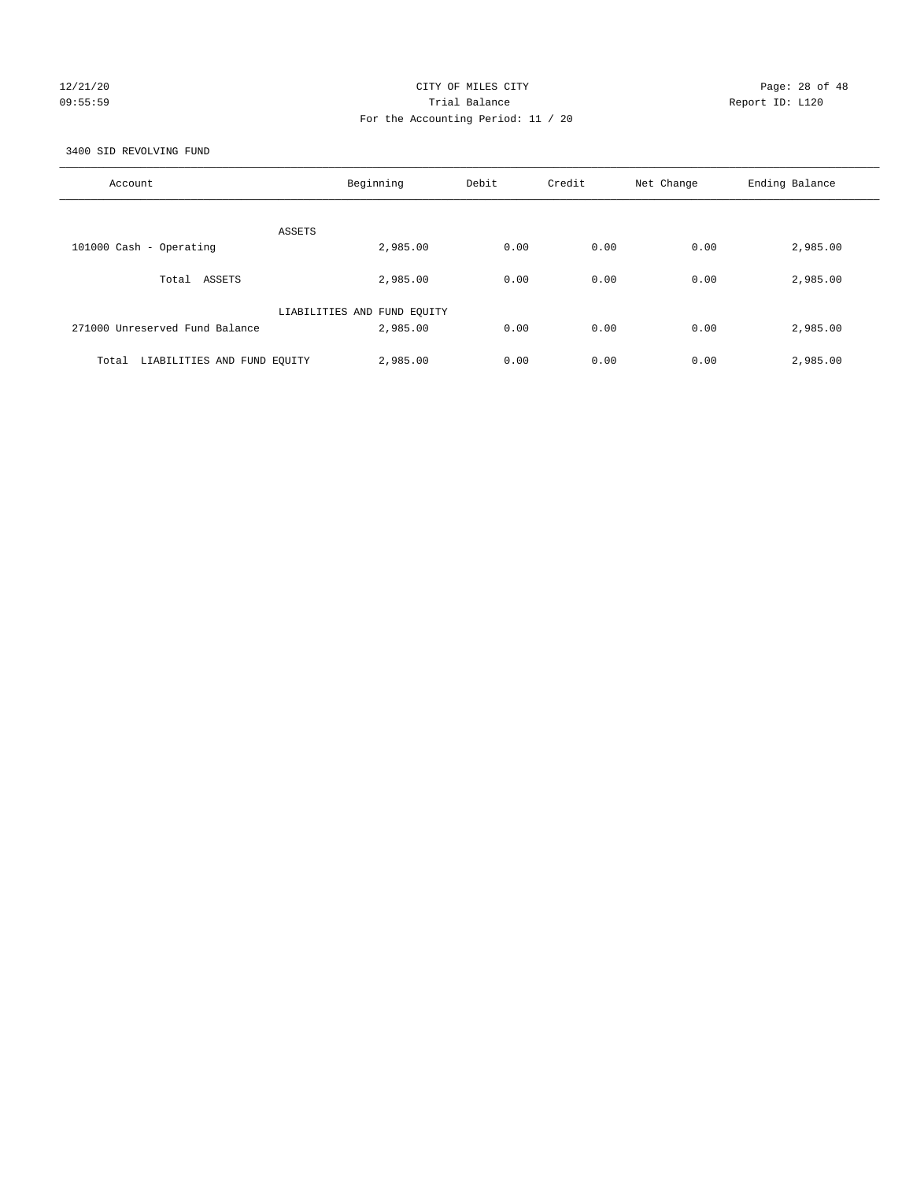## 12/21/20 Page: 28 of 48 09:55:59 Trial Balance Report ID: L120 For the Accounting Period: 11 / 20

3400 SID REVOLVING FUND

| Account                              | Beginning                   | Debit | Credit | Net Change | Ending Balance |
|--------------------------------------|-----------------------------|-------|--------|------------|----------------|
| ASSETS                               |                             |       |        |            |                |
| 101000 Cash - Operating              | 2,985.00                    | 0.00  | 0.00   | 0.00       | 2,985.00       |
| Total ASSETS                         | 2,985.00                    | 0.00  | 0.00   | 0.00       | 2,985.00       |
|                                      | LIABILITIES AND FUND EQUITY |       |        |            |                |
| 271000 Unreserved Fund Balance       | 2,985.00                    | 0.00  | 0.00   | 0.00       | 2,985.00       |
| LIABILITIES AND FUND EQUITY<br>Total | 2,985.00                    | 0.00  | 0.00   | 0.00       | 2,985.00       |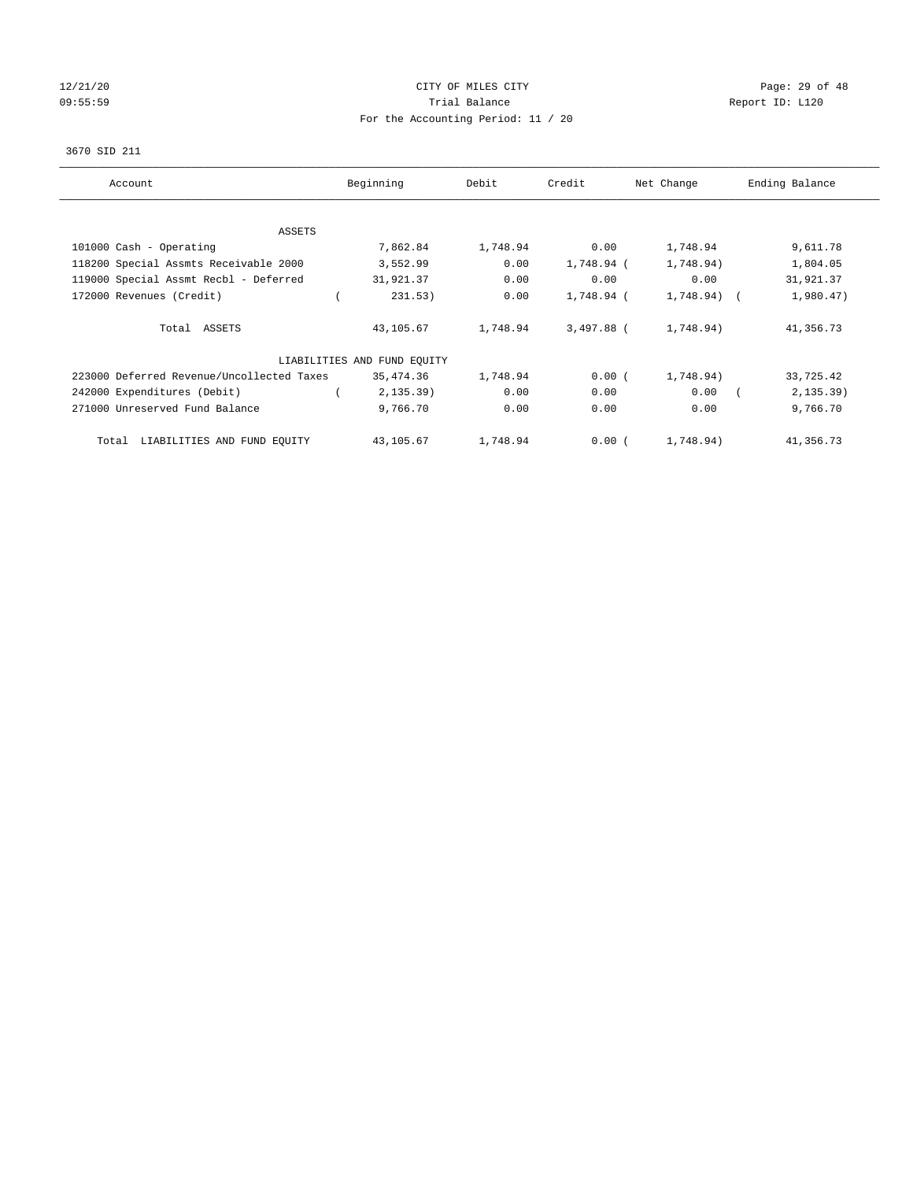## 12/21/20 **CITY OF MILES CITY CITY CITY Page: 29 of 48** 09:55:59 Report ID: L120 For the Accounting Period: 11 / 20

#### 3670 SID 211

| Account                                   | Beginning                   | Debit    | Credit     | Net Change   | Ending Balance |
|-------------------------------------------|-----------------------------|----------|------------|--------------|----------------|
| ASSETS                                    |                             |          |            |              |                |
| 101000 Cash - Operating                   | 7,862.84                    | 1,748.94 | 0.00       | 1,748.94     | 9,611.78       |
| 118200 Special Assmts Receivable 2000     | 3,552.99                    | 0.00     | 1,748.94 ( | 1,748.94)    | 1,804.05       |
| 119000 Special Assmt Recbl - Deferred     | 31,921.37                   | 0.00     | 0.00       | 0.00         | 31,921.37      |
| 172000 Revenues (Credit)                  | 231.53)                     | 0.00     | 1,748.94 ( | $1,748.94$ ( | 1,980.47)      |
| Total ASSETS                              | 43,105.67                   | 1,748.94 | 3,497.88 ( | 1,748.94)    | 41,356.73      |
|                                           | LIABILITIES AND FUND EQUITY |          |            |              |                |
| 223000 Deferred Revenue/Uncollected Taxes | 35,474.36                   | 1,748.94 | 0.00(      | 1,748.94)    | 33,725.42      |
| 242000 Expenditures (Debit)               | 2, 135.39)                  | 0.00     | 0.00       | 0.00         | $2, 135.39$ )  |
| 271000 Unreserved Fund Balance            | 9,766.70                    | 0.00     | 0.00       | 0.00         | 9,766.70       |
| LIABILITIES AND FUND EQUITY<br>Total      | 43,105.67                   | 1,748.94 | 0.00(      | 1,748.94)    | 41,356.73      |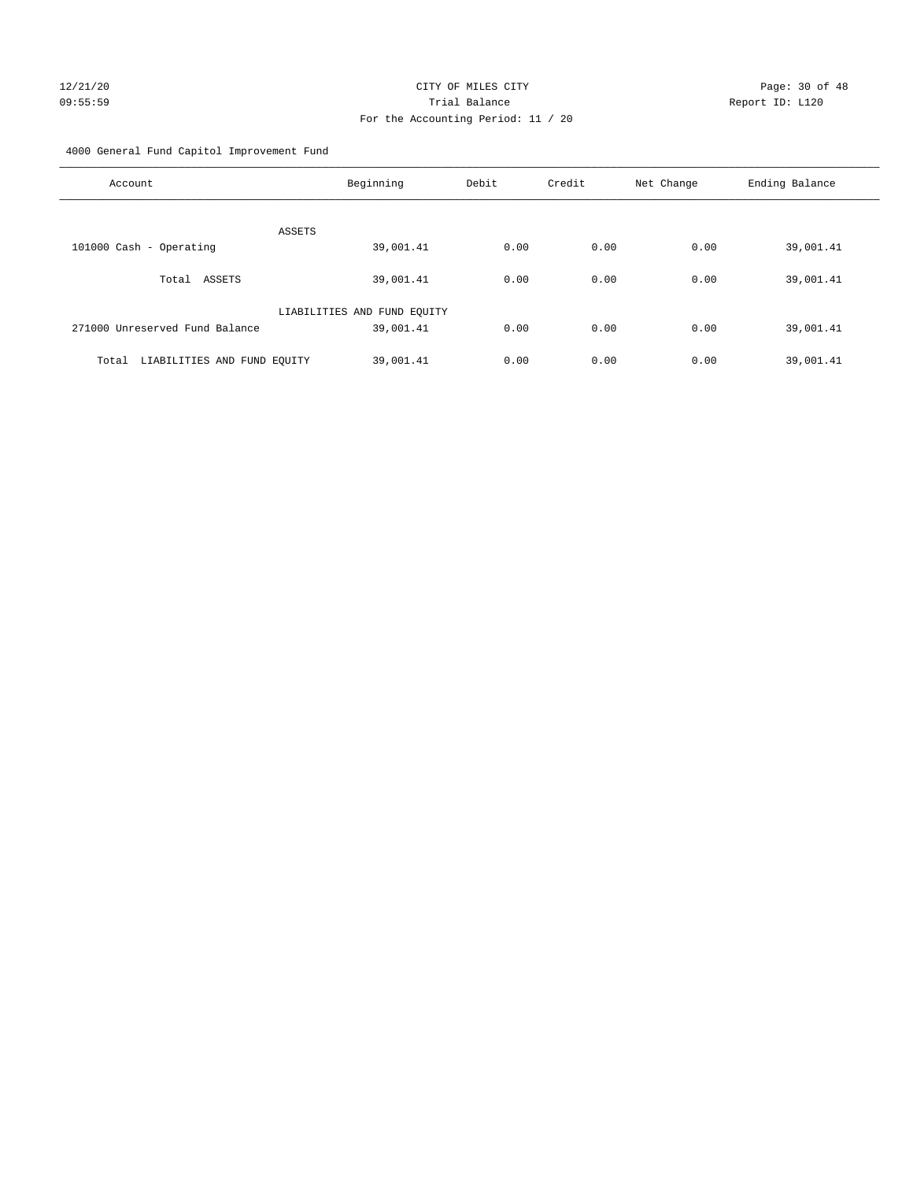## 12/21/20 Page: 30 of 48 09:55:59 Trial Balance Report ID: L120 For the Accounting Period: 11 / 20

4000 General Fund Capitol Improvement Fund

| Account                              | Beginning                   | Debit | Credit | Net Change | Ending Balance |
|--------------------------------------|-----------------------------|-------|--------|------------|----------------|
| ASSETS                               |                             |       |        |            |                |
| 101000 Cash - Operating              | 39,001.41                   | 0.00  | 0.00   | 0.00       | 39,001.41      |
| ASSETS<br>Total                      | 39,001.41                   | 0.00  | 0.00   | 0.00       | 39,001.41      |
|                                      | LIABILITIES AND FUND EQUITY |       |        |            |                |
| 271000 Unreserved Fund Balance       | 39,001.41                   | 0.00  | 0.00   | 0.00       | 39,001.41      |
| Total<br>LIABILITIES AND FUND EQUITY | 39,001.41                   | 0.00  | 0.00   | 0.00       | 39,001.41      |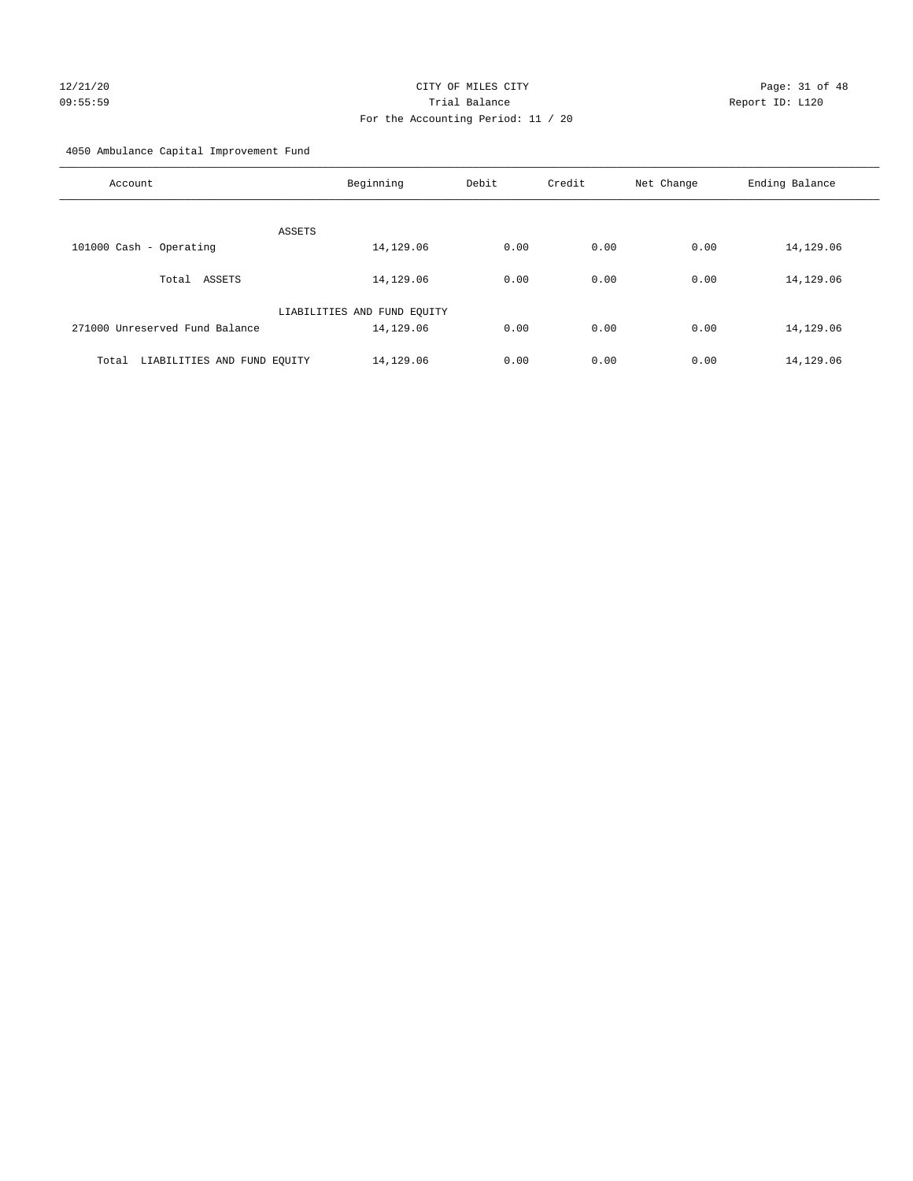## 12/21/20 Page: 31 of 48 09:55:59 Trial Balance Report ID: L120 For the Accounting Period: 11 / 20

4050 Ambulance Capital Improvement Fund

| Account                              | Beginning                   | Debit | Credit | Net Change | Ending Balance |
|--------------------------------------|-----------------------------|-------|--------|------------|----------------|
| ASSETS                               |                             |       |        |            |                |
| 101000 Cash - Operating              | 14,129.06                   | 0.00  | 0.00   | 0.00       | 14,129.06      |
| ASSETS<br>Total                      | 14,129.06                   | 0.00  | 0.00   | 0.00       | 14,129.06      |
|                                      | LIABILITIES AND FUND EQUITY |       |        |            |                |
| 271000 Unreserved Fund Balance       | 14,129.06                   | 0.00  | 0.00   | 0.00       | 14,129.06      |
| LIABILITIES AND FUND EQUITY<br>Total | 14,129.06                   | 0.00  | 0.00   | 0.00       | 14,129.06      |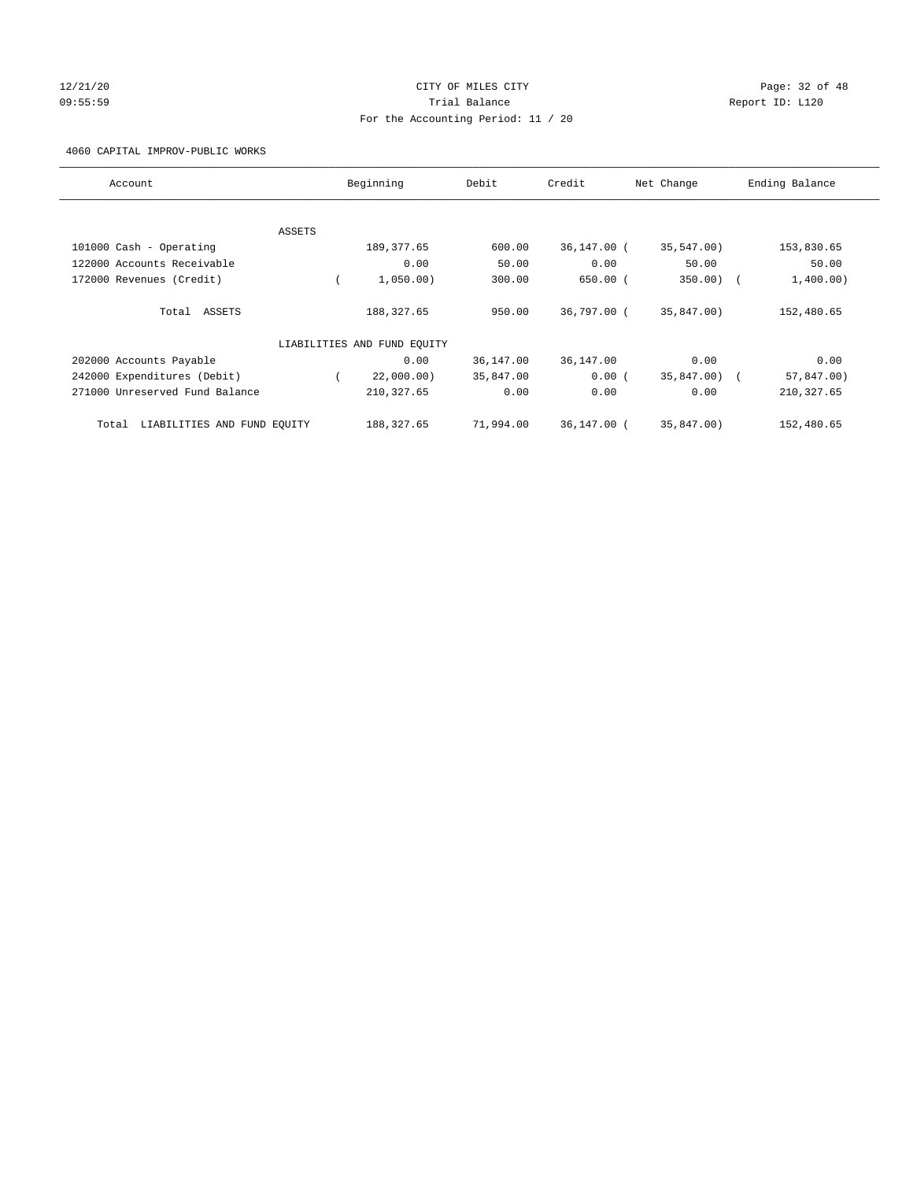## 12/21/20 Page: 32 of 48 09:55:59 Trial Balance Report ID: L120 For the Accounting Period: 11 / 20

4060 CAPITAL IMPROV-PUBLIC WORKS

| Account                              |        | Beginning                   | Debit     | Credit      | Net Change | Ending Balance          |
|--------------------------------------|--------|-----------------------------|-----------|-------------|------------|-------------------------|
|                                      |        |                             |           |             |            |                         |
|                                      | ASSETS |                             |           |             |            |                         |
| 101000 Cash - Operating              |        | 189, 377.65                 | 600.00    | 36,147.00 ( | 35,547.00) | 153,830.65              |
| 122000 Accounts Receivable           |        | 0.00                        | 50.00     | 0.00        | 50.00      | 50.00                   |
| 172000 Revenues (Credit)             |        | 1,050.00)                   | 300.00    | $650.00$ (  | 350.00)    | 1,400.00)<br>$\sqrt{2}$ |
| Total ASSETS                         |        | 188, 327.65                 | 950.00    | 36,797.00 ( | 35,847.00) | 152,480.65              |
|                                      |        |                             |           |             |            |                         |
|                                      |        | LIABILITIES AND FUND EQUITY |           |             |            |                         |
| 202000 Accounts Payable              |        | 0.00                        | 36,147.00 | 36,147.00   | 0.00       | 0.00                    |
| 242000 Expenditures (Debit)          |        | 22,000.00)                  | 35,847.00 | 0.00(       | 35,847.00) | 57,847.00)              |
| 271000 Unreserved Fund Balance       |        | 210, 327.65                 | 0.00      | 0.00        | 0.00       | 210, 327.65             |
|                                      |        |                             |           |             |            |                         |
| LIABILITIES AND FUND EQUITY<br>Total |        | 188,327.65                  | 71,994.00 | 36,147.00 ( | 35,847.00) | 152,480.65              |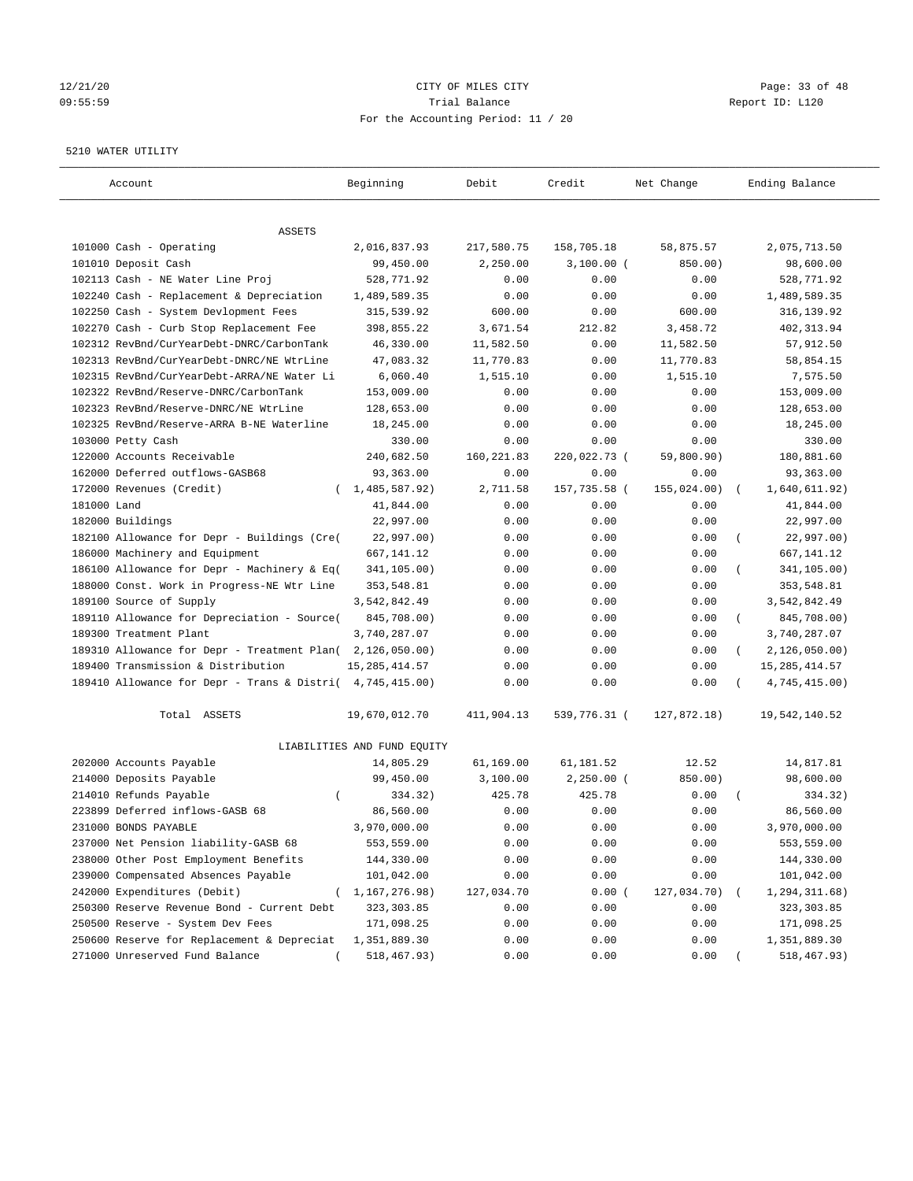## 12/21/20 Page: 33 of 48 09:55:59 Trial Balance Report ID: L120 For the Accounting Period: 11 / 20

#### 5210 WATER UTILITY

| Account                                                   | Beginning                   | Debit       | Credit       | Net Change  | Ending Balance                 |
|-----------------------------------------------------------|-----------------------------|-------------|--------------|-------------|--------------------------------|
| ASSETS                                                    |                             |             |              |             |                                |
| 101000 Cash - Operating                                   | 2,016,837.93                | 217,580.75  | 158,705.18   | 58,875.57   | 2,075,713.50                   |
| 101010 Deposit Cash                                       | 99,450.00                   | 2,250.00    | $3,100.00$ ( | 850.00)     | 98,600.00                      |
| 102113 Cash - NE Water Line Proj                          | 528,771.92                  | 0.00        | 0.00         | 0.00        | 528,771.92                     |
| 102240 Cash - Replacement & Depreciation                  | 1,489,589.35                | 0.00        | 0.00         | 0.00        | 1,489,589.35                   |
| 102250 Cash - System Devlopment Fees                      | 315,539.92                  | 600.00      | 0.00         | 600.00      | 316,139.92                     |
| 102270 Cash - Curb Stop Replacement Fee                   | 398,855.22                  | 3,671.54    | 212.82       | 3,458.72    | 402, 313.94                    |
| 102312 RevBnd/CurYearDebt-DNRC/CarbonTank                 | 46,330.00                   | 11,582.50   | 0.00         | 11,582.50   | 57,912.50                      |
| 102313 RevBnd/CurYearDebt-DNRC/NE WtrLine                 | 47,083.32                   | 11,770.83   | 0.00         | 11,770.83   | 58,854.15                      |
| 102315 RevBnd/CurYearDebt-ARRA/NE Water Li                | 6,060.40                    | 1,515.10    | 0.00         | 1,515.10    | 7,575.50                       |
| 102322 RevBnd/Reserve-DNRC/CarbonTank                     | 153,009.00                  | 0.00        | 0.00         | 0.00        | 153,009.00                     |
| 102323 RevBnd/Reserve-DNRC/NE WtrLine                     | 128,653.00                  | 0.00        | 0.00         | 0.00        | 128,653.00                     |
| 102325 RevBnd/Reserve-ARRA B-NE Waterline                 | 18,245.00                   | 0.00        | 0.00         | 0.00        | 18,245.00                      |
| 103000 Petty Cash                                         | 330.00                      | 0.00        | 0.00         | 0.00        | 330.00                         |
| 122000 Accounts Receivable                                | 240,682.50                  | 160, 221.83 | 220,022.73 ( | 59,800.90)  | 180,881.60                     |
| 162000 Deferred outflows-GASB68                           | 93,363.00                   | 0.00        | 0.00         | 0.00        | 93,363.00                      |
| 172000 Revenues (Credit)                                  | (1, 485, 587.92)            | 2,711.58    | 157,735.58 ( | 155,024.00) | 1,640,611.92)<br>$\left($      |
| 181000 Land                                               | 41,844.00                   | 0.00        | 0.00         | 0.00        | 41,844.00                      |
| 182000 Buildings                                          | 22,997.00                   | 0.00        | 0.00         | 0.00        | 22,997.00                      |
| 182100 Allowance for Depr - Buildings (Cre(               | 22,997.00)                  | 0.00        | 0.00         | 0.00        | 22,997.00)<br>$\overline{(\ }$ |
| 186000 Machinery and Equipment                            | 667,141.12                  | 0.00        | 0.00         | 0.00        | 667, 141. 12                   |
| 186100 Allowance for Depr - Machinery & Eq(               | 341,105.00)                 | 0.00        | 0.00         | 0.00        | 341,105.00)                    |
| 188000 Const. Work in Progress-NE Wtr Line                | 353,548.81                  | 0.00        | 0.00         | 0.00        | 353,548.81                     |
| 189100 Source of Supply                                   | 3,542,842.49                | 0.00        | 0.00         | 0.00        | 3,542,842.49                   |
| 189110 Allowance for Depreciation - Source(               | 845,708.00)                 | 0.00        | 0.00         | 0.00        | 845,708.00)<br>$\left($        |
| 189300 Treatment Plant                                    | 3,740,287.07                | 0.00        | 0.00         | 0.00        | 3,740,287.07                   |
| 189310 Allowance for Depr - Treatment Plan(               | 2,126,050.00)               | 0.00        | 0.00         | 0.00        | 2,126,050.00)                  |
| 189400 Transmission & Distribution                        | 15, 285, 414.57             | 0.00        | 0.00         | 0.00        | 15, 285, 414.57                |
| 189410 Allowance for Depr - Trans & Distri( 4,745,415.00) |                             | 0.00        | 0.00         | 0.00        | 4,745,415.00)                  |
| Total ASSETS                                              | 19,670,012.70               | 411,904.13  | 539,776.31 ( | 127,872.18) | 19,542,140.52                  |
|                                                           | LIABILITIES AND FUND EQUITY |             |              |             |                                |
| 202000 Accounts Payable                                   | 14,805.29                   | 61,169.00   | 61,181.52    | 12.52       | 14,817.81                      |
| 214000 Deposits Payable                                   | 99,450.00                   | 3,100.00    | $2,250.00$ ( | 850.00)     | 98,600.00                      |
| 214010 Refunds Payable<br>$\left($                        | 334.32)                     | 425.78      | 425.78       | 0.00        | 334.32)                        |
| 223899 Deferred inflows-GASB 68                           | 86,560.00                   | 0.00        | 0.00         | 0.00        | 86,560.00                      |
| 231000 BONDS PAYABLE                                      | 3,970,000.00                | 0.00        | 0.00         | 0.00        | 3,970,000.00                   |
| 237000 Net Pension liability-GASB 68                      | 553,559.00                  | 0.00        | 0.00         | 0.00        | 553,559.00                     |
| 238000 Other Post Employment Benefits                     | 144,330.00                  | 0.00        | 0.00         | 0.00        | 144,330.00                     |
| 239000 Compensated Absences Payable                       | 101,042.00                  | 0.00        | 0.00         | 0.00        | 101,042.00                     |
| 242000 Expenditures (Debit)                               | 1,167,276.98)               | 127,034.70  | 0.00(        | 127,034.70) | 1,294,311.68)                  |
| 250300 Reserve Revenue Bond - Current Debt                | 323, 303.85                 | 0.00        | 0.00         | 0.00        | 323, 303.85                    |
| 250500 Reserve - System Dev Fees                          | 171,098.25                  | 0.00        | 0.00         | 0.00        | 171,098.25                     |
| 250600 Reserve for Replacement & Depreciat                | 1,351,889.30                | 0.00        | 0.00         | 0.00        | 1,351,889.30                   |
| 271000 Unreserved Fund Balance                            | 518,467.93)                 | 0.00        | 0.00         | 0.00        | 518,467.93)                    |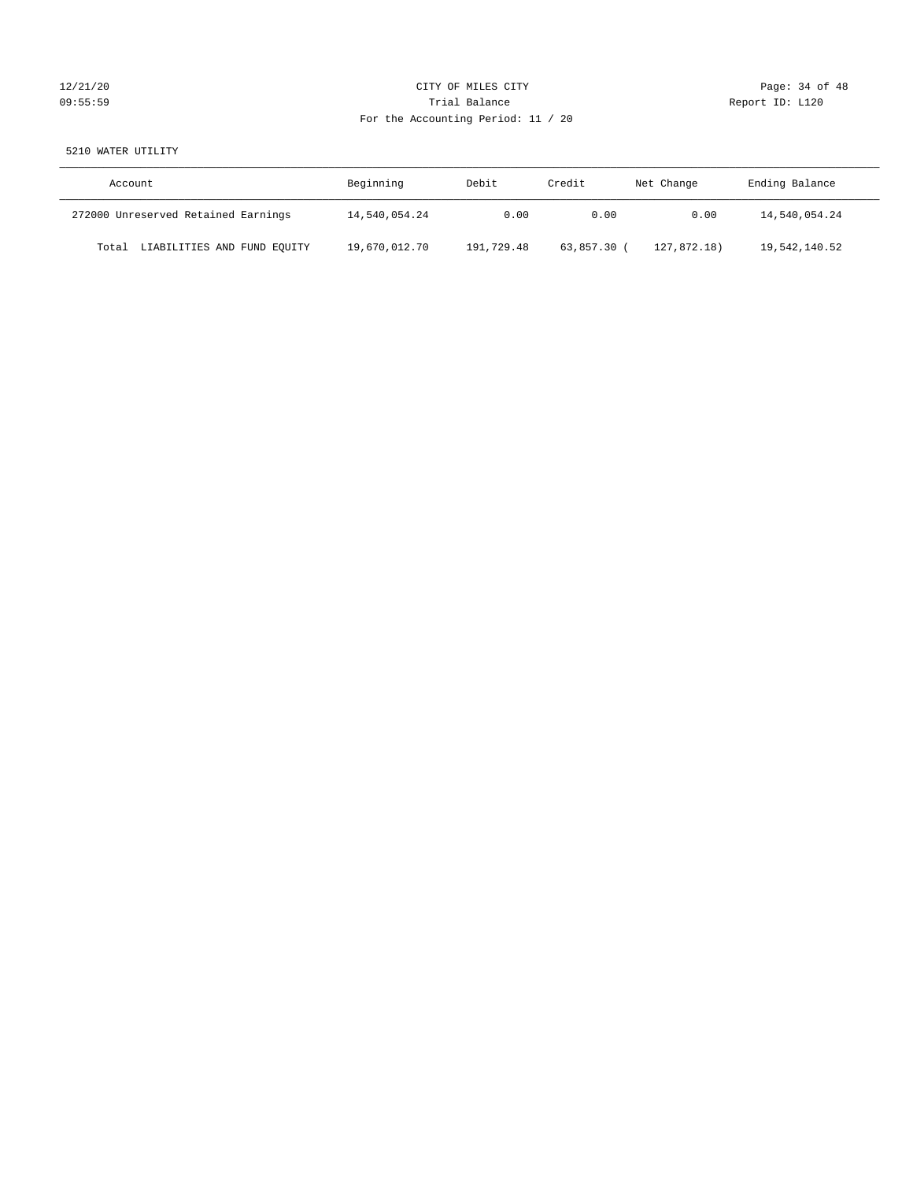## 12/21/20 Page: 34 of 48 09:55:59 Trial Balance Report ID: L120 For the Accounting Period: 11 / 20

## 5210 WATER UTILITY

| Account                              | Beginning     | Debit      | Credit    | Net Change  | Ending Balance |
|--------------------------------------|---------------|------------|-----------|-------------|----------------|
| 272000 Unreserved Retained Earnings  | 14,540,054.24 | 0.00       | 0.00      | 0.00        | 14,540,054.24  |
| LIABILITIES AND FUND EQUITY<br>Total | 19,670,012.70 | 191,729.48 | 63,857.30 | 127,872.18) | 19,542,140.52  |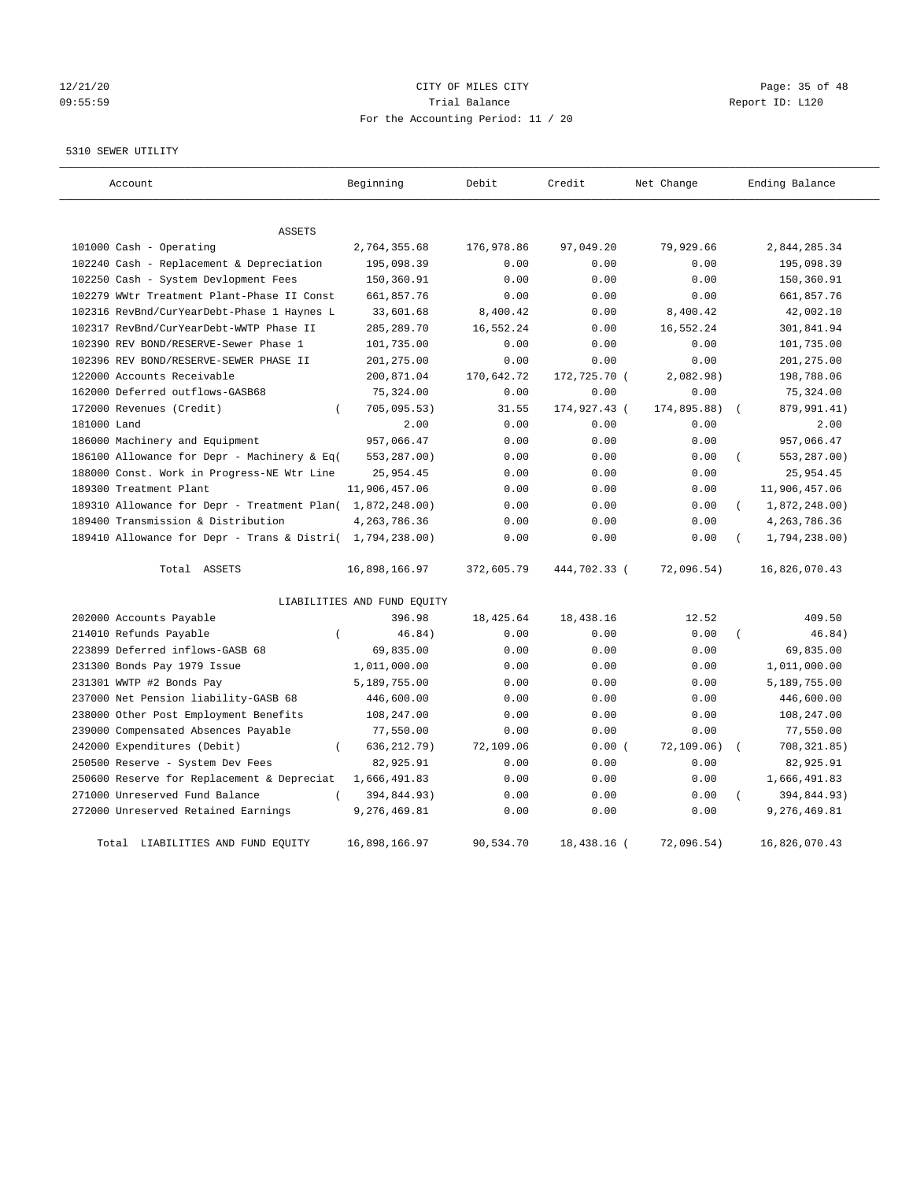## 12/21/20 Page: 35 of 48 09:55:59 Trial Balance Report ID: L120 For the Accounting Period: 11 / 20

#### 5310 SEWER UTILITY

| Account                                                   | Beginning                   | Debit      | Credit       | Net Change  | Ending Balance            |
|-----------------------------------------------------------|-----------------------------|------------|--------------|-------------|---------------------------|
| <b>ASSETS</b>                                             |                             |            |              |             |                           |
| 101000 Cash - Operating                                   | 2,764,355.68                | 176,978.86 | 97,049.20    | 79,929.66   | 2,844,285.34              |
| 102240 Cash - Replacement & Depreciation                  | 195,098.39                  | 0.00       | 0.00         | 0.00        | 195,098.39                |
| 102250 Cash - System Devlopment Fees                      | 150,360.91                  | 0.00       | 0.00         | 0.00        | 150,360.91                |
| 102279 WWtr Treatment Plant-Phase II Const                | 661,857.76                  | 0.00       | 0.00         | 0.00        | 661,857.76                |
| 102316 RevBnd/CurYearDebt-Phase 1 Haynes L                | 33,601.68                   | 8,400.42   | 0.00         | 8,400.42    | 42,002.10                 |
| 102317 RevBnd/CurYearDebt-WWTP Phase II                   | 285, 289. 70                | 16,552.24  | 0.00         | 16,552.24   | 301,841.94                |
| 102390 REV BOND/RESERVE-Sewer Phase 1                     | 101,735.00                  | 0.00       | 0.00         | 0.00        | 101,735.00                |
| 102396 REV BOND/RESERVE-SEWER PHASE II                    | 201,275.00                  | 0.00       | 0.00         | 0.00        | 201, 275.00               |
| 122000 Accounts Receivable                                | 200,871.04                  | 170,642.72 | 172,725.70 ( | 2,082.98)   | 198,788.06                |
| 162000 Deferred outflows-GASB68                           | 75,324.00                   | 0.00       | 0.00         | 0.00        | 75,324.00                 |
| 172000 Revenues (Credit)<br>$\left($                      | 705,095.53)                 | 31.55      | 174,927.43 ( | 174,895.88) | 879,991.41)               |
| 181000 Land                                               | 2.00                        | 0.00       | 0.00         | 0.00        | 2.00                      |
| 186000 Machinery and Equipment                            | 957,066.47                  | 0.00       | 0.00         | 0.00        | 957,066.47                |
| 186100 Allowance for Depr - Machinery & Eq(               | 553,287.00)                 | 0.00       | 0.00         | 0.00        | 553,287.00)<br>(          |
| 188000 Const. Work in Progress-NE Wtr Line                | 25,954.45                   | 0.00       | 0.00         | 0.00        | 25,954.45                 |
| 189300 Treatment Plant                                    | 11,906,457.06               | 0.00       | 0.00         | 0.00        | 11,906,457.06             |
| 189310 Allowance for Depr - Treatment Plan( 1,872,248.00) |                             | 0.00       | 0.00         | 0.00        | 1,872,248.00)<br>$\left($ |
| 189400 Transmission & Distribution                        | 4, 263, 786.36              | 0.00       | 0.00         | 0.00        | 4, 263, 786.36            |
| 189410 Allowance for Depr - Trans & Distri( 1,794,238.00) |                             | 0.00       | 0.00         | 0.00        | 1,794,238.00)             |
| Total ASSETS                                              | 16,898,166.97               | 372,605.79 | 444,702.33 ( | 72,096.54)  | 16,826,070.43             |
|                                                           | LIABILITIES AND FUND EQUITY |            |              |             |                           |
| 202000 Accounts Payable                                   | 396.98                      | 18, 425.64 | 18,438.16    | 12.52       | 409.50                    |
| 214010 Refunds Payable<br>$\left($                        | 46.84)                      | 0.00       | 0.00         | 0.00        | 46.84)<br>$\left($        |
| 223899 Deferred inflows-GASB 68                           | 69,835.00                   | 0.00       | 0.00         | 0.00        | 69,835.00                 |
| 231300 Bonds Pay 1979 Issue                               | 1,011,000.00                | 0.00       | 0.00         | 0.00        | 1,011,000.00              |
| 231301 WWTP #2 Bonds Pay                                  | 5,189,755.00                | 0.00       | 0.00         | 0.00        | 5,189,755.00              |
| 237000 Net Pension liability-GASB 68                      | 446,600.00                  | 0.00       | 0.00         | 0.00        | 446,600.00                |
| 238000 Other Post Employment Benefits                     | 108,247.00                  | 0.00       | 0.00         | 0.00        | 108,247.00                |
| 239000 Compensated Absences Payable                       | 77,550.00                   | 0.00       | 0.00         | 0.00        | 77,550.00                 |
| 242000 Expenditures (Debit)<br>$\left($                   | 636, 212.79)                | 72,109.06  | 0.00(        | 72, 109.06) | 708, 321.85)              |
| 250500 Reserve - System Dev Fees                          | 82,925.91                   | 0.00       | 0.00         | 0.00        | 82,925.91                 |
| 250600 Reserve for Replacement & Depreciat                | 1,666,491.83                | 0.00       | 0.00         | 0.00        | 1,666,491.83              |
| 271000 Unreserved Fund Balance<br>$\left($                | 394,844.93)                 | 0.00       | 0.00         | 0.00        | 394,844.93)               |
| 272000 Unreserved Retained Earnings                       | 9,276,469.81                | 0.00       | 0.00         | 0.00        | 9,276,469.81              |
| LIABILITIES AND FUND EQUITY<br>Total                      | 16,898,166.97               | 90,534.70  | 18,438.16 (  | 72.096.54)  | 16,826,070.43             |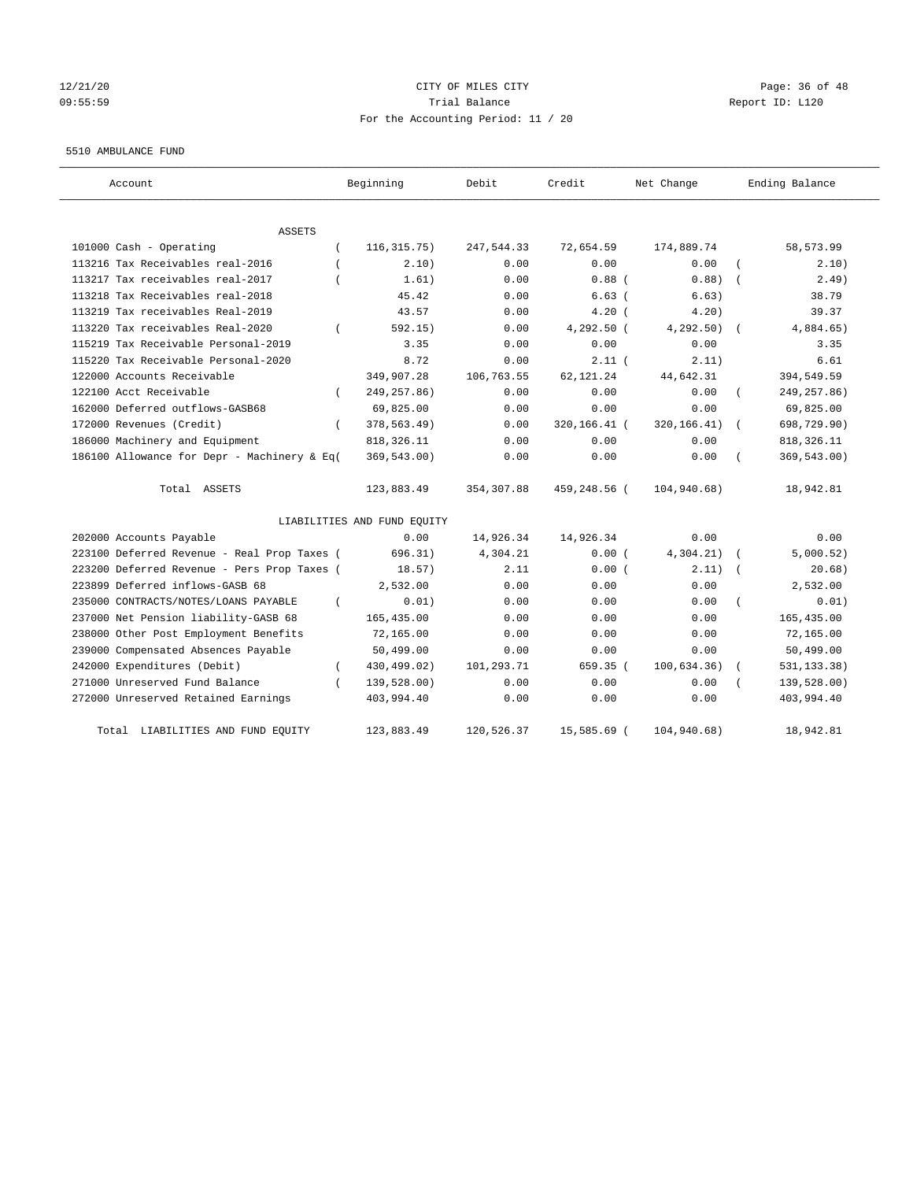## $12/21/20$  Page: 36 of 48 09:55:59 Report ID: L120 For the Accounting Period: 11 / 20

#### 5510 AMBULANCE FUND

| Account                                     | Beginning                   | Debit       | Credit       | Net Change   | Ending Balance |
|---------------------------------------------|-----------------------------|-------------|--------------|--------------|----------------|
| ASSETS                                      |                             |             |              |              |                |
| 101000 Cash - Operating<br>$\left($         | 116, 315.75)                | 247,544.33  | 72,654.59    | 174,889.74   | 58, 573.99     |
| 113216 Tax Receivables real-2016            | 2.10)                       | 0.00        | 0.00         | 0.00         | 2.10)          |
| 113217 Tax receivables real-2017            | 1.61)                       | 0.00        | $0.88$ (     | 0.88)        | 2.49)          |
| 113218 Tax Receivables real-2018            | 45.42                       | 0.00        | 6.63(        | 6.63)        | 38.79          |
| 113219 Tax receivables Real-2019            | 43.57                       | 0.00        | $4.20$ (     | 4.20)        | 39.37          |
| 113220 Tax receivables Real-2020            | 592.15)                     | 0.00        | 4,292.50 (   | 4, 292.50)   | 4,884.65)      |
| 115219 Tax Receivable Personal-2019         | 3.35                        | 0.00        | 0.00         | 0.00         | 3.35           |
| 115220 Tax Receivable Personal-2020         | 8.72                        | 0.00        | 2.11(        | 2.11)        | 6.61           |
| 122000 Accounts Receivable                  | 349,907.28                  | 106,763.55  | 62, 121. 24  | 44,642.31    | 394,549.59     |
| 122100 Acct Receivable                      | 249, 257.86)                | 0.00        | 0.00         | 0.00         | 249, 257.86)   |
| 162000 Deferred outflows-GASB68             | 69,825.00                   | 0.00        | 0.00         | 0.00         | 69,825.00      |
| 172000 Revenues (Credit)<br>$\left($        | 378,563.49)                 | 0.00        | 320,166.41 ( | 320, 166.41) | 698,729.90)    |
| 186000 Machinery and Equipment              | 818, 326.11                 | 0.00        | 0.00         | 0.00         | 818, 326.11    |
| 186100 Allowance for Depr - Machinery & Eq( | 369,543.00)                 | 0.00        | 0.00         | 0.00         | 369,543.00)    |
| Total ASSETS                                | 123,883.49                  | 354, 307.88 | 459,248.56 ( | 104,940.68)  | 18,942.81      |
|                                             | LIABILITIES AND FUND EQUITY |             |              |              |                |
| 202000 Accounts Payable                     | 0.00                        | 14,926.34   | 14,926.34    | 0.00         | 0.00           |
| 223100 Deferred Revenue - Real Prop Taxes ( | 696.31)                     | 4,304.21    | 0.00(        | 4,304.21)    | 5,000.52)      |
| 223200 Deferred Revenue - Pers Prop Taxes ( | 18.57)                      | 2.11        | 0.00(        | 2.11)        | 20.68)         |
| 223899 Deferred inflows-GASB 68             | 2,532.00                    | 0.00        | 0.00         | 0.00         | 2,532.00       |
| 235000 CONTRACTS/NOTES/LOANS PAYABLE        | 0.01)                       | 0.00        | 0.00         | 0.00         | 0.01)          |
| 237000 Net Pension liability-GASB 68        | 165, 435.00                 | 0.00        | 0.00         | 0.00         | 165,435.00     |
| 238000 Other Post Employment Benefits       | 72,165.00                   | 0.00        | 0.00         | 0.00         | 72,165.00      |
| 239000 Compensated Absences Payable         | 50,499.00                   | 0.00        | 0.00         | 0.00         | 50,499.00      |
| 242000 Expenditures (Debit)<br>$\left($     | 430,499.02)                 | 101,293.71  | 659.35 (     | 100,634.36)  | 531, 133.38)   |
| 271000 Unreserved Fund Balance              | 139,528.00)                 | 0.00        | 0.00         | 0.00         | 139,528.00)    |
| 272000 Unreserved Retained Earnings         | 403,994.40                  | 0.00        | 0.00         | 0.00         | 403,994.40     |
| LIABILITIES AND FUND EQUITY<br>Total        | 123,883.49                  | 120,526.37  | 15,585.69 (  | 104,940.68)  | 18,942.81      |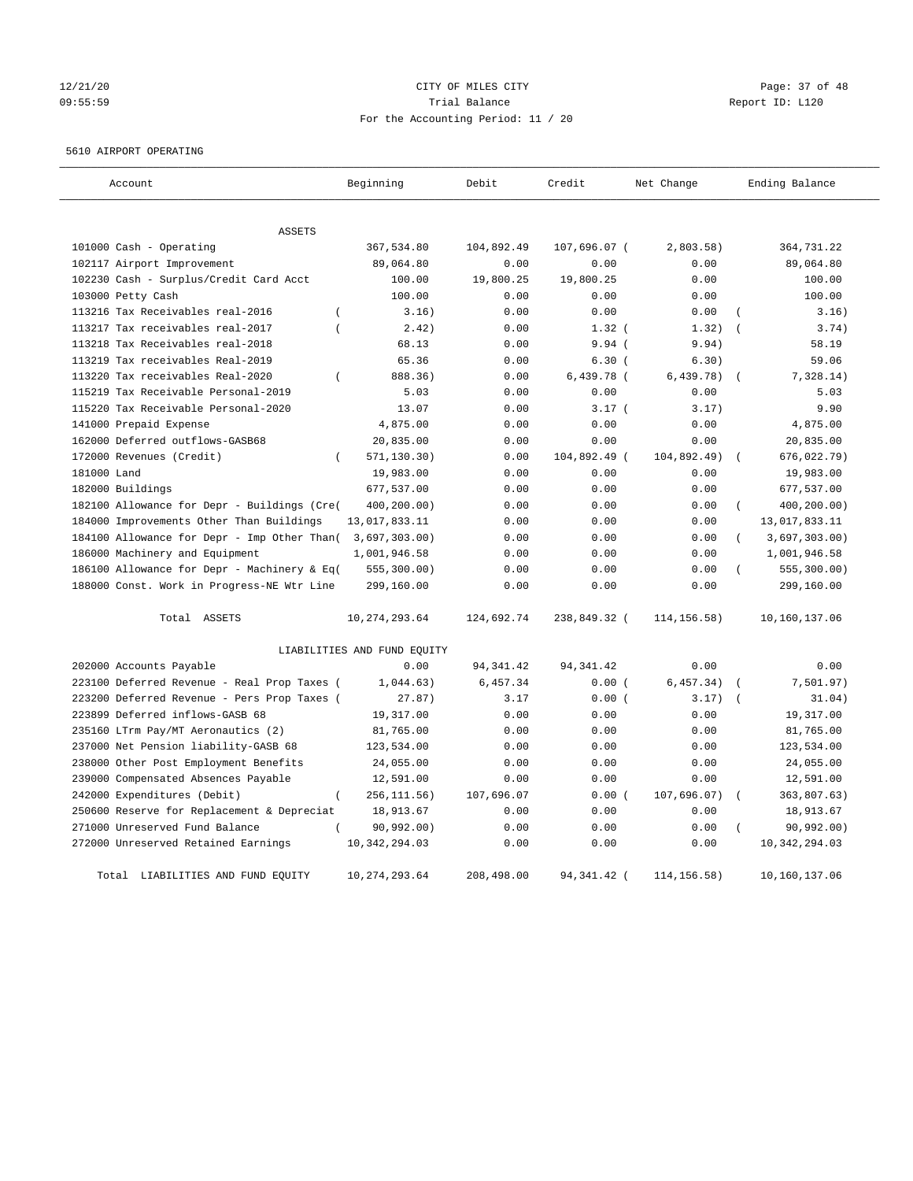## 12/21/20 **CITY OF MILES CITY CITY CITY Page: 37 of 48** 09:55:59 Trial Balance Report ID: L120 For the Accounting Period: 11 / 20

#### 5610 AIRPORT OPERATING

| Account                                            | Beginning                        | Debit      | Credit        | Net Change   | Ending Balance                   |
|----------------------------------------------------|----------------------------------|------------|---------------|--------------|----------------------------------|
|                                                    |                                  |            |               |              |                                  |
| ASSETS                                             |                                  |            |               |              |                                  |
| 101000 Cash - Operating                            | 367,534.80                       | 104,892.49 | 107,696.07 (  | 2,803.58)    | 364,731.22                       |
| 102117 Airport Improvement                         | 89,064.80                        | 0.00       | 0.00          | 0.00         | 89,064.80                        |
| 102230 Cash - Surplus/Credit Card Acct             | 100.00                           | 19,800.25  | 19,800.25     | 0.00         | 100.00                           |
| 103000 Petty Cash                                  | 100.00                           | 0.00       | 0.00          | 0.00         | 100.00                           |
| 113216 Tax Receivables real-2016<br>$\left($       | 3.16)                            | 0.00       | 0.00          | 0.00         | 3.16)                            |
| 113217 Tax receivables real-2017<br>$\overline{ }$ | 2.42)                            | 0.00       | $1.32$ (      | 1.32)        | 3.74)                            |
| 113218 Tax Receivables real-2018                   | 68.13                            | 0.00       | 9.94(         | 9.94)        | 58.19                            |
| 113219 Tax receivables Real-2019                   | 65.36                            | 0.00       | 6.30(         | 6.30)        | 59.06                            |
| 113220 Tax receivables Real-2020                   | $\overline{(\ }$<br>888.36)      | 0.00       | $6,439.78$ (  | 6,439.78)    | 7,328.14)                        |
| 115219 Tax Receivable Personal-2019                | 5.03                             | 0.00       | 0.00          | 0.00         | 5.03                             |
| 115220 Tax Receivable Personal-2020                | 13.07                            | 0.00       | 3.17(         | 3.17)        | 9.90                             |
| 141000 Prepaid Expense                             | 4,875.00                         | 0.00       | 0.00          | 0.00         | 4,875.00                         |
| 162000 Deferred outflows-GASB68                    | 20,835.00                        | 0.00       | 0.00          | 0.00         | 20,835.00                        |
| 172000 Revenues (Credit)<br>$\left($               | 571, 130.30)                     | 0.00       | 104,892.49 (  | 104,892.49)  | 676,022.79)                      |
| 181000 Land                                        | 19,983.00                        | 0.00       | 0.00          | 0.00         | 19,983.00                        |
| 182000 Buildings                                   | 677,537.00                       | 0.00       | 0.00          | 0.00         | 677,537.00                       |
| 182100 Allowance for Depr - Buildings (Cre(        | 400,200.00)                      | 0.00       | 0.00          | 0.00         | 400,200.00)<br>$\overline{(\ }$  |
| 184000 Improvements Other Than Buildings           | 13,017,833.11                    | 0.00       | 0.00          | 0.00         | 13,017,833.11                    |
| 184100 Allowance for Depr - Imp Other Than(        | 3,697,303.00)                    | 0.00       | 0.00          | 0.00         | 3,697,303.00)                    |
| 186000 Machinery and Equipment                     | 1,001,946.58                     | 0.00       | 0.00          | 0.00         | 1,001,946.58                     |
| 186100 Allowance for Depr - Machinery & Eq(        | 555, 300.00)                     | 0.00       | 0.00          | 0.00         | 555, 300.00)<br>$\overline{(\ }$ |
| 188000 Const. Work in Progress-NE Wtr Line         | 299,160.00                       | 0.00       | 0.00          | 0.00         | 299,160.00                       |
| Total ASSETS                                       | 10, 274, 293.64                  | 124,692.74 | 238,849.32 (  | 114, 156.58) | 10,160,137.06                    |
|                                                    | LIABILITIES AND FUND EQUITY      |            |               |              |                                  |
| 202000 Accounts Payable                            | 0.00                             | 94, 341.42 | 94, 341.42    | 0.00         | 0.00                             |
| 223100 Deferred Revenue - Real Prop Taxes (        | 1,044.63)                        | 6,457.34   | 0.00(         | 6, 457.34)   | 7,501.97)                        |
| 223200 Deferred Revenue - Pers Prop Taxes (        | 27.87)                           | 3.17       | 0.00(         | 3.17)        | 31.04)                           |
| 223899 Deferred inflows-GASB 68                    | 19,317.00                        | 0.00       | 0.00          | 0.00         | 19,317.00                        |
| 235160 LTrm Pay/MT Aeronautics (2)                 | 81,765.00                        | 0.00       | 0.00          | 0.00         | 81,765.00                        |
| 237000 Net Pension liability-GASB 68               | 123,534.00                       | 0.00       | 0.00          | 0.00         | 123,534.00                       |
| 238000 Other Post Employment Benefits              | 24,055.00                        | 0.00       | 0.00          | 0.00         | 24,055.00                        |
| 239000 Compensated Absences Payable                | 12,591.00                        | 0.00       | 0.00          | 0.00         | 12,591.00                        |
| 242000 Expenditures (Debit)                        | $\overline{(\ }$<br>256, 111.56) | 107,696.07 | 0.00(         | 107,696.07)  | 363,807.63)                      |
| 250600 Reserve for Replacement & Depreciat         | 18,913.67                        | 0.00       | 0.00          | 0.00         | 18,913.67                        |
| 271000 Unreserved Fund Balance                     | 90, 992.00)                      | 0.00       | 0.00          | 0.00         | 90, 992, 00)                     |
| 272000 Unreserved Retained Earnings                | 10, 342, 294.03                  | 0.00       | 0.00          | 0.00         | 10, 342, 294.03                  |
| Total LIABILITIES AND FUND EQUITY                  | 10,274,293.64                    | 208,498.00 | 94, 341. 42 ( | 114, 156.58) | 10,160,137.06                    |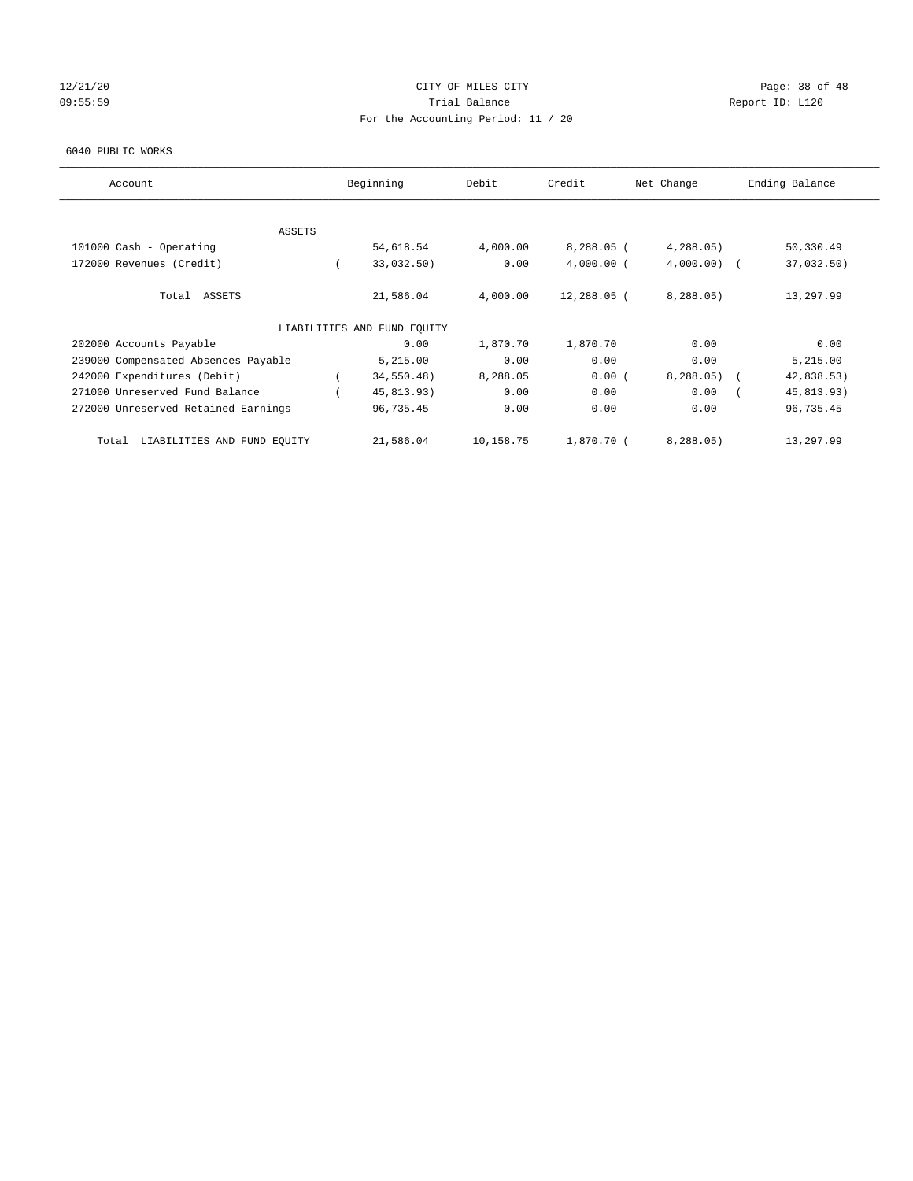## 12/21/20 Page: 38 of 48 09:55:59 Report ID: L120 For the Accounting Period: 11 / 20

#### 6040 PUBLIC WORKS

| Account                              | Beginning                   | Debit     | Credit       | Net Change    | Ending Balance           |
|--------------------------------------|-----------------------------|-----------|--------------|---------------|--------------------------|
|                                      |                             |           |              |               |                          |
| ASSETS                               |                             |           |              |               |                          |
| 101000 Cash - Operating              | 54,618.54                   | 4,000.00  | $8,288.05$ ( | 4,288.05      | 50,330.49                |
| 172000 Revenues (Credit)             | 33,032.50)                  | 0.00      | $4,000.00$ ( | $4,000.00)$ ( | 37,032.50)               |
| Total ASSETS                         | 21,586.04                   | 4,000.00  | 12,288.05 (  | 8, 288.05     | 13,297.99                |
|                                      | LIABILITIES AND FUND EQUITY |           |              |               |                          |
| 202000 Accounts Payable              | 0.00                        | 1,870.70  | 1,870.70     | 0.00          | 0.00                     |
| 239000 Compensated Absences Payable  | 5,215.00                    | 0.00      | 0.00         | 0.00          | 5,215.00                 |
| 242000 Expenditures (Debit)          | 34,550.48)                  | 8,288.05  | 0.00(        | 8,288.05)     | 42,838.53)<br>$\sqrt{2}$ |
| 271000 Unreserved Fund Balance       | 45,813.93)                  | 0.00      | 0.00         | 0.00          | 45,813.93)               |
| 272000 Unreserved Retained Earnings  | 96,735.45                   | 0.00      | 0.00         | 0.00          | 96,735.45                |
| LIABILITIES AND FUND EQUITY<br>Total | 21,586.04                   | 10,158.75 | 1,870.70 (   | 8, 288.05     | 13,297.99                |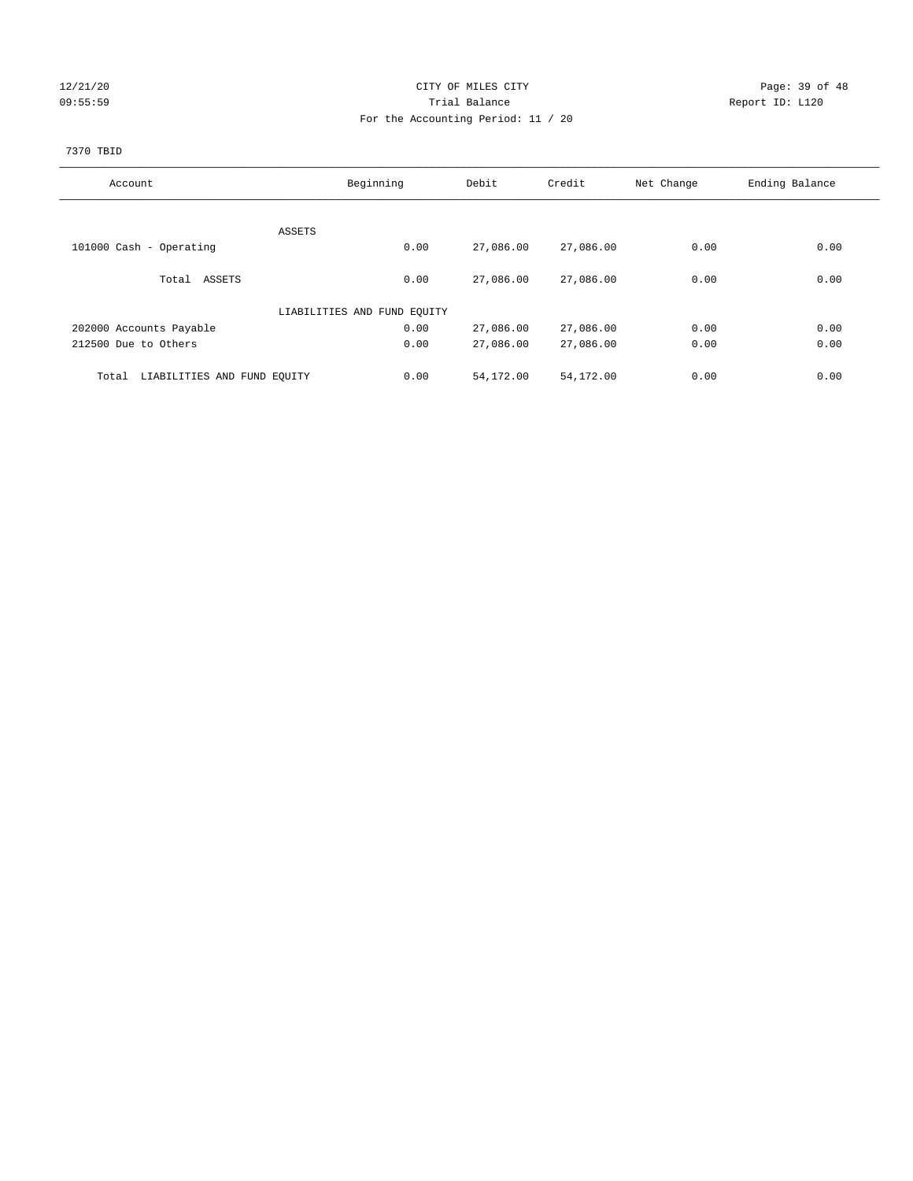## 12/21/20 Page: 39 of 48 09:55:59 Trial Balance Report ID: L120 For the Accounting Period: 11 / 20

#### 7370 TBID

| Account                              | Beginning                   |      | Debit     | Credit    | Net Change | Ending Balance |
|--------------------------------------|-----------------------------|------|-----------|-----------|------------|----------------|
|                                      |                             |      |           |           |            |                |
|                                      | ASSETS                      |      |           |           |            |                |
| 101000 Cash - Operating              |                             | 0.00 | 27,086.00 | 27,086.00 | 0.00       | 0.00           |
|                                      |                             |      |           |           |            |                |
| Total ASSETS                         |                             | 0.00 | 27,086.00 | 27,086.00 | 0.00       | 0.00           |
|                                      |                             |      |           |           |            |                |
|                                      | LIABILITIES AND FUND EQUITY |      |           |           |            |                |
| 202000 Accounts Payable              |                             | 0.00 | 27,086.00 | 27,086.00 | 0.00       | 0.00           |
| 212500 Due to Others                 |                             | 0.00 | 27,086.00 | 27,086.00 | 0.00       | 0.00           |
|                                      |                             |      |           |           |            |                |
| LIABILITIES AND FUND EQUITY<br>Total |                             | 0.00 | 54,172.00 | 54,172.00 | 0.00       | 0.00           |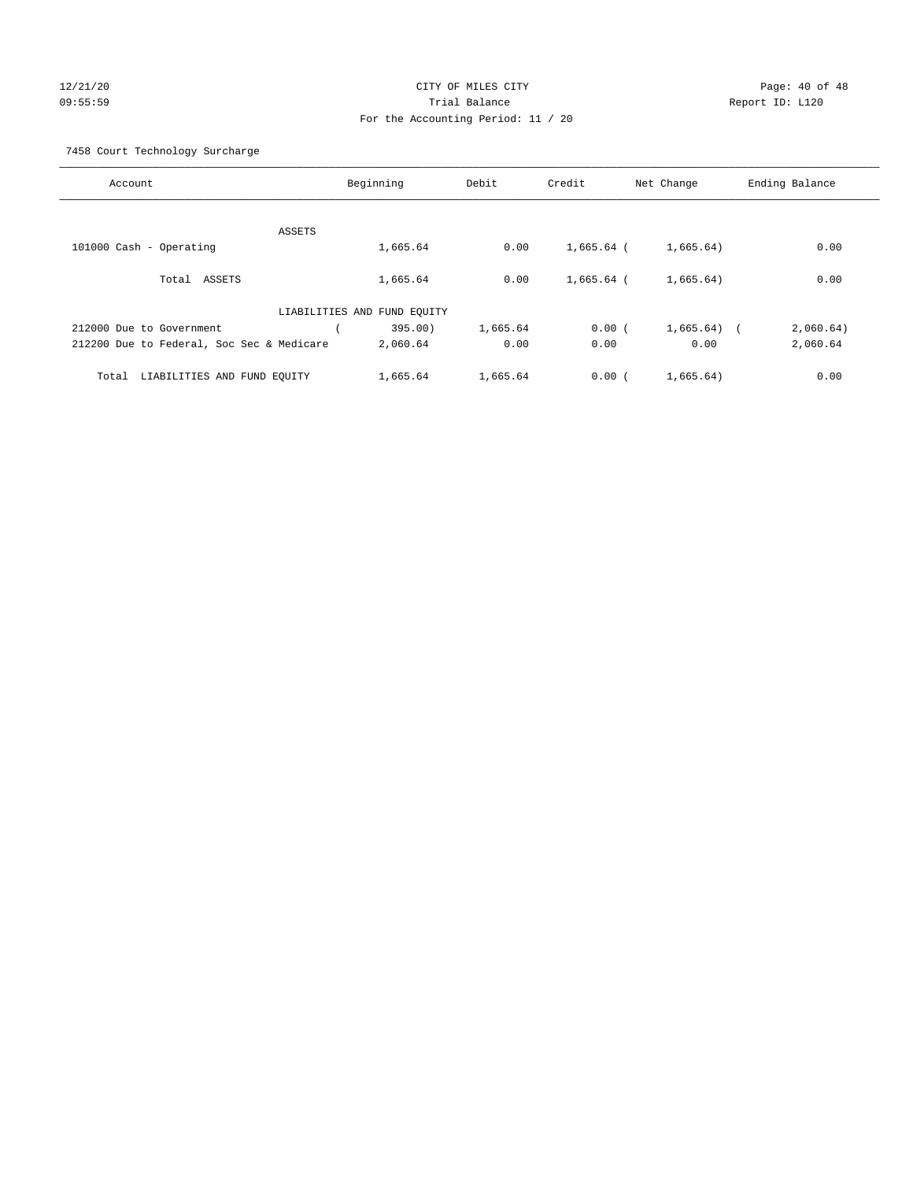## 12/21/20 Page: 40 of 48 09:55:59 Trial Balance Report ID: L120 For the Accounting Period: 11 / 20

7458 Court Technology Surcharge

| Account                                   | Beginning                   | Debit    | Credit       | Net Change   | Ending Balance |
|-------------------------------------------|-----------------------------|----------|--------------|--------------|----------------|
|                                           |                             |          |              |              |                |
| ASSETS                                    |                             |          |              |              |                |
| 101000 Cash - Operating                   | 1,665.64                    | 0.00     | 1,665.64 (   | 1,665.64)    | 0.00           |
|                                           |                             |          |              |              |                |
| ASSETS<br>Total                           | 1,665.64                    | 0.00     | $1.665.64$ ( | 1,665.64)    | 0.00           |
|                                           |                             |          |              |              |                |
|                                           | LIABILITIES AND FUND EQUITY |          |              |              |                |
| 212000 Due to Government                  | 395.00)                     | 1,665.64 | 0.00(        | $1,665.64$ ( | 2,060.64)      |
| 212200 Due to Federal, Soc Sec & Medicare | 2,060.64                    | 0.00     | 0.00         | 0.00         | 2,060.64       |
| LIABILITIES AND FUND EQUITY<br>Total      | 1,665.64                    | 1,665.64 | 0.00(        | 1,665.64)    | 0.00           |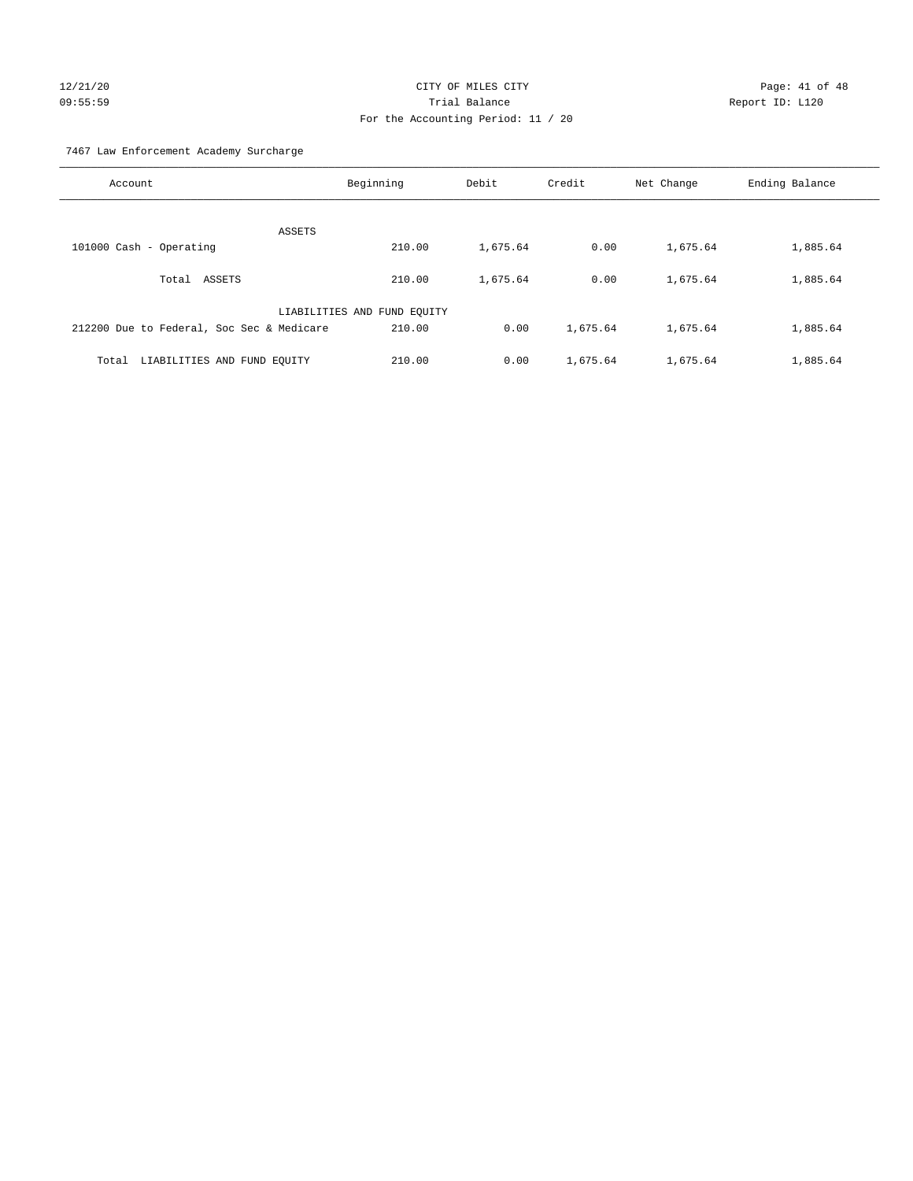## $12/21/20$  Page: 41 of 48 09:55:59 Trial Balance Report ID: L120 For the Accounting Period: 11 / 20

7467 Law Enforcement Academy Surcharge

| Account                                   | Beginning                   | Debit    | Credit   | Net Change | Ending Balance |
|-------------------------------------------|-----------------------------|----------|----------|------------|----------------|
| ASSETS                                    |                             |          |          |            |                |
| 101000 Cash - Operating                   | 210.00                      | 1,675.64 | 0.00     | 1,675.64   | 1,885.64       |
| Total ASSETS                              | 210.00                      | 1,675.64 | 0.00     | 1,675.64   | 1,885.64       |
|                                           | LIABILITIES AND FUND EQUITY |          |          |            |                |
| 212200 Due to Federal, Soc Sec & Medicare | 210.00                      | 0.00     | 1,675.64 | 1,675.64   | 1,885.64       |
| Total LIABILITIES AND FUND EOUITY         | 210.00                      | 0.00     | 1,675.64 | 1,675.64   | 1,885.64       |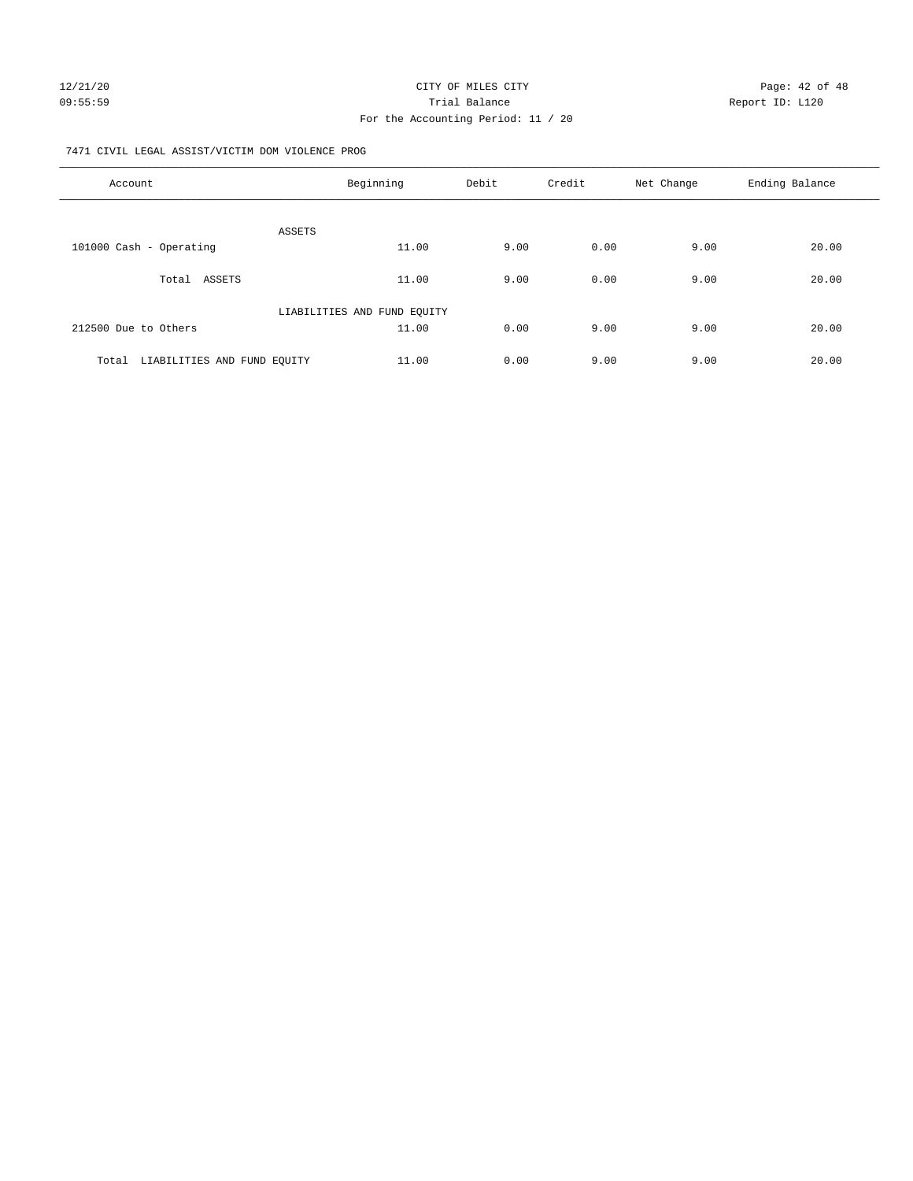## 12/21/20 Page: 42 of 48 09:55:59 Report ID: L120 For the Accounting Period: 11 / 20

#### 7471 CIVIL LEGAL ASSIST/VICTIM DOM VIOLENCE PROG

| Account                              | Beginning                   | Debit | Credit | Net Change | Ending Balance |
|--------------------------------------|-----------------------------|-------|--------|------------|----------------|
|                                      |                             |       |        |            |                |
| 101000 Cash - Operating              | ASSETS<br>11.00             | 9.00  | 0.00   | 9.00       | 20.00          |
|                                      |                             |       |        |            |                |
| Total ASSETS                         | 11.00                       | 9.00  | 0.00   | 9.00       | 20.00          |
|                                      | LIABILITIES AND FUND EQUITY |       |        |            |                |
| 212500 Due to Others                 | 11.00                       | 0.00  | 9.00   | 9.00       | 20.00          |
| Total<br>LIABILITIES AND FUND EQUITY | 11.00                       | 0.00  | 9.00   | 9.00       | 20.00          |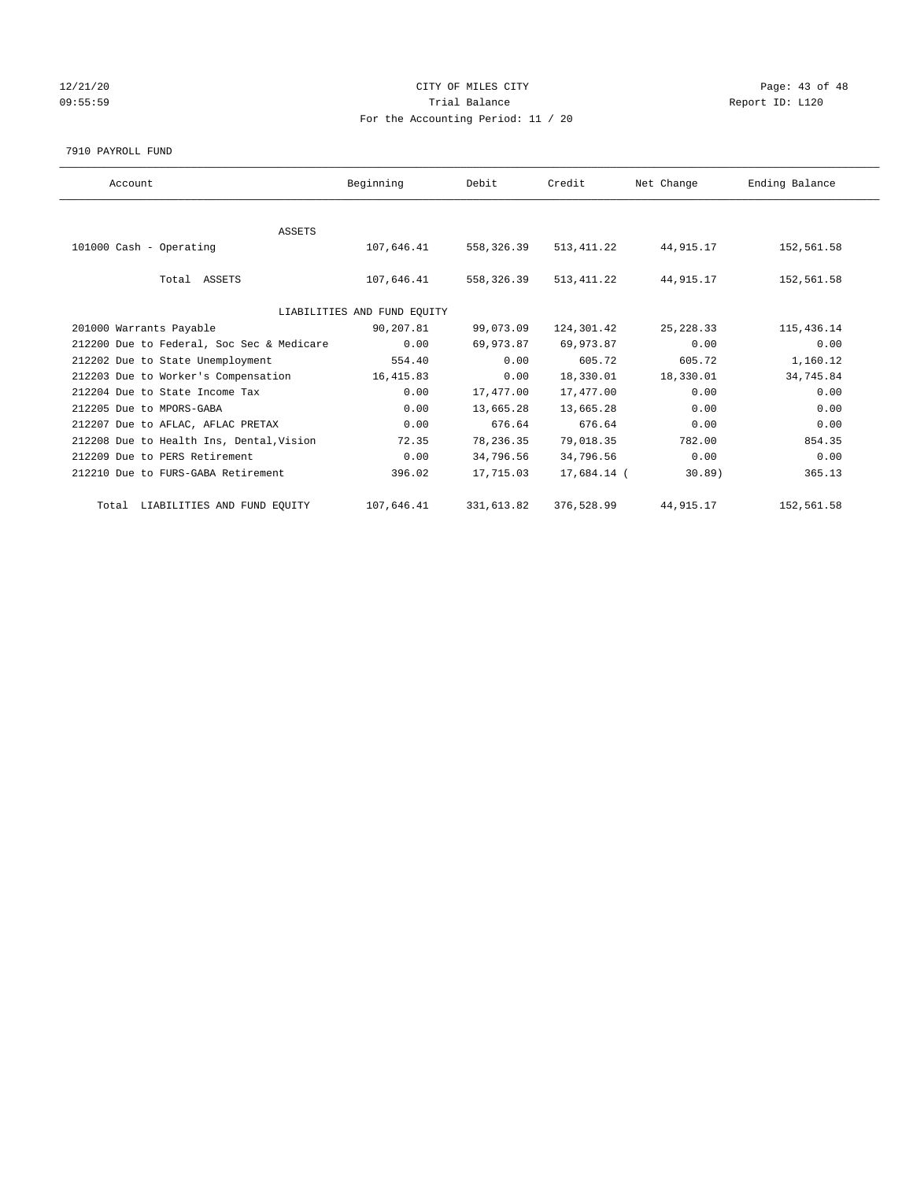## 12/21/20 **CITY OF MILES CITY CITY CITY Page: 43 of 48** 09:55:59 Report ID: L120 For the Accounting Period: 11 / 20

#### 7910 PAYROLL FUND

| Account                                   | Beginning                   | Debit        | Credit      | Net Change  | Ending Balance |
|-------------------------------------------|-----------------------------|--------------|-------------|-------------|----------------|
|                                           |                             |              |             |             |                |
| <b>ASSETS</b>                             |                             |              |             |             |                |
| 101000 Cash - Operating                   | 107,646.41                  | 558, 326, 39 | 513, 411.22 | 44,915.17   | 152,561.58     |
|                                           |                             |              |             |             |                |
| Total ASSETS                              | 107,646.41                  | 558,326.39   | 513, 411.22 | 44,915.17   | 152,561.58     |
|                                           |                             |              |             |             |                |
|                                           | LIABILITIES AND FUND EQUITY |              |             |             |                |
| 201000 Warrants Payable                   | 90,207.81                   | 99,073.09    | 124,301.42  | 25, 228.33  | 115, 436.14    |
| 212200 Due to Federal, Soc Sec & Medicare | 0.00                        | 69,973.87    | 69,973.87   | 0.00        | 0.00           |
| 212202 Due to State Unemployment          | 554.40                      | 0.00         | 605.72      | 605.72      | 1,160.12       |
| 212203 Due to Worker's Compensation       | 16, 415.83                  | 0.00         | 18,330.01   | 18,330.01   | 34,745.84      |
| 212204 Due to State Income Tax            | 0.00                        | 17,477.00    | 17,477.00   | 0.00        | 0.00           |
| 212205 Due to MPORS-GABA                  | 0.00                        | 13,665.28    | 13,665.28   | 0.00        | 0.00           |
| 212207 Due to AFLAC, AFLAC PRETAX         | 0.00                        | 676.64       | 676.64      | 0.00        | 0.00           |
| 212208 Due to Health Ins, Dental, Vision  | 72.35                       | 78,236.35    | 79,018.35   | 782.00      | 854.35         |
| 212209 Due to PERS Retirement             | 0.00                        | 34,796.56    | 34,796.56   | 0.00        | 0.00           |
| 212210 Due to FURS-GABA Retirement        | 396.02                      | 17,715.03    | 17,684.14 ( | 30.89)      | 365.13         |
| Total LIABILITIES AND FUND EQUITY         | 107,646.41                  | 331,613.82   | 376,528.99  | 44, 915. 17 | 152,561.58     |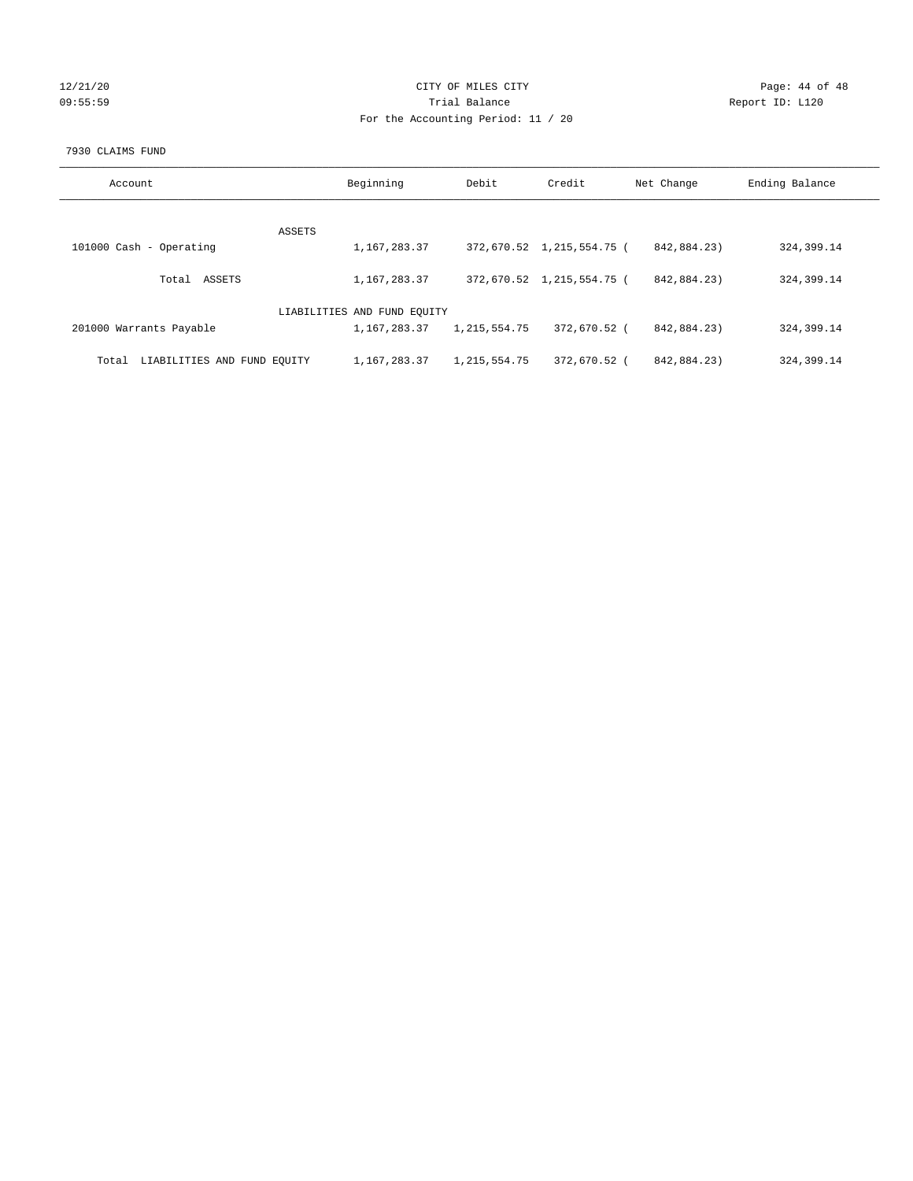## 12/21/20 **CITY OF MILES CITY CITY CITY Page: 44 of 48** 09:55:59 Report ID: L120 For the Accounting Period: 11 / 20

#### 7930 CLAIMS FUND

| Account                              | Beginning                   | Debit           | Credit                    | Net Change  | Ending Balance |
|--------------------------------------|-----------------------------|-----------------|---------------------------|-------------|----------------|
|                                      |                             |                 |                           |             |                |
| ASSETS                               |                             |                 |                           |             |                |
| 101000 Cash - Operating              | 1,167,283.37                |                 | 372,670.52 1,215,554.75 ( | 842,884,23) | 324,399.14     |
|                                      |                             |                 |                           |             |                |
| ASSETS<br>Total                      | 1,167,283.37                |                 | 372,670.52 1,215,554.75 ( | 842,884,23) | 324, 399.14    |
|                                      |                             |                 |                           |             |                |
|                                      | LIABILITIES AND FUND EQUITY |                 |                           |             |                |
| 201000 Warrants Payable              | 1,167,283.37                | 1, 215, 554.75  | 372,670.52 (              | 842,884.23) | 324, 399.14    |
|                                      |                             |                 |                           |             |                |
|                                      |                             |                 |                           |             |                |
| LIABILITIES AND FUND EOUITY<br>Total | 1,167,283.37                | 1, 215, 554. 75 | 372,670.52 (              | 842,884,23) | 324, 399.14    |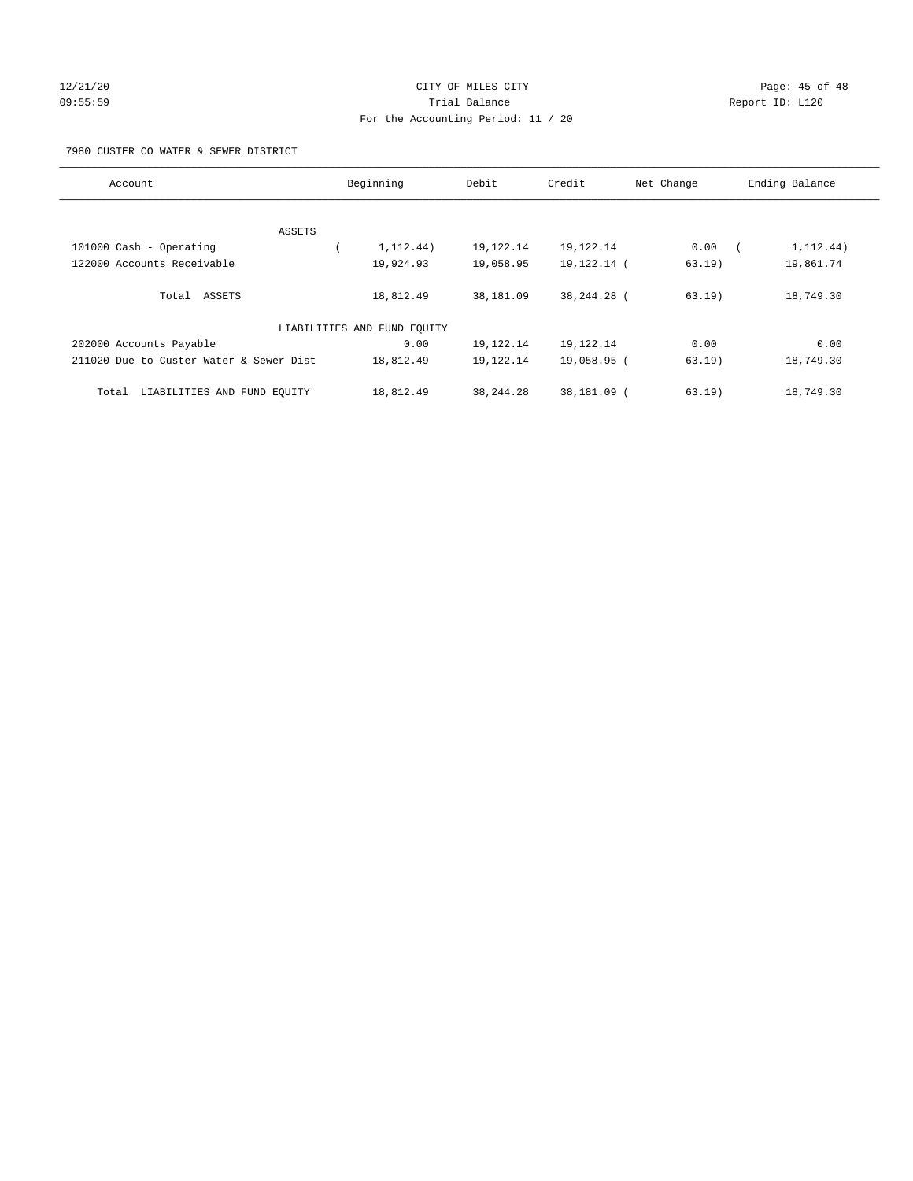## 12/21/20 Page: 45 of 48 09:55:59 Trial Balance Report ID: L120 For the Accounting Period: 11 / 20

#### 7980 CUSTER CO WATER & SEWER DISTRICT

| Account                                 | Beginning                   | Debit       | Credit        | Net Change | Ending Balance |
|-----------------------------------------|-----------------------------|-------------|---------------|------------|----------------|
| ASSETS                                  |                             |             |               |            |                |
| 101000 Cash - Operating                 | 1, 112.44)                  | 19,122.14   | 19, 122. 14   | 0.00       | 1, 112.44)     |
| 122000 Accounts Receivable              | 19,924.93                   | 19,058.95   | 19, 122. 14 ( | 63.19)     | 19,861.74      |
| Total ASSETS                            | 18,812.49                   | 38,181.09   | 38,244.28 (   | $63.19$ )  | 18,749.30      |
|                                         | LIABILITIES AND FUND EQUITY |             |               |            |                |
| 202000 Accounts Payable                 | 0.00                        | 19,122.14   | 19,122.14     | 0.00       | 0.00           |
| 211020 Due to Custer Water & Sewer Dist | 18,812.49                   | 19,122.14   | 19,058.95 (   | $63.19$ )  | 18,749.30      |
| LIABILITIES AND FUND EQUITY<br>Total    | 18,812.49                   | 38, 244. 28 | 38,181.09 (   | $63.19$ )  | 18,749.30      |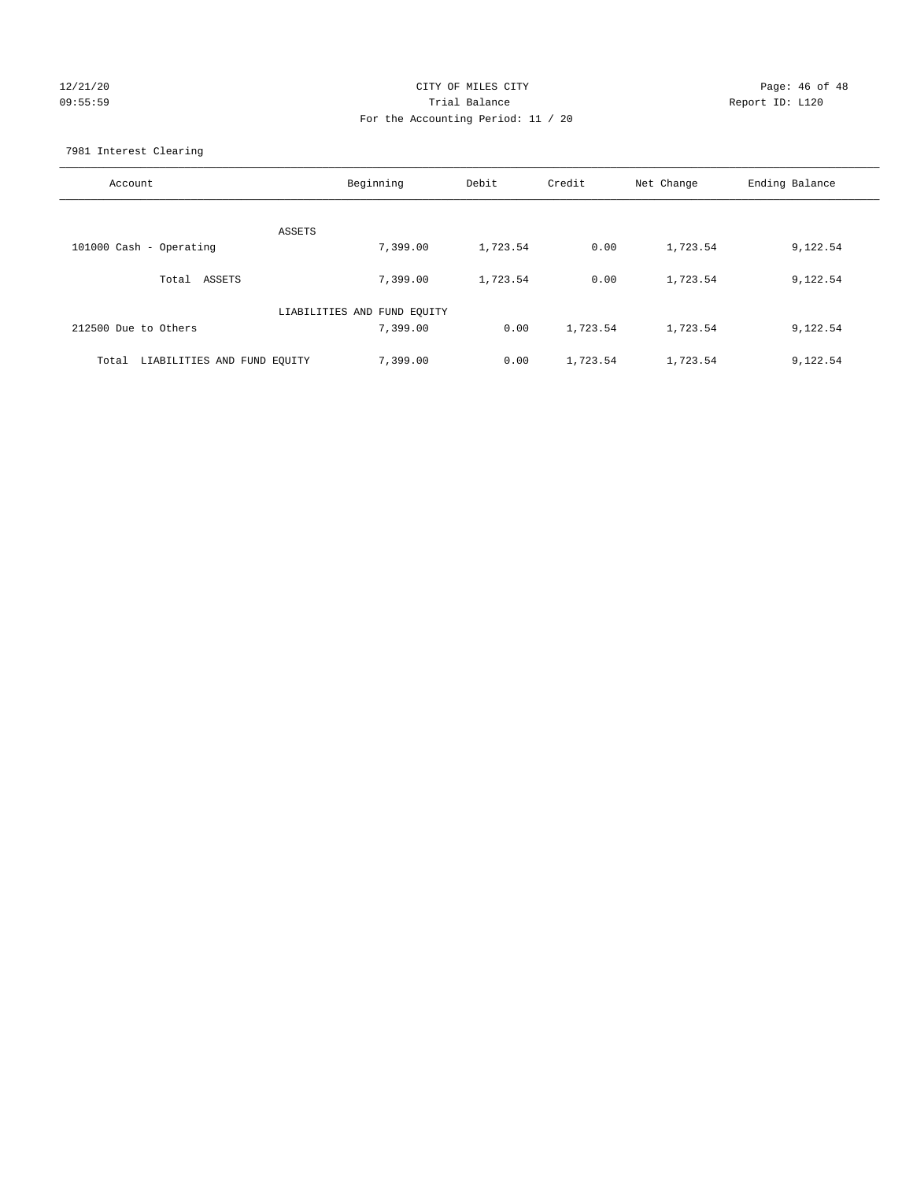## 12/21/20 Page: 46 of 48 09:55:59 Trial Balance Report ID: L120 For the Accounting Period: 11 / 20

7981 Interest Clearing

| Account                           | Beginning                   | Debit    | Credit   | Net Change | Ending Balance |
|-----------------------------------|-----------------------------|----------|----------|------------|----------------|
|                                   | ASSETS                      |          |          |            |                |
| 101000 Cash - Operating           | 7,399.00                    | 1,723.54 | 0.00     | 1,723.54   | 9,122.54       |
| Total ASSETS                      | 7,399.00                    | 1,723.54 | 0.00     | 1,723.54   | 9,122.54       |
|                                   | LIABILITIES AND FUND EQUITY |          |          |            |                |
| 212500 Due to Others              | 7,399.00                    | 0.00     | 1,723.54 | 1,723.54   | 9,122.54       |
| Total LIABILITIES AND FUND EOUITY | 7,399.00                    | 0.00     | 1,723.54 | 1,723.54   | 9,122.54       |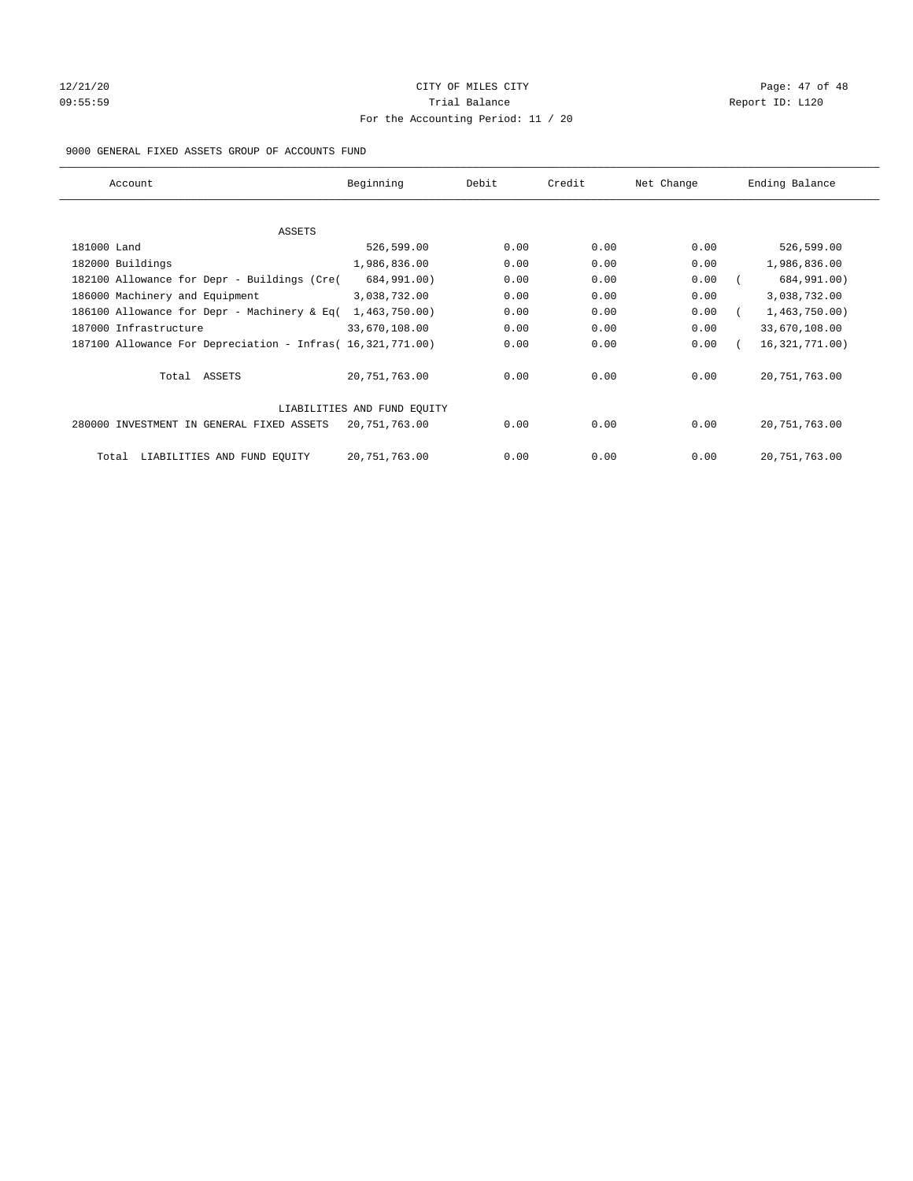## 12/21/20 Page: 47 of 48 09:55:59 Report ID: L120 For the Accounting Period: 11 / 20

#### 9000 GENERAL FIXED ASSETS GROUP OF ACCOUNTS FUND

| Account                                                    | Beginning                   | Debit | Credit | Net Change | Ending Balance   |
|------------------------------------------------------------|-----------------------------|-------|--------|------------|------------------|
| ASSETS                                                     |                             |       |        |            |                  |
| 181000 Land                                                | 526,599.00                  | 0.00  | 0.00   | 0.00       | 526,599.00       |
| 182000 Buildings                                           | 1,986,836.00                | 0.00  | 0.00   | 0.00       | 1,986,836.00     |
| 182100 Allowance for Depr - Buildings (Cre(                | 684,991.00)                 | 0.00  | 0.00   | 0.00       | 684,991.00)      |
| 186000 Machinery and Equipment                             | 3,038,732.00                | 0.00  | 0.00   | 0.00       | 3,038,732.00     |
| 186100 Allowance for Depr - Machinery & Eq(                | 1,463,750.00)               | 0.00  | 0.00   | 0.00       | 1,463,750.00)    |
| 187000 Infrastructure                                      | 33,670,108.00               | 0.00  | 0.00   | 0.00       | 33,670,108.00    |
| 187100 Allowance For Depreciation - Infras( 16,321,771.00) |                             | 0.00  | 0.00   | 0.00       | 16, 321, 771.00) |
| Total ASSETS                                               | 20,751,763.00               | 0.00  | 0.00   | 0.00       | 20, 751, 763.00  |
|                                                            | LIABILITIES AND FUND EQUITY |       |        |            |                  |
| 280000 INVESTMENT IN GENERAL FIXED ASSETS                  | 20,751,763.00               | 0.00  | 0.00   | 0.00       | 20, 751, 763.00  |
| LIABILITIES AND FUND EQUITY<br>Total                       | 20,751,763.00               | 0.00  | 0.00   | 0.00       | 20, 751, 763.00  |